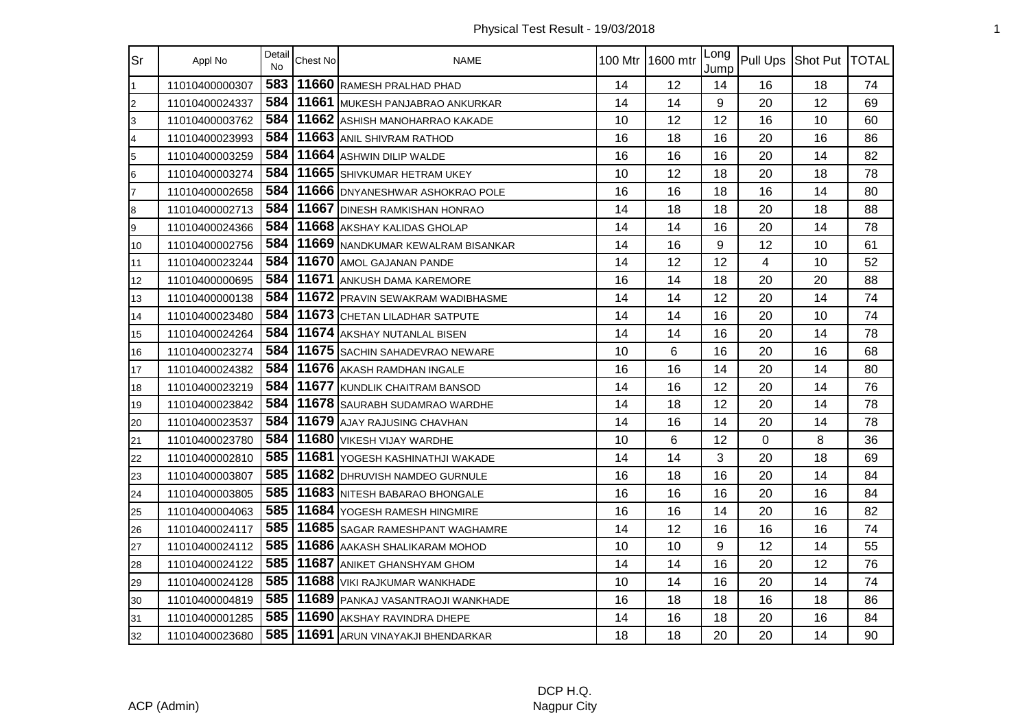| Sr             | Appl No        | Detail<br><b>No</b> | Chest No | <b>NAME</b>                           |    | 100 Mtr 1600 mtr | Long<br>Jump |    | Pull Ups Shot Put   TOTAL |    |
|----------------|----------------|---------------------|----------|---------------------------------------|----|------------------|--------------|----|---------------------------|----|
| $\overline{1}$ | 11010400000307 | 583                 |          | 11660 RAMESH PRALHAD PHAD             | 14 | 12               | 14           | 16 | 18                        | 74 |
| $\overline{c}$ | 11010400024337 | 584                 |          | 11661 MUKESH PANJABRAO ANKURKAR       | 14 | 14               | 9            | 20 | 12                        | 69 |
| 3              | 11010400003762 | 584                 |          | 11662 ASHISH MANOHARRAO KAKADE        | 10 | 12               | 12           | 16 | 10                        | 60 |
| $\overline{4}$ | 11010400023993 | 584                 |          | 11663 ANIL SHIVRAM RATHOD             | 16 | 18               | 16           | 20 | 16                        | 86 |
| 5              | 11010400003259 | 584                 |          | 11664 ASHWIN DILIP WALDE              | 16 | 16               | 16           | 20 | 14                        | 82 |
| 6              | 11010400003274 | 584                 |          | 11665 SHIVKUMAR HETRAM UKEY           | 10 | 12               | 18           | 20 | 18                        | 78 |
| 17             | 11010400002658 | 584                 |          | 11666 DNYANESHWAR ASHOKRAO POLE       | 16 | 16               | 18           | 16 | 14                        | 80 |
| 8              | 11010400002713 | 584                 |          | 11667 DINESH RAMKISHAN HONRAO         | 14 | 18               | 18           | 20 | 18                        | 88 |
| 9              | 11010400024366 | 584                 |          | 11668 AKSHAY KALIDAS GHOLAP           | 14 | 14               | 16           | 20 | 14                        | 78 |
| 10             | 11010400002756 | 584                 |          | 11669 NANDKUMAR KEWALRAM BISANKAR     | 14 | 16               | 9            | 12 | 10                        | 61 |
| 11             | 11010400023244 | 584                 |          | 11670 AMOL GAJANAN PANDE              | 14 | 12               | 12           | 4  | 10                        | 52 |
| 12             | 11010400000695 | 584                 |          | 11671 ANKUSH DAMA KAREMORE            | 16 | 14               | 18           | 20 | 20                        | 88 |
| 13             | 11010400000138 | 584                 |          | 11672 PRAVIN SEWAKRAM WADIBHASME      | 14 | 14               | 12           | 20 | 14                        | 74 |
| 14             | 11010400023480 | 584                 |          | 11673 CHETAN LILADHAR SATPUTE         | 14 | 14               | 16           | 20 | 10                        | 74 |
| 15             | 11010400024264 | 584                 |          | 11674 AKSHAY NUTANLAL BISEN           | 14 | 14               | 16           | 20 | 14                        | 78 |
| 16             | 11010400023274 | 584                 |          | 11675 SACHIN SAHADEVRAO NEWARE        | 10 | 6                | 16           | 20 | 16                        | 68 |
| 17             | 11010400024382 | 584                 |          | 11676 AKASH RAMDHAN INGALE            | 16 | 16               | 14           | 20 | 14                        | 80 |
| 18             | 11010400023219 | 584                 |          | 11677 KUNDLIK CHAITRAM BANSOD         | 14 | 16               | 12           | 20 | 14                        | 76 |
| 19             | 11010400023842 | 584                 |          | 11678 SAURABH SUDAMRAO WARDHE         | 14 | 18               | 12           | 20 | 14                        | 78 |
| 20             | 11010400023537 | 584                 |          | 11679 AJAY RAJUSING CHAVHAN           | 14 | 16               | 14           | 20 | 14                        | 78 |
| 21             | 11010400023780 | 584                 |          | 11680 VIKESH VIJAY WARDHE             | 10 | 6                | 12           | 0  | 8                         | 36 |
| 22             | 11010400002810 | 585                 |          | 11681 YOGESH KASHINATHJI WAKADE       | 14 | 14               | 3            | 20 | 18                        | 69 |
| 23             | 11010400003807 | 585                 |          | 11682 DHRUVISH NAMDEO GURNULE         | 16 | 18               | 16           | 20 | 14                        | 84 |
| 24             | 11010400003805 | 585                 |          | 11683 NITESH BABARAO BHONGALE         | 16 | 16               | 16           | 20 | 16                        | 84 |
| 25             | 11010400004063 | 585                 |          | 11684 YOGESH RAMESH HINGMIRE          | 16 | 16               | 14           | 20 | 16                        | 82 |
| 26             | 11010400024117 | 585                 |          | 11685 SAGAR RAMESHPANT WAGHAMRE       | 14 | 12               | 16           | 16 | 16                        | 74 |
| 27             | 11010400024112 | 585                 |          | 11686 AAKASH SHALIKARAM MOHOD         | 10 | 10               | 9            | 12 | 14                        | 55 |
| 28             | 11010400024122 | 585                 |          | 11687 ANIKET GHANSHYAM GHOM           | 14 | 14               | 16           | 20 | 12                        | 76 |
| 29             | 11010400024128 | 585                 |          | 11688 VIKI RAJKUMAR WANKHADE          | 10 | 14               | 16           | 20 | 14                        | 74 |
| 30             | 11010400004819 | 585                 |          | 11689 PANKAJ VASANTRAOJI WANKHADE     | 16 | 18               | 18           | 16 | 18                        | 86 |
| 31             | 11010400001285 | 585                 |          | 11690 AKSHAY RAVINDRA DHEPE           | 14 | 16               | 18           | 20 | 16                        | 84 |
| 32             | 11010400023680 |                     |          | 585   11691 ARUN VINAYAKJI BHENDARKAR | 18 | 18               | 20           | 20 | 14                        | 90 |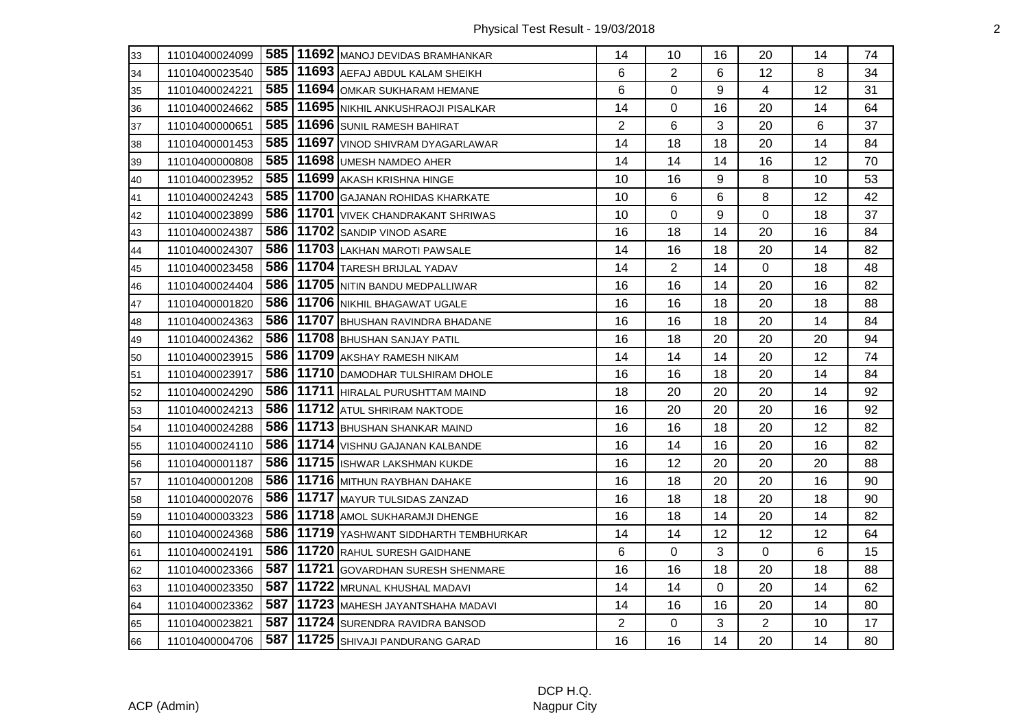| 33 | 11010400024099 |     | 585   11692   MANOJ DEVIDAS BRAMHANKAR    | 14             | 10             | 16           | 20             | 14 | 74 |
|----|----------------|-----|-------------------------------------------|----------------|----------------|--------------|----------------|----|----|
| 34 | 11010400023540 |     | 585   11693 AEFAJ ABDUL KALAM SHEIKH      | 6              | $\overline{2}$ | 6            | 12             | 8  | 34 |
| 35 | 11010400024221 | 585 | 11694 OMKAR SUKHARAM HEMANE               | 6              | 0              | 9            | 4              | 12 | 31 |
| 36 | 11010400024662 |     | 585   11695   NIKHIL ANKUSHRAOJI PISALKAR | 14             | 0              | 16           | 20             | 14 | 64 |
| 37 | 11010400000651 | 585 | 11696 SUNIL RAMESH BAHIRAT                | $\overline{2}$ | 6              | 3            | 20             | 6  | 37 |
| 38 | 11010400001453 | 585 | 11697 VINOD SHIVRAM DYAGARLAWAR           | 14             | 18             | 18           | 20             | 14 | 84 |
| 39 | 11010400000808 | 585 | 11698 UMESH NAMDEO AHER                   | 14             | 14             | 14           | 16             | 12 | 70 |
| 40 | 11010400023952 | 585 | 11699 AKASH KRISHNA HINGE                 | 10             | 16             | 9            | 8              | 10 | 53 |
| 41 | 11010400024243 | 585 | 11700 GAJANAN ROHIDAS KHARKATE            | 10             | 6              | 6            | 8              | 12 | 42 |
| 42 | 11010400023899 | 586 | 11701 VIVEK CHANDRAKANT SHRIWAS           | 10             | 0              | 9            | 0              | 18 | 37 |
| 43 | 11010400024387 | 586 | 11702 SANDIP VINOD ASARE                  | 16             | 18             | 14           | 20             | 16 | 84 |
| 44 | 11010400024307 | 586 | 11703 LAKHAN MAROTI PAWSALE               | 14             | 16             | 18           | 20             | 14 | 82 |
| 45 | 11010400023458 | 586 | 11704 TARESH BRIJLAL YADAV                | 14             | $\overline{2}$ | 14           | 0              | 18 | 48 |
| 46 | 11010400024404 |     | 586   11705   NITIN BANDU MEDPALLIWAR     | 16             | 16             | 14           | 20             | 16 | 82 |
| 47 | 11010400001820 |     | 586   11706   NIKHIL BHAGAWAT UGALE       | 16             | 16             | 18           | 20             | 18 | 88 |
| 48 | 11010400024363 | 586 | 11707 BHUSHAN RAVINDRA BHADANE            | 16             | 16             | 18           | 20             | 14 | 84 |
| 49 | 11010400024362 | 586 | 11708 BHUSHAN SANJAY PATIL                | 16             | 18             | 20           | 20             | 20 | 94 |
| 50 | 11010400023915 | 586 | 11709 AKSHAY RAMESH NIKAM                 | 14             | 14             | 14           | 20             | 12 | 74 |
| 51 | 11010400023917 |     | 586   11710   DAMODHAR TULSHIRAM DHOLE    | 16             | 16             | 18           | 20             | 14 | 84 |
| 52 | 11010400024290 |     | 586   11711   HIRALAL PURUSHTTAM MAIND    | 18             | 20             | 20           | 20             | 14 | 92 |
| 53 | 11010400024213 | 586 | 11712 ATUL SHRIRAM NAKTODE                | 16             | 20             | 20           | 20             | 16 | 92 |
| 54 | 11010400024288 | 586 | 11713 BHUSHAN SHANKAR MAIND               | 16             | 16             | 18           | 20             | 12 | 82 |
| 55 | 11010400024110 | 586 | 11714 VISHNU GAJANAN KALBANDE             | 16             | 14             | 16           | 20             | 16 | 82 |
| 56 | 11010400001187 |     | 586   11715   ISHWAR LAKSHMAN KUKDE       | 16             | 12             | 20           | 20             | 20 | 88 |
| 57 | 11010400001208 |     | 586   11716 MITHUN RAYBHAN DAHAKE         | 16             | 18             | 20           | 20             | 16 | 90 |
| 58 | 11010400002076 | 586 | 11717 MAYUR TULSIDAS ZANZAD               | 16             | 18             | 18           | 20             | 18 | 90 |
| 59 | 11010400003323 | 586 | 11718 AMOL SUKHARAMJI DHENGE              | 16             | 18             | 14           | 20             | 14 | 82 |
| 60 | 11010400024368 | 586 | 11719 YASHWANT SIDDHARTH TEMBHURKAR       | 14             | 14             | 12           | 12             | 12 | 64 |
| 61 | 11010400024191 | 586 | 11720 RAHUL SURESH GAIDHANE               | 6              | $\mathbf 0$    | 3            | 0              | 6  | 15 |
| 62 | 11010400023366 | 587 | 11721 GOVARDHAN SURESH SHENMARE           | 16             | 16             | 18           | 20             | 18 | 88 |
| 63 | 11010400023350 | 587 | 11722 MRUNAL KHUSHAL MADAVI               | 14             | 14             | $\mathbf{0}$ | 20             | 14 | 62 |
| 64 | 11010400023362 | 587 | 11723 MAHESH JAYANTSHAHA MADAVI           | 14             | 16             | 16           | 20             | 14 | 80 |
| 65 | 11010400023821 |     | 587   11724   SURENDRA RAVIDRA BANSOD     | $\overline{2}$ | 0              | 3            | $\overline{2}$ | 10 | 17 |
| 66 | 11010400004706 | 587 | 11725 SHIVAJI PANDURANG GARAD             | 16             | 16             | 14           | 20             | 14 | 80 |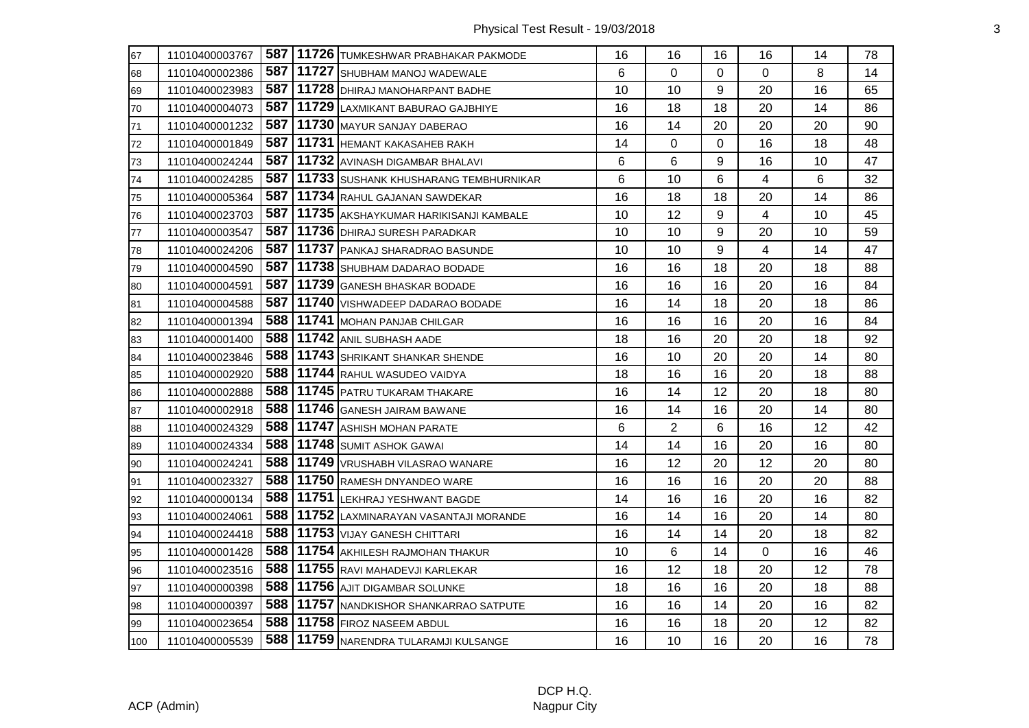| 67                                                          | 11010400003767 |     | 587   11726   TUMKESHWAR PRABHAKAR PAKMODE  | 16 | 16             | 16 | 16 | 14 | 78 |
|-------------------------------------------------------------|----------------|-----|---------------------------------------------|----|----------------|----|----|----|----|
| 68                                                          | 11010400002386 |     | 587   11727   SHUBHAM MANOJ WADEWALE        | 6  | 0              | 0  | 0  | 8  | 14 |
| 69                                                          | 11010400023983 |     | 587   11728   DHIRAJ MANOHARPANT BADHE      | 10 | 10             | 9  | 20 | 16 | 65 |
| $\overline{70}$                                             | 11010400004073 |     | 587   11729 LAXMIKANT BABURAO GAJBHIYE      | 16 | 18             | 18 | 20 | 14 | 86 |
| $\overline{71}$                                             | 11010400001232 |     | 587   11730 MAYUR SANJAY DABERAO            | 16 | 14             | 20 | 20 | 20 | 90 |
| $\overline{72}$                                             | 11010400001849 |     | 587   11731   HEMANT KAKASAHEB RAKH         | 14 | 0              | 0  | 16 | 18 | 48 |
| 73                                                          | 11010400024244 |     | 587   11732 AVINASH DIGAMBAR BHALAVI        | 6  | 6              | 9  | 16 | 10 | 47 |
| $\overline{74}$                                             | 11010400024285 |     | 587   11733 SUSHANK KHUSHARANG TEMBHURNIKAR | 6  | 10             | 6  | 4  | 6  | 32 |
| $\overline{75}$                                             | 11010400005364 |     | 587   11734 RAHUL GAJANAN SAWDEKAR          | 16 | 18             | 18 | 20 | 14 | 86 |
| 76                                                          | 11010400023703 |     | 587   11735 AKSHAYKUMAR HARIKISANJI KAMBALE | 10 | 12             | 9  | 4  | 10 | 45 |
| $\overline{77}$                                             | 11010400003547 |     | 587   11736   DHIRAJ SURESH PARADKAR        | 10 | 10             | 9  | 20 | 10 | 59 |
| 78                                                          | 11010400024206 |     | 587   11737   PANKAJ SHARADRAO BASUNDE      | 10 | 10             | 9  | 4  | 14 | 47 |
| 79                                                          | 11010400004590 |     | 587   11738 SHUBHAM DADARAO BODADE          | 16 | 16             | 18 | 20 | 18 | 88 |
| 80                                                          | 11010400004591 |     | 587   11739 GANESH BHASKAR BODADE           | 16 | 16             | 16 | 20 | 16 | 84 |
| $\overline{81}$                                             | 11010400004588 |     | 587   11740   VISHWADEEP DADARAO BODADE     | 16 | 14             | 18 | 20 | 18 | 86 |
| 82                                                          | 11010400001394 | 588 | 11741 MOHAN PANJAB CHILGAR                  | 16 | 16             | 16 | 20 | 16 | 84 |
| 83                                                          | 11010400001400 | 588 | 11742 ANIL SUBHASH AADE                     | 18 | 16             | 20 | 20 | 18 | 92 |
| 84                                                          | 11010400023846 |     | 588   11743 SHRIKANT SHANKAR SHENDE         | 16 | 10             | 20 | 20 | 14 | 80 |
|                                                             | 11010400002920 |     | 588 11744 RAHUL WASUDEO VAIDYA              | 18 | 16             | 16 | 20 | 18 | 88 |
| 85<br>86                                                    | 11010400002888 |     | 588   11745   PATRU TUKARAM THAKARE         | 16 | 14             | 12 | 20 | 18 | 80 |
| 87                                                          | 11010400002918 |     | 588   11746 GANESH JAIRAM BAWANE            | 16 | 14             | 16 | 20 | 14 | 80 |
| 88                                                          | 11010400024329 | 588 | 11747 ASHISH MOHAN PARATE                   | 6  | $\overline{2}$ | 6  | 16 | 12 | 42 |
| 89                                                          | 11010400024334 |     | <b>588   11748   SUMIT ASHOK GAWAI</b>      | 14 | 14             | 16 | 20 | 16 | 80 |
| 90                                                          | 11010400024241 |     | 588   11749   VRUSHABH VILASRAO WANARE      | 16 | 12             | 20 | 12 | 20 | 80 |
| 91                                                          | 11010400023327 |     | 588   11750 RAMESH DNYANDEO WARE            | 16 | 16             | 16 | 20 | 20 | 88 |
| 92                                                          | 11010400000134 |     | 588   11751 LEKHRAJ YESHWANT BAGDE          | 14 | 16             | 16 | 20 | 16 | 82 |
| 93                                                          | 11010400024061 | 588 | 11752 LAXMINARAYAN VASANTAJI MORANDE        | 16 | 14             | 16 | 20 | 14 | 80 |
| 94                                                          | 11010400024418 |     | 588   11753   VIJAY GANESH CHITTARI         | 16 | 14             | 14 | 20 | 18 | 82 |
|                                                             | 11010400001428 |     | 588   11754 AKHILESH RAJMOHAN THAKUR        | 10 | 6              | 14 | 0  | 16 | 46 |
| $\begin{array}{r} 95 \\ \hline 96 \\ \hline 97 \end{array}$ | 11010400023516 |     | 588   11755 RAVI MAHADEVJI KARLEKAR         | 16 | 12             | 18 | 20 | 12 | 78 |
|                                                             | 11010400000398 | 588 | 11756 AJIT DIGAMBAR SOLUNKE                 | 18 | 16             | 16 | 20 | 18 | 88 |
| 98                                                          | 11010400000397 | 588 | 11757 NANDKISHOR SHANKARRAO SATPUTE         | 16 | 16             | 14 | 20 | 16 | 82 |
| 99                                                          | 11010400023654 |     | 588   11758   FIROZ NASEEM ABDUL            | 16 | 16             | 18 | 20 | 12 | 82 |
| $\frac{100}{100}$                                           | 11010400005539 |     | 588   11759   NARENDRA TULARAMJI KULSANGE   | 16 | 10             | 16 | 20 | 16 | 78 |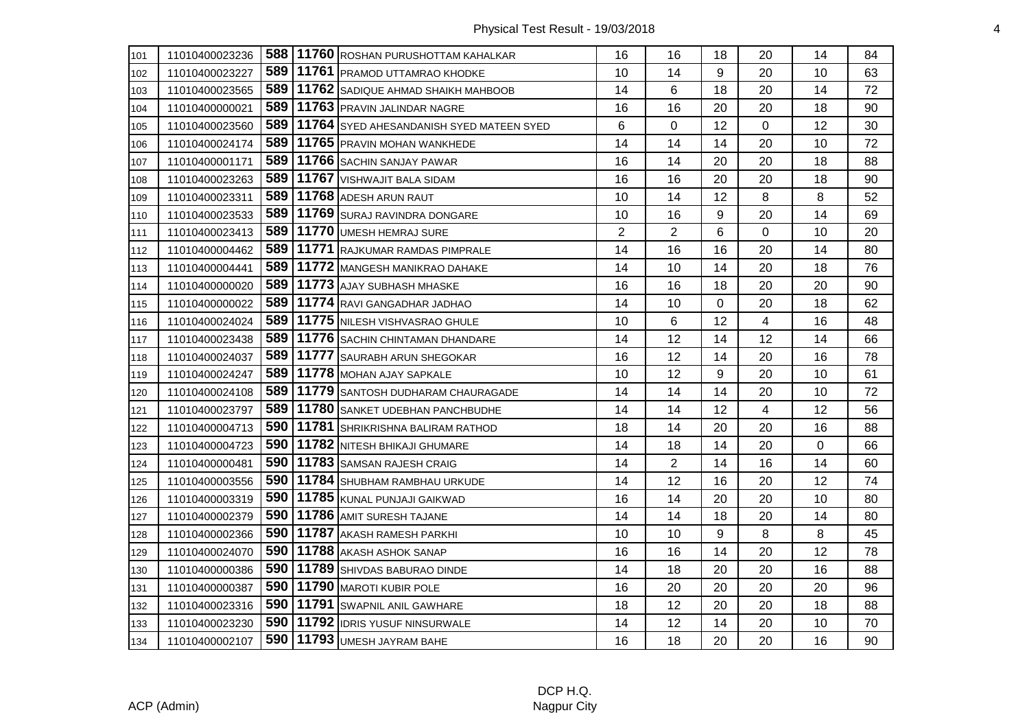| 101 | 11010400023236 |       | 588   11760 ROSHAN PURUSHOTTAM KAHALKAR          | 16             | 16             | 18       | 20 | 14 | 84 |
|-----|----------------|-------|--------------------------------------------------|----------------|----------------|----------|----|----|----|
| 102 | 11010400023227 |       | 589   11761   PRAMOD UTTAMRAO KHODKE             | 10             | 14             | 9        | 20 | 10 | 63 |
| 103 | 11010400023565 |       | 589   11762   SADIQUE AHMAD SHAIKH MAHBOOB       | 14             | 6              | 18       | 20 | 14 | 72 |
| 104 | 11010400000021 |       | 589   11763   PRAVIN JALINDAR NAGRE              | 16             | 16             | 20       | 20 | 18 | 90 |
| 105 | 11010400023560 |       | 589   11764   SYED AHESANDANISH SYED MATEEN SYED | 6              | 0              | 12       | 0  | 12 | 30 |
| 106 | 11010400024174 |       | 589   11765   PRAVIN MOHAN WANKHEDE              | 14             | 14             | 14       | 20 | 10 | 72 |
| 107 | 11010400001171 |       | 589   11766   SACHIN SANJAY PAWAR                | 16             | 14             | 20       | 20 | 18 | 88 |
| 108 | 11010400023263 | 589   | 11767 VISHWAJIT BALA SIDAM                       | 16             | 16             | 20       | 20 | 18 | 90 |
| 109 | 11010400023311 |       | 589   11768   ADESH ARUN RAUT                    | 10             | 14             | 12       | 8  | 8  | 52 |
| 110 | 11010400023533 |       | 589   11769   SURAJ RAVINDRA DONGARE             | 10             | 16             | 9        | 20 | 14 | 69 |
| 111 | 11010400023413 |       | 589   11770   UMESH HEMRAJ SURE                  | $\overline{2}$ | $\overline{2}$ | 6        | 0  | 10 | 20 |
| 112 | 11010400004462 | 589   | 11771 RAJKUMAR RAMDAS PIMPRALE                   | 14             | 16             | 16       | 20 | 14 | 80 |
| 113 | 11010400004441 |       | 589   11772   MANGESH MANIKRAO DAHAKE            | 14             | 10             | 14       | 20 | 18 | 76 |
| 114 | 11010400000020 |       | 589   11773   AJAY SUBHASH MHASKE                | 16             | 16             | 18       | 20 | 20 | 90 |
| 115 | 11010400000022 |       | 589   11774 RAVI GANGADHAR JADHAO                | 14             | 10             | $\Omega$ | 20 | 18 | 62 |
| 116 | 11010400024024 | 589   | 11775 NILESH VISHVASRAO GHULE                    | 10             | 6              | 12       | 4  | 16 | 48 |
| 117 | 11010400023438 | 589   | 11776 SACHIN CHINTAMAN DHANDARE                  | 14             | 12             | 14       | 12 | 14 | 66 |
| 118 | 11010400024037 | 589   | 11777 SAURABH ARUN SHEGOKAR                      | 16             | 12             | 14       | 20 | 16 | 78 |
| 119 | 11010400024247 |       | 589   11778 MOHAN AJAY SAPKALE                   | 10             | 12             | 9        | 20 | 10 | 61 |
| 120 | 11010400024108 |       | 589   11779   SANTOSH DUDHARAM CHAURAGADE        | 14             | 14             | 14       | 20 | 10 | 72 |
| 121 | 11010400023797 |       | 589   11780   SANKET UDEBHAN PANCHBUDHE          | 14             | 14             | 12       | 4  | 12 | 56 |
| 122 | 11010400004713 | 590 l | 11781 SHRIKRISHNA BALIRAM RATHOD                 | 18             | 14             | 20       | 20 | 16 | 88 |
| 123 | 11010400004723 |       | 590   11782   NITESH BHIKAJI GHUMARE             | 14             | 18             | 14       | 20 | 0  | 66 |
| 124 | 11010400000481 |       | 590   11783   SAMSAN RAJESH CRAIG                | 14             | $\overline{2}$ | 14       | 16 | 14 | 60 |
| 125 | 11010400003556 |       | 590   11784 SHUBHAM RAMBHAU URKUDE               | 14             | 12             | 16       | 20 | 12 | 74 |
| 126 | 11010400003319 |       | 590   11785   KUNAL PUNJAJI GAIKWAD              | 16             | 14             | 20       | 20 | 10 | 80 |
| 127 | 11010400002379 | 590 l | 11786 AMIT SURESH TAJANE                         | 14             | 14             | 18       | 20 | 14 | 80 |
| 128 | 11010400002366 |       | 590   11787 AKASH RAMESH PARKHI                  | 10             | 10             | 9        | 8  | 8  | 45 |
| 129 | 11010400024070 |       | 590   11788   AKASH ASHOK SANAP                  | 16             | 16             | 14       | 20 | 12 | 78 |
| 130 | 11010400000386 |       | 590   11789   SHIVDAS BABURAO DINDE              | 14             | 18             | 20       | 20 | 16 | 88 |
| 131 | 11010400000387 |       | <b>590   11790   MAROTI KUBIR POLE</b>           | 16             | 20             | 20       | 20 | 20 | 96 |
| 132 | 11010400023316 |       | 590   11791   SWAPNIL ANIL GAWHARE               | 18             | 12             | 20       | 20 | 18 | 88 |
| 133 | 11010400023230 |       | 590   11792   IDRIS YUSUF NINSURWALE             | 14             | 12             | 14       | 20 | 10 | 70 |
| 134 | 11010400002107 |       | 590   11793   UMESH JAYRAM BAHE                  | 16             | 18             | 20       | 20 | 16 | 90 |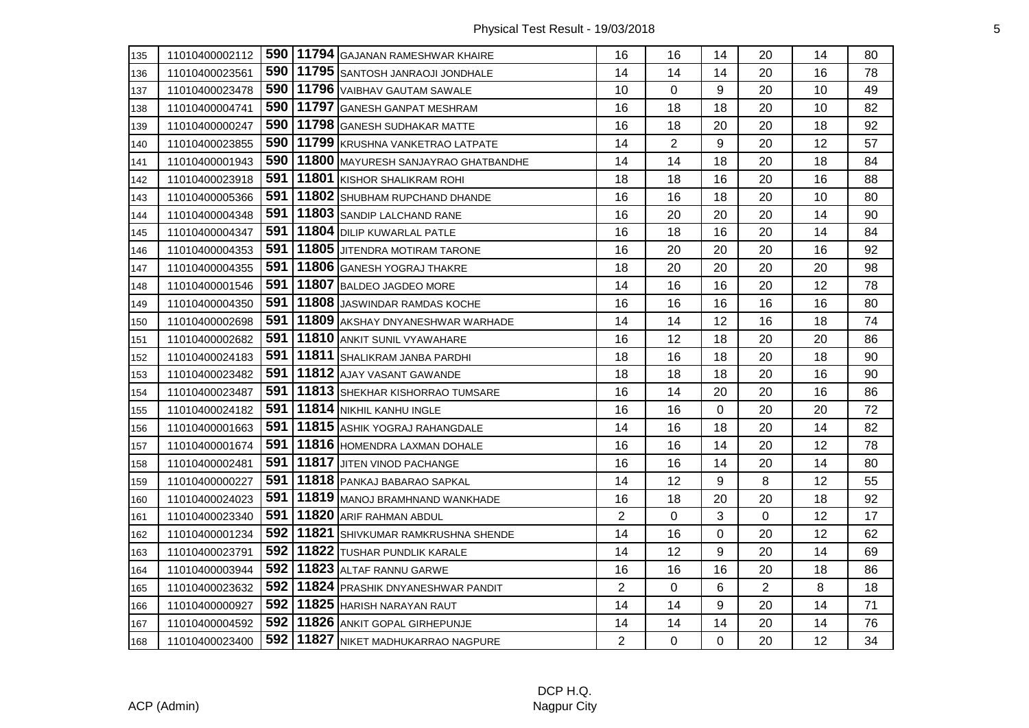| 135 | 11010400002112 |       | 590   11794 GAJANAN RAMESHWAR KHAIRE      | 16             | 16             | 14          | 20             | 14 | 80 |
|-----|----------------|-------|-------------------------------------------|----------------|----------------|-------------|----------------|----|----|
| 136 | 11010400023561 | 590 l | 11795 SANTOSH JANRAOJI JONDHALE           | 14             | 14             | 14          | 20             | 16 | 78 |
| 137 | 11010400023478 |       | 590   11796   VAIBHAV GAUTAM SAWALE       | 10             | 0              | 9           | 20             | 10 | 49 |
| 138 | 11010400004741 | 590 l | 11797 GANESH GANPAT MESHRAM               | 16             | 18             | 18          | 20             | 10 | 82 |
| 139 | 11010400000247 | 590   | 11798 GANESH SUDHAKAR MATTE               | 16             | 18             | 20          | 20             | 18 | 92 |
| 140 | 11010400023855 | 590   | 11799 KRUSHNA VANKETRAO LATPATE           | 14             | $\overline{2}$ | 9           | 20             | 12 | 57 |
| 141 | 11010400001943 | 590   | 11800 MAYURESH SANJAYRAO GHATBANDHE       | 14             | 14             | 18          | 20             | 18 | 84 |
| 142 | 11010400023918 | 591   | 11801 KISHOR SHALIKRAM ROHI               | 18             | 18             | 16          | 20             | 16 | 88 |
| 143 | 11010400005366 | 591   | 11802 SHUBHAM RUPCHAND DHANDE             | 16             | 16             | 18          | 20             | 10 | 80 |
| 144 | 11010400004348 | 591   | 11803 SANDIP LALCHAND RANE                | 16             | 20             | 20          | 20             | 14 | 90 |
| 145 | 11010400004347 | 591   | 11804 DILIP KUWARLAL PATLE                | 16             | 18             | 16          | 20             | 14 | 84 |
| 146 | 11010400004353 | 591   | 11805 JITENDRA MOTIRAM TARONE             | 16             | 20             | 20          | 20             | 16 | 92 |
| 147 | 11010400004355 | 591   | 11806 GANESH YOGRAJ THAKRE                | 18             | 20             | 20          | 20             | 20 | 98 |
| 148 | 11010400001546 | 591   | 11807 BALDEO JAGDEO MORE                  | 14             | 16             | 16          | 20             | 12 | 78 |
| 149 | 11010400004350 | 591   | 11808 JASWINDAR RAMDAS KOCHE              | 16             | 16             | 16          | 16             | 16 | 80 |
| 150 | 11010400002698 | 591   | 11809 AKSHAY DNYANESHWAR WARHADE          | 14             | 14             | 12          | 16             | 18 | 74 |
| 151 | 11010400002682 | 591   | 11810 ANKIT SUNIL VYAWAHARE               | 16             | 12             | 18          | 20             | 20 | 86 |
| 152 | 11010400024183 | 591   | 11811 SHALIKRAM JANBA PARDHI              | 18             | 16             | 18          | 20             | 18 | 90 |
| 153 | 11010400023482 | 591   | 11812 AJAY VASANT GAWANDE                 | 18             | 18             | 18          | 20             | 16 | 90 |
| 154 | 11010400023487 | 591   | 11813 SHEKHAR KISHORRAO TUMSARE           | 16             | 14             | 20          | 20             | 16 | 86 |
| 155 | 11010400024182 | 591   | 11814 NIKHIL KANHU INGLE                  | 16             | 16             | $\mathbf 0$ | 20             | 20 | 72 |
| 156 | 11010400001663 | 591   | 11815 ASHIK YOGRAJ RAHANGDALE             | 14             | 16             | 18          | 20             | 14 | 82 |
| 157 | 11010400001674 | 591   | 11816 HOMENDRA LAXMAN DOHALE              | 16             | 16             | 14          | 20             | 12 | 78 |
| 158 | 11010400002481 | 591   | 11817 JITEN VINOD PACHANGE                | 16             | 16             | 14          | 20             | 14 | 80 |
| 159 | 11010400000227 | 591   | 11818 PANKAJ BABARAO SAPKAL               | 14             | 12             | 9           | 8              | 12 | 55 |
| 160 | 11010400024023 | 591   | 11819 MANOJ BRAMHNAND WANKHADE            | 16             | 18             | 20          | 20             | 18 | 92 |
| 161 | 11010400023340 | 591   | 11820 ARIF RAHMAN ABDUL                   | 2              | 0              | 3           | 0              | 12 | 17 |
| 162 | 11010400001234 |       | 592   11821   SHIVKUMAR RAMKRUSHNA SHENDE | 14             | 16             | $\mathbf 0$ | 20             | 12 | 62 |
| 163 | 11010400023791 | 592   | 11822 TUSHAR PUNDLIK KARALE               | 14             | 12             | 9           | 20             | 14 | 69 |
| 164 | 11010400003944 |       | 592   11823   ALTAF RANNU GARWE           | 16             | 16             | 16          | 20             | 18 | 86 |
| 165 | 11010400023632 | 592   | 11824 PRASHIK DNYANESHWAR PANDIT          | $\overline{2}$ | 0              | 6           | $\overline{2}$ | 8  | 18 |
| 166 | 11010400000927 |       | 592   11825   HARISH NARAYAN RAUT         | 14             | 14             | 9           | 20             | 14 | 71 |
| 167 | 11010400004592 |       | 592   11826 ANKIT GOPAL GIRHEPUNJE        | 14             | 14             | 14          | 20             | 14 | 76 |
| 168 | 11010400023400 |       | 592   11827   NIKET MADHUKARRAO NAGPURE   | $\overline{2}$ | 0              | $\mathbf 0$ | 20             | 12 | 34 |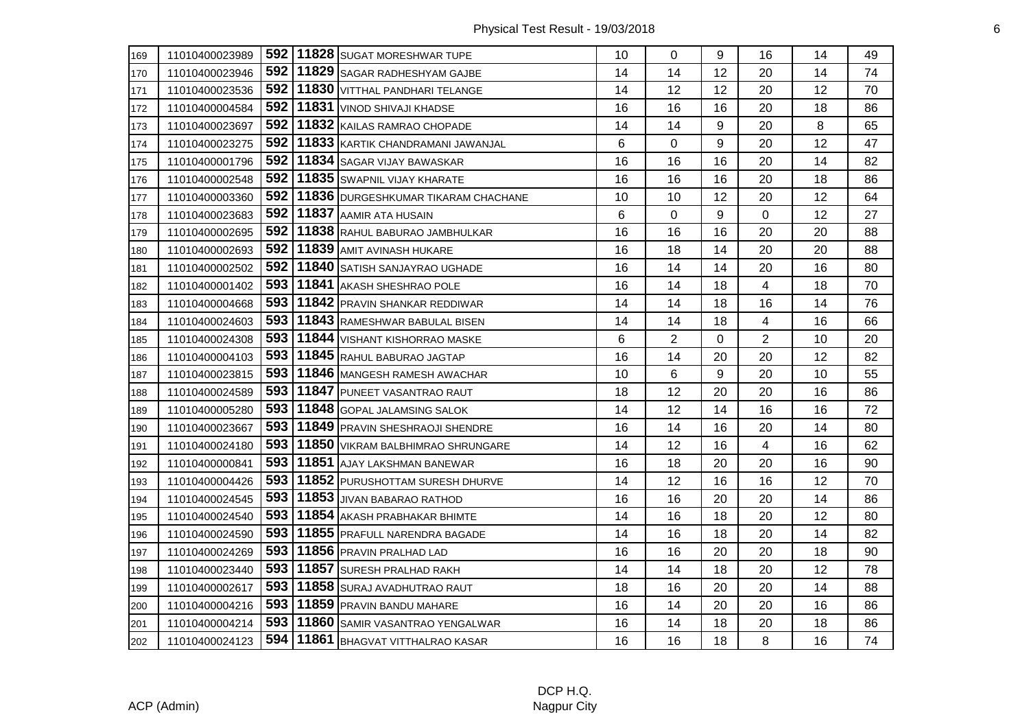| 169 | 11010400023989 |     | 592   11828   SUGAT MORESHWAR TUPE      | 10 | 0              | 9  | 16 | 14 | 49 |
|-----|----------------|-----|-----------------------------------------|----|----------------|----|----|----|----|
| 170 | 11010400023946 | 592 | 11829 SAGAR RADHESHYAM GAJBE            | 14 | 14             | 12 | 20 | 14 | 74 |
| 171 | 11010400023536 | 592 | 11830 VITTHAL PANDHARI TELANGE          | 14 | 12             | 12 | 20 | 12 | 70 |
| 172 | 11010400004584 | 592 | 11831 VINOD SHIVAJI KHADSE              | 16 | 16             | 16 | 20 | 18 | 86 |
| 173 | 11010400023697 | 592 | 11832 KAILAS RAMRAO CHOPADE             | 14 | 14             | 9  | 20 | 8  | 65 |
| 174 | 11010400023275 |     | 592   11833 KARTIK CHANDRAMANI JAWANJAL | 6  | 0              | 9  | 20 | 12 | 47 |
| 175 | 11010400001796 | 592 | 11834 SAGAR VIJAY BAWASKAR              | 16 | 16             | 16 | 20 | 14 | 82 |
| 176 | 11010400002548 | 592 | 11835 SWAPNIL VIJAY KHARATE             | 16 | 16             | 16 | 20 | 18 | 86 |
| 177 | 11010400003360 | 592 | 11836 DURGESHKUMAR TIKARAM CHACHANE     | 10 | 10             | 12 | 20 | 12 | 64 |
| 178 | 11010400023683 | 592 | 11837 AAMIR ATA HUSAIN                  | 6  | 0              | 9  | 0  | 12 | 27 |
| 179 | 11010400002695 |     | 592   11838 RAHUL BABURAO JAMBHULKAR    | 16 | 16             | 16 | 20 | 20 | 88 |
| 180 | 11010400002693 | 592 | 11839 AMIT AVINASH HUKARE               | 16 | 18             | 14 | 20 | 20 | 88 |
| 181 | 11010400002502 | 592 | 11840 SATISH SANJAYRAO UGHADE           | 16 | 14             | 14 | 20 | 16 | 80 |
| 182 | 11010400001402 | 593 | 11841 AKASH SHESHRAO POLE               | 16 | 14             | 18 | 4  | 18 | 70 |
| 183 | 11010400004668 | 593 | 11842 PRAVIN SHANKAR REDDIWAR           | 14 | 14             | 18 | 16 | 14 | 76 |
| 184 | 11010400024603 | 593 | 11843 RAMESHWAR BABULAL BISEN           | 14 | 14             | 18 | 4  | 16 | 66 |
| 185 | 11010400024308 | 593 | 11844 VISHANT KISHORRAO MASKE           | 6  | $\overline{2}$ | 0  | 2  | 10 | 20 |
| 186 | 11010400004103 | 593 | 11845 RAHUL BABURAO JAGTAP              | 16 | 14             | 20 | 20 | 12 | 82 |
| 187 | 11010400023815 | 593 | 11846 MANGESH RAMESH AWACHAR            | 10 | 6              | 9  | 20 | 10 | 55 |
| 188 | 11010400024589 | 593 | 11847 PUNEET VASANTRAO RAUT             | 18 | 12             | 20 | 20 | 16 | 86 |
| 189 | 11010400005280 | 593 | 11848 GOPAL JALAMSING SALOK             | 14 | 12             | 14 | 16 | 16 | 72 |
| 190 | 11010400023667 | 593 | 11849 PRAVIN SHESHRAOJI SHENDRE         | 16 | 14             | 16 | 20 | 14 | 80 |
| 191 | 11010400024180 | 593 | 11850 VIKRAM BALBHIMRAO SHRUNGARE       | 14 | 12             | 16 | 4  | 16 | 62 |
| 192 | 11010400000841 | 593 | 11851 AJAY LAKSHMAN BANEWAR             | 16 | 18             | 20 | 20 | 16 | 90 |
| 193 | 11010400004426 | 593 | 11852 PURUSHOTTAM SURESH DHURVE         | 14 | 12             | 16 | 16 | 12 | 70 |
| 194 | 11010400024545 | 593 | 11853 JJIVAN BABARAO RATHOD             | 16 | 16             | 20 | 20 | 14 | 86 |
| 195 | 11010400024540 | 593 | 11854 AKASH PRABHAKAR BHIMTE            | 14 | 16             | 18 | 20 | 12 | 80 |
| 196 | 11010400024590 | 593 | 11855 PRAFULL NARENDRA BAGADE           | 14 | 16             | 18 | 20 | 14 | 82 |
| 197 | 11010400024269 | 593 | 11856 PRAVIN PRALHAD LAD                | 16 | 16             | 20 | 20 | 18 | 90 |
| 198 | 11010400023440 | 593 | 11857 SURESH PRALHAD RAKH               | 14 | 14             | 18 | 20 | 12 | 78 |
| 199 | 11010400002617 | 593 | 11858 SURAJ AVADHUTRAO RAUT             | 18 | 16             | 20 | 20 | 14 | 88 |
| 200 | 11010400004216 | 593 | 11859 PRAVIN BANDU MAHARE               | 16 | 14             | 20 | 20 | 16 | 86 |
| 201 | 11010400004214 | 593 | 11860 SAMIR VASANTRAO YENGALWAR         | 16 | 14             | 18 | 20 | 18 | 86 |
| 202 | 11010400024123 | 594 | 11861 BHAGVAT VITTHALRAO KASAR          | 16 | 16             | 18 | 8  | 16 | 74 |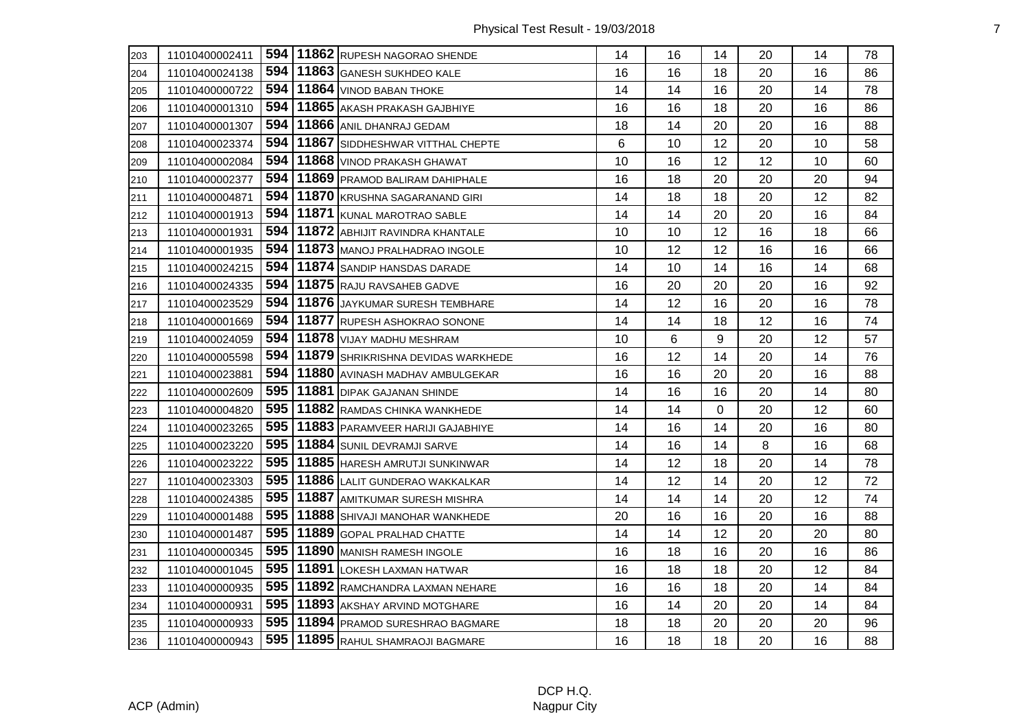| 203 | 11010400002411 |       | 594   11862 RUPESH NAGORAO SHENDE      | 14 | 16 | 14          | 20 | 14 | 78 |
|-----|----------------|-------|----------------------------------------|----|----|-------------|----|----|----|
| 204 | 11010400024138 | 594   | 11863 GANESH SUKHDEO KALE              | 16 | 16 | 18          | 20 | 16 | 86 |
| 205 | 11010400000722 |       | 594   11864   VINOD BABAN THOKE        | 14 | 14 | 16          | 20 | 14 | 78 |
| 206 | 11010400001310 | 594   | 11865 AKASH PRAKASH GAJBHIYE           | 16 | 16 | 18          | 20 | 16 | 86 |
| 207 | 11010400001307 |       | 594   11866 ANIL DHANRAJ GEDAM         | 18 | 14 | 20          | 20 | 16 | 88 |
| 208 | 11010400023374 | 594   | 11867 SIDDHESHWAR VITTHAL CHEPTE       | 6  | 10 | 12          | 20 | 10 | 58 |
| 209 | 11010400002084 | 594   | 11868 VINOD PRAKASH GHAWAT             | 10 | 16 | 12          | 12 | 10 | 60 |
| 210 | 11010400002377 | 594   | 11869 PRAMOD BALIRAM DAHIPHALE         | 16 | 18 | 20          | 20 | 20 | 94 |
| 211 | 11010400004871 | 594   | 11870 KRUSHNA SAGARANAND GIRI          | 14 | 18 | 18          | 20 | 12 | 82 |
| 212 | 11010400001913 | 594   | 11871 KUNAL MAROTRAO SABLE             | 14 | 14 | 20          | 20 | 16 | 84 |
| 213 | 11010400001931 | 594   | 11872 ABHIJIT RAVINDRA KHANTALE        | 10 | 10 | 12          | 16 | 18 | 66 |
| 214 | 11010400001935 | 594   | 11873 MANOJ PRALHADRAO INGOLE          | 10 | 12 | 12          | 16 | 16 | 66 |
| 215 | 11010400024215 | 594   | 11874 SANDIP HANSDAS DARADE            | 14 | 10 | 14          | 16 | 14 | 68 |
| 216 | 11010400024335 | 594   | 11875 RAJU RAVSAHEB GADVE              | 16 | 20 | 20          | 20 | 16 | 92 |
| 217 | 11010400023529 |       | 594   11876   JAYKUMAR SURESH TEMBHARE | 14 | 12 | 16          | 20 | 16 | 78 |
| 218 | 11010400001669 | 594   | 11877 RUPESH ASHOKRAO SONONE           | 14 | 14 | 18          | 12 | 16 | 74 |
| 219 | 11010400024059 | 594   | 11878 VIJAY MADHU MESHRAM              | 10 | 6  | 9           | 20 | 12 | 57 |
| 220 | 11010400005598 | 594   | 11879 SHRIKRISHNA DEVIDAS WARKHEDE     | 16 | 12 | 14          | 20 | 14 | 76 |
| 221 | 11010400023881 |       | 594   11880 AVINASH MADHAV AMBULGEKAR  | 16 | 16 | 20          | 20 | 16 | 88 |
| 222 | 11010400002609 | 595   | 11881 DIPAK GAJANAN SHINDE             | 14 | 16 | 16          | 20 | 14 | 80 |
| 223 | 11010400004820 | 595   | 11882 RAMDAS CHINKA WANKHEDE           | 14 | 14 | $\mathbf 0$ | 20 | 12 | 60 |
| 224 | 11010400023265 | 595   | 11883 PARAMVEER HARIJI GAJABHIYE       | 14 | 16 | 14          | 20 | 16 | 80 |
| 225 | 11010400023220 | 595   | 11884 SUNIL DEVRAMJI SARVE             | 14 | 16 | 14          | 8  | 16 | 68 |
| 226 | 11010400023222 |       | 595   11885   HARESH AMRUTJI SUNKINWAR | 14 | 12 | 18          | 20 | 14 | 78 |
| 227 | 11010400023303 |       | 595   11886   LALIT GUNDERAO WAKKALKAR | 14 | 12 | 14          | 20 | 12 | 72 |
| 228 | 11010400024385 |       | 595   11887 AMITKUMAR SURESH MISHRA    | 14 | 14 | 14          | 20 | 12 | 74 |
| 229 | 11010400001488 | 595   | 11888 SHIVAJI MANOHAR WANKHEDE         | 20 | 16 | 16          | 20 | 16 | 88 |
| 230 | 11010400001487 | 595   | 11889 GOPAL PRALHAD CHATTE             | 14 | 14 | 12          | 20 | 20 | 80 |
| 231 | 11010400000345 | 595   | 11890 MANISH RAMESH INGOLE             | 16 | 18 | 16          | 20 | 16 | 86 |
| 232 | 11010400001045 | 595   | 11891 LOKESH LAXMAN HATWAR             | 16 | 18 | 18          | 20 | 12 | 84 |
| 233 | 11010400000935 | 595   | 11892 RAMCHANDRA LAXMAN NEHARE         | 16 | 16 | 18          | 20 | 14 | 84 |
| 234 | 11010400000931 | 595 l | 11893 AKSHAY ARVIND MOTGHARE           | 16 | 14 | 20          | 20 | 14 | 84 |
| 235 | 11010400000933 |       | 595   11894   PRAMOD SURESHRAO BAGMARE | 18 | 18 | 20          | 20 | 20 | 96 |
| 236 | 11010400000943 |       | 595   11895 RAHUL SHAMRAOJI BAGMARE    | 16 | 18 | 18          | 20 | 16 | 88 |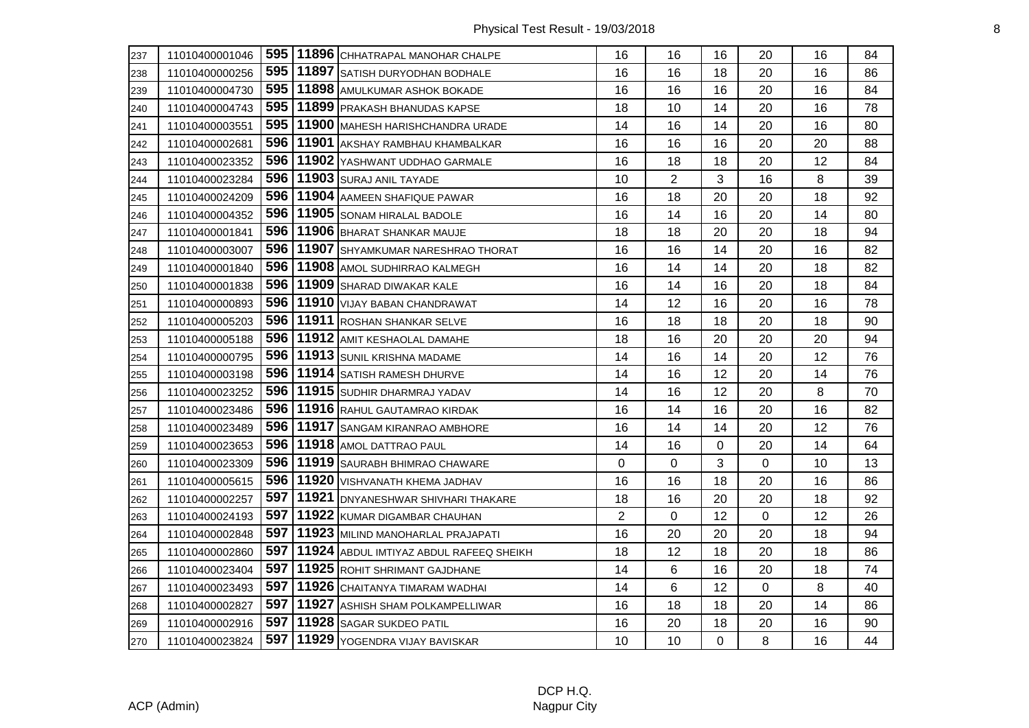| 237 | 11010400001046 |       | 595   11896   CHHATRAPAL MANOHAR CHALPE    | 16             | 16             | 16          | 20 | 16 | 84 |
|-----|----------------|-------|--------------------------------------------|----------------|----------------|-------------|----|----|----|
| 238 | 11010400000256 |       | 595   11897   SATISH DURYODHAN BODHALE     | 16             | 16             | 18          | 20 | 16 | 86 |
| 239 | 11010400004730 |       | 595   11898   AMULKUMAR ASHOK BOKADE       | 16             | 16             | 16          | 20 | 16 | 84 |
| 240 | 11010400004743 | 595   | 11899 PRAKASH BHANUDAS KAPSE               | 18             | 10             | 14          | 20 | 16 | 78 |
| 241 | 11010400003551 |       | 595   11900   MAHESH HARISHCHANDRA URADE   | 14             | 16             | 14          | 20 | 16 | 80 |
| 242 | 11010400002681 |       | 596   11901 AKSHAY RAMBHAU KHAMBALKAR      | 16             | 16             | 16          | 20 | 20 | 88 |
| 243 | 11010400023352 |       | 596   11902   YASHWANT UDDHAO GARMALE      | 16             | 18             | 18          | 20 | 12 | 84 |
| 244 | 11010400023284 | 596 l | 11903 SURAJ ANIL TAYADE                    | 10             | $\overline{2}$ | 3           | 16 | 8  | 39 |
| 245 | 11010400024209 | 596   | 11904 AAMEEN SHAFIQUE PAWAR                | 16             | 18             | 20          | 20 | 18 | 92 |
| 246 | 11010400004352 | 596   | 11905 SONAM HIRALAL BADOLE                 | 16             | 14             | 16          | 20 | 14 | 80 |
| 247 | 11010400001841 |       | 596   11906   BHARAT SHANKAR MAUJE         | 18             | 18             | 20          | 20 | 18 | 94 |
| 248 | 11010400003007 |       | 596   11907 SHYAMKUMAR NARESHRAO THORAT    | 16             | 16             | 14          | 20 | 16 | 82 |
| 249 | 11010400001840 | 596 l | 11908 AMOL SUDHIRRAO KALMEGH               | 16             | 14             | 14          | 20 | 18 | 82 |
| 250 | 11010400001838 |       | 596   11909   SHARAD DIWAKAR KALE          | 16             | 14             | 16          | 20 | 18 | 84 |
| 251 | 11010400000893 |       | 596   11910   VIJAY BABAN CHANDRAWAT       | 14             | 12             | 16          | 20 | 16 | 78 |
| 252 | 11010400005203 | 596   | 11911 ROSHAN SHANKAR SELVE                 | 16             | 18             | 18          | 20 | 18 | 90 |
| 253 | 11010400005188 | 596   | 11912 AMIT KESHAOLAL DAMAHE                | 18             | 16             | 20          | 20 | 20 | 94 |
| 254 | 11010400000795 | 596   | 11913 SUNIL KRISHNA MADAME                 | 14             | 16             | 14          | 20 | 12 | 76 |
| 255 | 11010400003198 |       | 596   11914   SATISH RAMESH DHURVE         | 14             | 16             | 12          | 20 | 14 | 76 |
| 256 | 11010400023252 |       | 596   11915   SUDHIR DHARMRAJ YADAV        | 14             | 16             | 12          | 20 | 8  | 70 |
| 257 | 11010400023486 | 596   | 11916 RAHUL GAUTAMRAO KIRDAK               | 16             | 14             | 16          | 20 | 16 | 82 |
| 258 | 11010400023489 | 596   | 11917 SANGAM KIRANRAO AMBHORE              | 16             | 14             | 14          | 20 | 12 | 76 |
| 259 | 11010400023653 |       | 596   11918   AMOL DATTRAO PAUL            | 14             | 16             | $\Omega$    | 20 | 14 | 64 |
| 260 | 11010400023309 |       | 596   11919   SAURABH BHIMRAO CHAWARE      | 0              | 0              | 3           | 0  | 10 | 13 |
| 261 | 11010400005615 |       | 596   11920   VISHVANATH KHEMA JADHAV      | 16             | 16             | 18          | 20 | 16 | 86 |
| 262 | 11010400002257 |       | 597   11921   DNYANESHWAR SHIVHARI THAKARE | 18             | 16             | 20          | 20 | 18 | 92 |
| 263 | 11010400024193 | 597   | 11922 KUMAR DIGAMBAR CHAUHAN               | $\overline{2}$ | 0              | 12          | 0  | 12 | 26 |
| 264 | 11010400002848 | 597   | 11923 MILIND MANOHARLAL PRAJAPATI          | 16             | 20             | 20          | 20 | 18 | 94 |
| 265 | 11010400002860 | 597   | 11924 ABDUL IMTIYAZ ABDUL RAFEEQ SHEIKH    | 18             | 12             | 18          | 20 | 18 | 86 |
| 266 | 11010400023404 | 597   | 11925 ROHIT SHRIMANT GAJDHANE              | 14             | 6              | 16          | 20 | 18 | 74 |
| 267 | 11010400023493 | 597 l | 11926 CHAITANYA TIMARAM WADHAI             | 14             | 6              | 12          | 0  | 8  | 40 |
| 268 | 11010400002827 | 597   | 11927 ASHISH SHAM POLKAMPELLIWAR           | 16             | 18             | 18          | 20 | 14 | 86 |
| 269 | 11010400002916 |       | 597   11928   SAGAR SUKDEO PATIL           | 16             | 20             | 18          | 20 | 16 | 90 |
| 270 | 11010400023824 |       | 597   11929   YOGENDRA VIJAY BAVISKAR      | 10             | 10             | $\mathbf 0$ | 8  | 16 | 44 |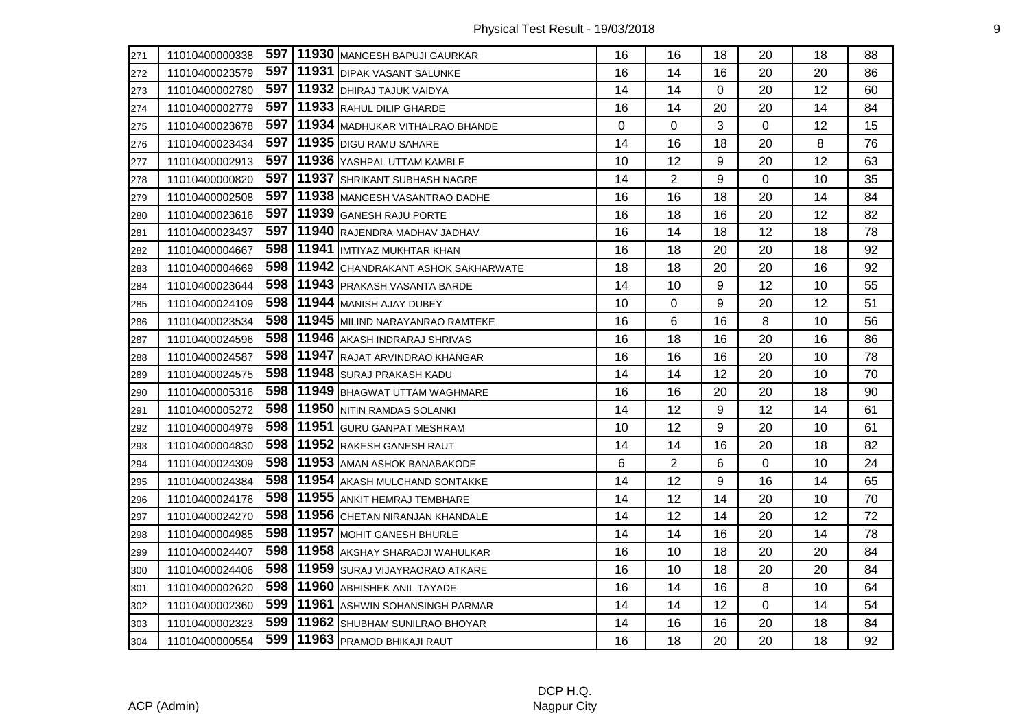| 271 | 11010400000338 |       | 597   11930   MANGESH BAPUJI GAURKAR  | 16 | 16             | 18       | 20 | 18 | 88 |
|-----|----------------|-------|---------------------------------------|----|----------------|----------|----|----|----|
| 272 | 11010400023579 |       | 597   11931   DIPAK VASANT SALUNKE    | 16 | 14             | 16       | 20 | 20 | 86 |
| 273 | 11010400002780 | 597 l | 11932 DHIRAJ TAJUK VAIDYA             | 14 | 14             | $\Omega$ | 20 | 12 | 60 |
| 274 | 11010400002779 | 597   | 11933 RAHUL DILIP GHARDE              | 16 | 14             | 20       | 20 | 14 | 84 |
| 275 | 11010400023678 | 597   | 11934 MADHUKAR VITHALRAO BHANDE       | 0  | 0              | 3        | 0  | 12 | 15 |
| 276 | 11010400023434 | 597 l | 11935 DIGU RAMU SAHARE                | 14 | 16             | 18       | 20 | 8  | 76 |
| 277 | 11010400002913 | 597   | 11936 YASHPAL UTTAM KAMBLE            | 10 | 12             | 9        | 20 | 12 | 63 |
| 278 | 11010400000820 | 597   | 11937 SHRIKANT SUBHASH NAGRE          | 14 | $\overline{2}$ | 9        | 0  | 10 | 35 |
| 279 | 11010400002508 | 597   | 11938 MANGESH VASANTRAO DADHE         | 16 | 16             | 18       | 20 | 14 | 84 |
| 280 | 11010400023616 | 597   | 11939 GANESH RAJU PORTE               | 16 | 18             | 16       | 20 | 12 | 82 |
| 281 | 11010400023437 | 597   | 11940 RAJENDRA MADHAV JADHAV          | 16 | 14             | 18       | 12 | 18 | 78 |
| 282 | 11010400004667 | 598   | 11941 IMTIYAZ MUKHTAR KHAN            | 16 | 18             | 20       | 20 | 18 | 92 |
| 283 | 11010400004669 | 598   | 11942 CHANDRAKANT ASHOK SAKHARWATE    | 18 | 18             | 20       | 20 | 16 | 92 |
| 284 | 11010400023644 | 598   | 11943 PRAKASH VASANTA BARDE           | 14 | 10             | 9        | 12 | 10 | 55 |
| 285 | 11010400024109 | 598   | 11944 MANISH AJAY DUBEY               | 10 | 0              | 9        | 20 | 12 | 51 |
| 286 | 11010400023534 | 598   | 11945 MILIND NARAYANRAO RAMTEKE       | 16 | 6              | 16       | 8  | 10 | 56 |
| 287 | 11010400024596 | 598   | 11946 AKASH INDRARAJ SHRIVAS          | 16 | 18             | 16       | 20 | 16 | 86 |
| 288 | 11010400024587 | 598   | 11947 RAJAT ARVINDRAO KHANGAR         | 16 | 16             | 16       | 20 | 10 | 78 |
| 289 | 11010400024575 | 598   | 11948 SURAJ PRAKASH KADU              | 14 | 14             | 12       | 20 | 10 | 70 |
| 290 | 11010400005316 | 598   | 11949 BHAGWAT UTTAM WAGHMARE          | 16 | 16             | 20       | 20 | 18 | 90 |
| 291 | 11010400005272 | 598   | 11950 NITIN RAMDAS SOLANKI            | 14 | 12             | 9        | 12 | 14 | 61 |
| 292 | 11010400004979 | 598   | 11951 GURU GANPAT MESHRAM             | 10 | 12             | 9        | 20 | 10 | 61 |
| 293 | 11010400004830 | 598   | 11952 RAKESH GANESH RAUT              | 14 | 14             | 16       | 20 | 18 | 82 |
| 294 | 11010400024309 | 598   | 11953 AMAN ASHOK BANABAKODE           | 6  | $\overline{2}$ | 6        | 0  | 10 | 24 |
| 295 | 11010400024384 | 598   | 11954 AKASH MULCHAND SONTAKKE         | 14 | 12             | 9        | 16 | 14 | 65 |
| 296 | 11010400024176 | 598   | 11955 ANKIT HEMRAJ TEMBHARE           | 14 | 12             | 14       | 20 | 10 | 70 |
| 297 | 11010400024270 | 598   | 11956 CHETAN NIRANJAN KHANDALE        | 14 | 12             | 14       | 20 | 12 | 72 |
| 298 | 11010400004985 | 598   | 11957 MOHIT GANESH BHURLE             | 14 | 14             | 16       | 20 | 14 | 78 |
| 299 | 11010400024407 | 598   | 11958 AKSHAY SHARADJI WAHULKAR        | 16 | 10             | 18       | 20 | 20 | 84 |
| 300 | 11010400024406 | 598   | 11959 SURAJ VIJAYRAORAO ATKARE        | 16 | 10             | 18       | 20 | 20 | 84 |
| 301 | 11010400002620 | 598   | 11960 ABHISHEK ANIL TAYADE            | 16 | 14             | 16       | 8  | 10 | 64 |
| 302 | 11010400002360 | 599   | 11961 ASHWIN SOHANSINGH PARMAR        | 14 | 14             | 12       | 0  | 14 | 54 |
| 303 | 11010400002323 |       | 599   11962   SHUBHAM SUNILRAO BHOYAR | 14 | 16             | 16       | 20 | 18 | 84 |
| 304 | 11010400000554 |       | 599   11963   PRAMOD BHIKAJI RAUT     | 16 | 18             | 20       | 20 | 18 | 92 |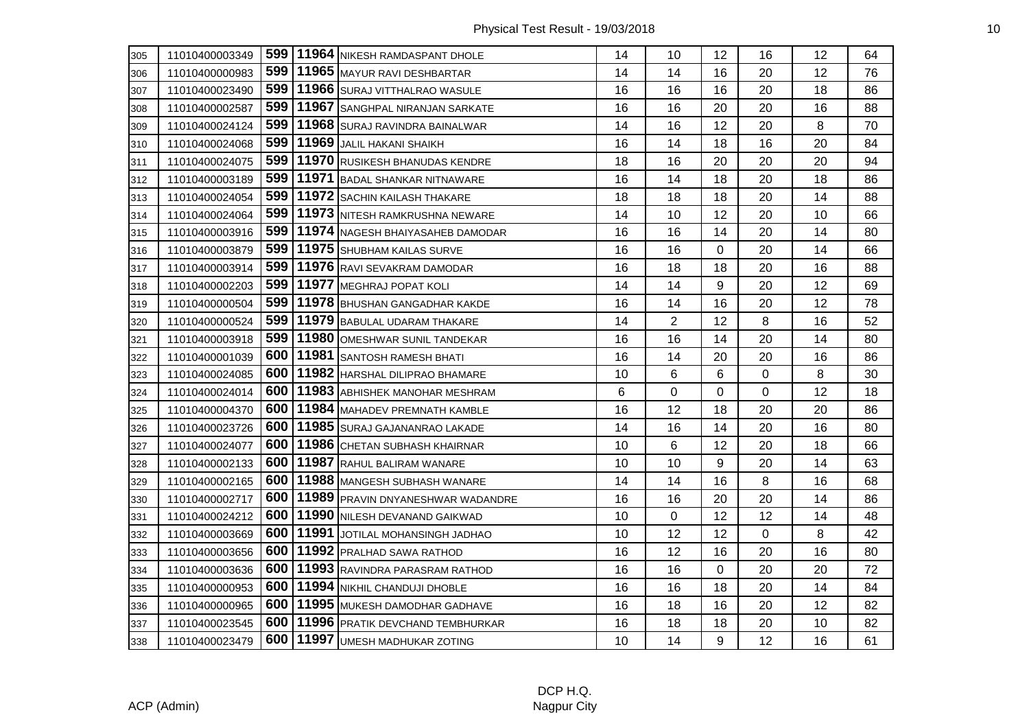| 305 | 11010400003349 |       | 599   11964   NIKESH RAMDASPANT DHOLE    | 14 | 10             | 12                | 16 | 12 | 64 |
|-----|----------------|-------|------------------------------------------|----|----------------|-------------------|----|----|----|
| 306 | 11010400000983 | 599   | 11965 MAYUR RAVI DESHBARTAR              | 14 | 14             | 16                | 20 | 12 | 76 |
| 307 | 11010400023490 | 599   | 11966 SURAJ VITTHALRAO WASULE            | 16 | 16             | 16                | 20 | 18 | 86 |
| 308 | 11010400002587 | 599   | 11967 SANGHPAL NIRANJAN SARKATE          | 16 | 16             | 20                | 20 | 16 | 88 |
| 309 | 11010400024124 | 599   | 11968 SURAJ RAVINDRA BAINALWAR           | 14 | 16             | 12                | 20 | 8  | 70 |
| 310 | 11010400024068 | 599   | 11969 JALIL HAKANI SHAIKH                | 16 | 14             | 18                | 16 | 20 | 84 |
| 311 | 11010400024075 | 599   | 11970 RUSIKESH BHANUDAS KENDRE           | 18 | 16             | 20                | 20 | 20 | 94 |
| 312 | 11010400003189 | 599   | 11971 BADAL SHANKAR NITNAWARE            | 16 | 14             | 18                | 20 | 18 | 86 |
| 313 | 11010400024054 | 599   | 11972 SACHIN KAILASH THAKARE             | 18 | 18             | 18                | 20 | 14 | 88 |
| 314 | 11010400024064 | 599   | 11973 NITESH RAMKRUSHNA NEWARE           | 14 | 10             | 12                | 20 | 10 | 66 |
| 315 | 11010400003916 | 599   | 11974 NAGESH BHAIYASAHEB DAMODAR         | 16 | 16             | 14                | 20 | 14 | 80 |
| 316 | 11010400003879 | 599   | 11975 SHUBHAM KAILAS SURVE               | 16 | 16             | $\Omega$          | 20 | 14 | 66 |
| 317 | 11010400003914 | 599   | 11976 RAVI SEVAKRAM DAMODAR              | 16 | 18             | 18                | 20 | 16 | 88 |
| 318 | 11010400002203 | 599   | 11977 MEGHRAJ POPAT KOLI                 | 14 | 14             | 9                 | 20 | 12 | 69 |
| 319 | 11010400000504 | 599   | 11978 BHUSHAN GANGADHAR KAKDE            | 16 | 14             | 16                | 20 | 12 | 78 |
| 320 | 11010400000524 | 599   | 11979 BABULAL UDARAM THAKARE             | 14 | $\overline{2}$ | 12                | 8  | 16 | 52 |
| 321 | 11010400003918 | 599   | 11980 OMESHWAR SUNIL TANDEKAR            | 16 | 16             | 14                | 20 | 14 | 80 |
| 322 | 11010400001039 | 600   | 11981 SANTOSH RAMESH BHATI               | 16 | 14             | 20                | 20 | 16 | 86 |
| 323 | 11010400024085 | 600   | 11982 HARSHAL DILIPRAO BHAMARE           | 10 | 6              | 6                 | 0  | 8  | 30 |
| 324 | 11010400024014 | 600   | 11983 ABHISHEK MANOHAR MESHRAM           | 6  | 0              | 0                 | 0  | 12 | 18 |
| 325 | 11010400004370 | 600 l | 11984 MAHADEV PREMNATH KAMBLE            | 16 | 12             | 18                | 20 | 20 | 86 |
| 326 | 11010400023726 | 600   | 11985 SURAJ GAJANANRAO LAKADE            | 14 | 16             | 14                | 20 | 16 | 80 |
| 327 | 11010400024077 | 600   | 11986 CHETAN SUBHASH KHAIRNAR            | 10 | 6              | 12                | 20 | 18 | 66 |
| 328 | 11010400002133 | 600   | 11987 RAHUL BALIRAM WANARE               | 10 | 10             | 9                 | 20 | 14 | 63 |
| 329 | 11010400002165 | 600   | 11988 MANGESH SUBHASH WANARE             | 14 | 14             | 16                | 8  | 16 | 68 |
| 330 | 11010400002717 | 600   | 11989 PRAVIN DNYANESHWAR WADANDRE        | 16 | 16             | 20                | 20 | 14 | 86 |
| 331 | 11010400024212 | 600   | 11990 NILESH DEVANAND GAIKWAD            | 10 | 0              | 12                | 12 | 14 | 48 |
| 332 | 11010400003669 | 600   | 11991 JOTILAL MOHANSINGH JADHAO          | 10 | 12             | $12 \overline{ }$ | 0  | 8  | 42 |
| 333 | 11010400003656 | 600   | 11992 PRALHAD SAWA RATHOD                | 16 | 12             | 16                | 20 | 16 | 80 |
| 334 | 11010400003636 | 600   | 11993 RAVINDRA PARASRAM RATHOD           | 16 | 16             | $\mathbf 0$       | 20 | 20 | 72 |
| 335 | 11010400000953 | 600   | 11994 NIKHIL CHANDUJI DHOBLE             | 16 | 16             | 18                | 20 | 14 | 84 |
| 336 | 11010400000965 | 600 l | 11995 MUKESH DAMODHAR GADHAVE            | 16 | 18             | 16                | 20 | 12 | 82 |
| 337 | 11010400023545 |       | 600   11996   PRATIK DEVCHAND TEMBHURKAR | 16 | 18             | 18                | 20 | 10 | 82 |
| 338 | 11010400023479 | 600   | 11997 UMESH MADHUKAR ZOTING              | 10 | 14             | 9                 | 12 | 16 | 61 |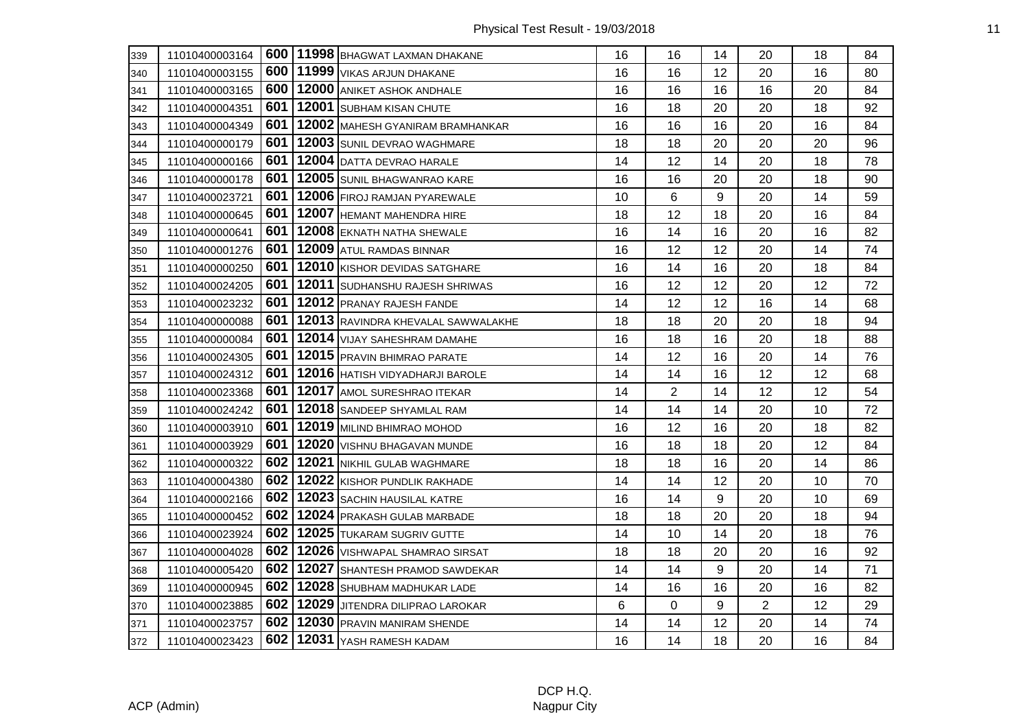| 339 | 11010400003164 |     | 600   11998   BHAGWAT LAXMAN DHAKANE | 16 | 16             | 14 | 20             | 18 | 84 |
|-----|----------------|-----|--------------------------------------|----|----------------|----|----------------|----|----|
| 340 | 11010400003155 | 600 | 11999 VIKAS ARJUN DHAKANE            | 16 | 16             | 12 | 20             | 16 | 80 |
| 341 | 11010400003165 | 600 | 12000 ANIKET ASHOK ANDHALE           | 16 | 16             | 16 | 16             | 20 | 84 |
| 342 | 11010400004351 | 601 | 12001 SUBHAM KISAN CHUTE             | 16 | 18             | 20 | 20             | 18 | 92 |
| 343 | 11010400004349 | 601 | 12002 MAHESH GYANIRAM BRAMHANKAR     | 16 | 16             | 16 | 20             | 16 | 84 |
| 344 | 11010400000179 | 601 | 12003 SUNIL DEVRAO WAGHMARE          | 18 | 18             | 20 | 20             | 20 | 96 |
| 345 | 11010400000166 | 601 | 12004 DATTA DEVRAO HARALE            | 14 | 12             | 14 | 20             | 18 | 78 |
| 346 | 11010400000178 | 601 | 12005 SUNIL BHAGWANRAO KARE          | 16 | 16             | 20 | 20             | 18 | 90 |
| 347 | 11010400023721 | 601 | 12006 FIROJ RAMJAN PYAREWALE         | 10 | 6              | 9  | 20             | 14 | 59 |
| 348 | 11010400000645 | 601 | 12007 HEMANT MAHENDRA HIRE           | 18 | 12             | 18 | 20             | 16 | 84 |
| 349 | 11010400000641 | 601 | 12008 EKNATH NATHA SHEWALE           | 16 | 14             | 16 | 20             | 16 | 82 |
| 350 | 11010400001276 | 601 | 12009 ATUL RAMDAS BINNAR             | 16 | 12             | 12 | 20             | 14 | 74 |
| 351 | 11010400000250 | 601 | 12010 KISHOR DEVIDAS SATGHARE        | 16 | 14             | 16 | 20             | 18 | 84 |
| 352 | 11010400024205 | 601 | 12011 SUDHANSHU RAJESH SHRIWAS       | 16 | 12             | 12 | 20             | 12 | 72 |
| 353 | 11010400023232 | 601 | 12012 PRANAY RAJESH FANDE            | 14 | 12             | 12 | 16             | 14 | 68 |
| 354 | 11010400000088 | 601 | 12013 RAVINDRA KHEVALAL SAWWALAKHE   | 18 | 18             | 20 | 20             | 18 | 94 |
| 355 | 11010400000084 | 601 | 12014 VIJAY SAHESHRAM DAMAHE         | 16 | 18             | 16 | 20             | 18 | 88 |
| 356 | 11010400024305 | 601 | 12015 PRAVIN BHIMRAO PARATE          | 14 | 12             | 16 | 20             | 14 | 76 |
| 357 | 11010400024312 | 601 | 12016 HATISH VIDYADHARJI BAROLE      | 14 | 14             | 16 | 12             | 12 | 68 |
| 358 | 11010400023368 | 601 | 12017 AMOL SURESHRAO ITEKAR          | 14 | $\overline{2}$ | 14 | 12             | 12 | 54 |
| 359 | 11010400024242 | 601 | 12018 SANDEEP SHYAMLAL RAM           | 14 | 14             | 14 | 20             | 10 | 72 |
| 360 | 11010400003910 | 601 | 12019 MILIND BHIMRAO MOHOD           | 16 | 12             | 16 | 20             | 18 | 82 |
| 361 | 11010400003929 | 601 | 12020 VISHNU BHAGAVAN MUNDE          | 16 | 18             | 18 | 20             | 12 | 84 |
| 362 | 11010400000322 | 602 | 12021 NIKHIL GULAB WAGHMARE          | 18 | 18             | 16 | 20             | 14 | 86 |
| 363 | 11010400004380 | 602 | 12022 KISHOR PUNDLIK RAKHADE         | 14 | 14             | 12 | 20             | 10 | 70 |
| 364 | 11010400002166 | 602 | 12023 SACHIN HAUSILAL KATRE          | 16 | 14             | 9  | 20             | 10 | 69 |
| 365 | 11010400000452 | 602 | 12024 PRAKASH GULAB MARBADE          | 18 | 18             | 20 | 20             | 18 | 94 |
| 366 | 11010400023924 | 602 | 12025 TUKARAM SUGRIV GUTTE           | 14 | 10             | 14 | 20             | 18 | 76 |
| 367 | 11010400004028 | 602 | 12026 VISHWAPAL SHAMRAO SIRSAT       | 18 | 18             | 20 | 20             | 16 | 92 |
| 368 | 11010400005420 | 602 | 12027 SHANTESH PRAMOD SAWDEKAR       | 14 | 14             | 9  | 20             | 14 | 71 |
| 369 | 11010400000945 | 602 | 12028 SHUBHAM MADHUKAR LADE          | 14 | 16             | 16 | 20             | 16 | 82 |
| 370 | 11010400023885 | 602 | 12029 JJITENDRA DILIPRAO LAROKAR     | 6  | 0              | 9  | $\overline{2}$ | 12 | 29 |
| 371 | 11010400023757 | 602 | 12030 PRAVIN MANIRAM SHENDE          | 14 | 14             | 12 | 20             | 14 | 74 |
| 372 | 11010400023423 | 602 | 12031 YASH RAMESH KADAM              | 16 | 14             | 18 | 20             | 16 | 84 |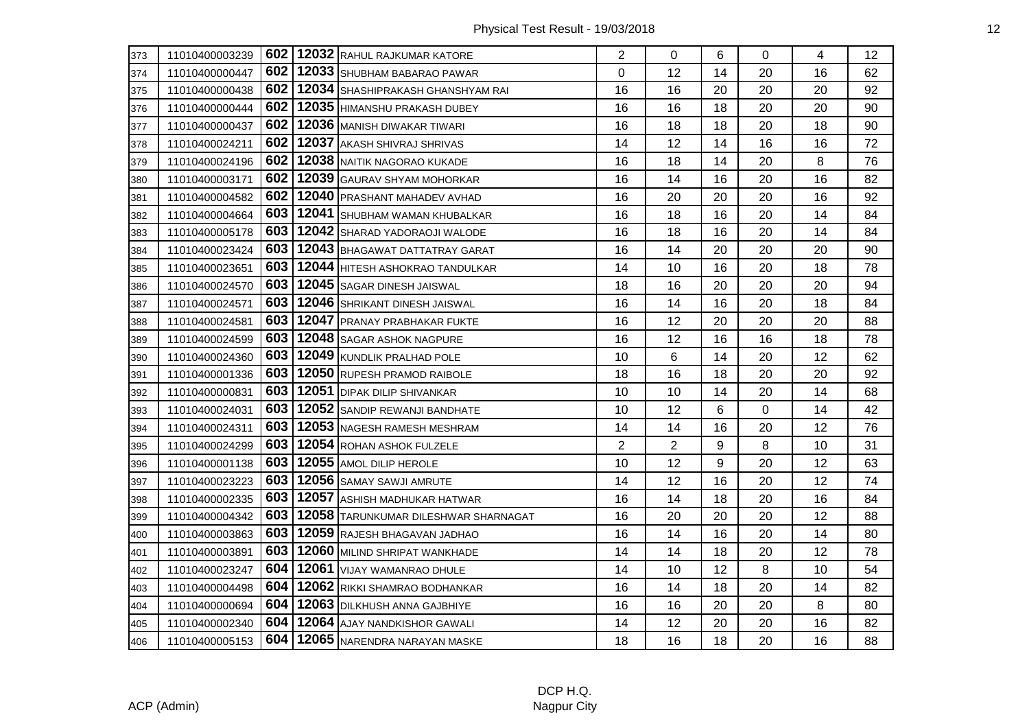| 373 | 11010400003239 |       | 602   12032 RAHUL RAJKUMAR KATORE    | $\overline{2}$ | 0              | 6  | 0        | 4  | 12 |
|-----|----------------|-------|--------------------------------------|----------------|----------------|----|----------|----|----|
| 374 | 11010400000447 | 602   | 12033 SHUBHAM BABARAO PAWAR          | 0              | 12             | 14 | 20       | 16 | 62 |
| 375 | 11010400000438 | 602 I | 12034 SHASHIPRAKASH GHANSHYAM RAI    | 16             | 16             | 20 | 20       | 20 | 92 |
| 376 | 11010400000444 | 602   | 12035 HIMANSHU PRAKASH DUBEY         | 16             | 16             | 18 | 20       | 20 | 90 |
| 377 | 11010400000437 | 602   | 12036 MANISH DIWAKAR TIWARI          | 16             | 18             | 18 | 20       | 18 | 90 |
| 378 | 11010400024211 | 602   | 12037 AKASH SHIVRAJ SHRIVAS          | 14             | 12             | 14 | 16       | 16 | 72 |
| 379 | 11010400024196 | 602   | 12038 NAITIK NAGORAO KUKADE          | 16             | 18             | 14 | 20       | 8  | 76 |
| 380 | 11010400003171 | 602   | 12039 GAURAV SHYAM MOHORKAR          | 16             | 14             | 16 | 20       | 16 | 82 |
| 381 | 11010400004582 | 602   | 12040 PRASHANT MAHADEV AVHAD         | 16             | 20             | 20 | 20       | 16 | 92 |
| 382 | 11010400004664 | 603   | 12041 SHUBHAM WAMAN KHUBALKAR        | 16             | 18             | 16 | 20       | 14 | 84 |
| 383 | 11010400005178 | 603   | 12042 SHARAD YADORAOJI WALODE        | 16             | 18             | 16 | 20       | 14 | 84 |
| 384 | 11010400023424 | 603   | 12043 BHAGAWAT DATTATRAY GARAT       | 16             | 14             | 20 | 20       | 20 | 90 |
| 385 | 11010400023651 | 603   | 12044 HITESH ASHOKRAO TANDULKAR      | 14             | 10             | 16 | 20       | 18 | 78 |
| 386 | 11010400024570 | 603   | 12045 SAGAR DINESH JAISWAL           | 18             | 16             | 20 | 20       | 20 | 94 |
| 387 | 11010400024571 | 603   | 12046 SHRIKANT DINESH JAISWAL        | 16             | 14             | 16 | 20       | 18 | 84 |
| 388 | 11010400024581 | 603   | 12047 PRANAY PRABHAKAR FUKTE         | 16             | 12             | 20 | 20       | 20 | 88 |
| 389 | 11010400024599 | 603   | 12048 SAGAR ASHOK NAGPURE            | 16             | 12             | 16 | 16       | 18 | 78 |
| 390 | 11010400024360 | 603   | 12049 KUNDLIK PRALHAD POLE           | 10             | 6              | 14 | 20       | 12 | 62 |
| 391 | 11010400001336 | 603   | 12050 RUPESH PRAMOD RAIBOLE          | 18             | 16             | 18 | 20       | 20 | 92 |
| 392 | 11010400000831 | 603   | 12051 DIPAK DILIP SHIVANKAR          | 10             | 10             | 14 | 20       | 14 | 68 |
| 393 | 11010400024031 | 603   | 12052 SANDIP REWANJI BANDHATE        | 10             | 12             | 6  | $\Omega$ | 14 | 42 |
| 394 | 11010400024311 | 603   | 12053 NAGESH RAMESH MESHRAM          | 14             | 14             | 16 | 20       | 12 | 76 |
| 395 | 11010400024299 | 603   | 12054 ROHAN ASHOK FULZELE            | $\overline{2}$ | $\overline{2}$ | 9  | 8        | 10 | 31 |
| 396 | 11010400001138 | 603   | 12055 AMOL DILIP HEROLE              | 10             | 12             | 9  | 20       | 12 | 63 |
| 397 | 11010400023223 | 603   | 12056 SAMAY SAWJI AMRUTE             | 14             | 12             | 16 | 20       | 12 | 74 |
| 398 | 11010400002335 | 603   | 12057 ASHISH MADHUKAR HATWAR         | 16             | 14             | 18 | 20       | 16 | 84 |
| 399 | 11010400004342 | 603   | 12058 TARUNKUMAR DILESHWAR SHARNAGAT | 16             | 20             | 20 | 20       | 12 | 88 |
| 400 | 11010400003863 | 603   | 12059 RAJESH BHAGAVAN JADHAO         | 16             | 14             | 16 | 20       | 14 | 80 |
| 401 | 11010400003891 | 603   | 12060 MILIND SHRIPAT WANKHADE        | 14             | 14             | 18 | 20       | 12 | 78 |
| 402 | 11010400023247 | 604   | 12061 VIJAY WAMANRAO DHULE           | 14             | 10             | 12 | 8        | 10 | 54 |
| 403 | 11010400004498 | 604   | 12062 RIKKI SHAMRAO BODHANKAR        | 16             | 14             | 18 | 20       | 14 | 82 |
| 404 | 11010400000694 | 604   | 12063 DILKHUSH ANNA GAJBHIYE         | 16             | 16             | 20 | 20       | 8  | 80 |
| 405 | 11010400002340 | 604   | 12064 AJAY NANDKISHOR GAWALI         | 14             | 12             | 20 | 20       | 16 | 82 |
| 406 | 11010400005153 | 604   | 12065 NARENDRA NARAYAN MASKE         | 18             | 16             | 18 | 20       | 16 | 88 |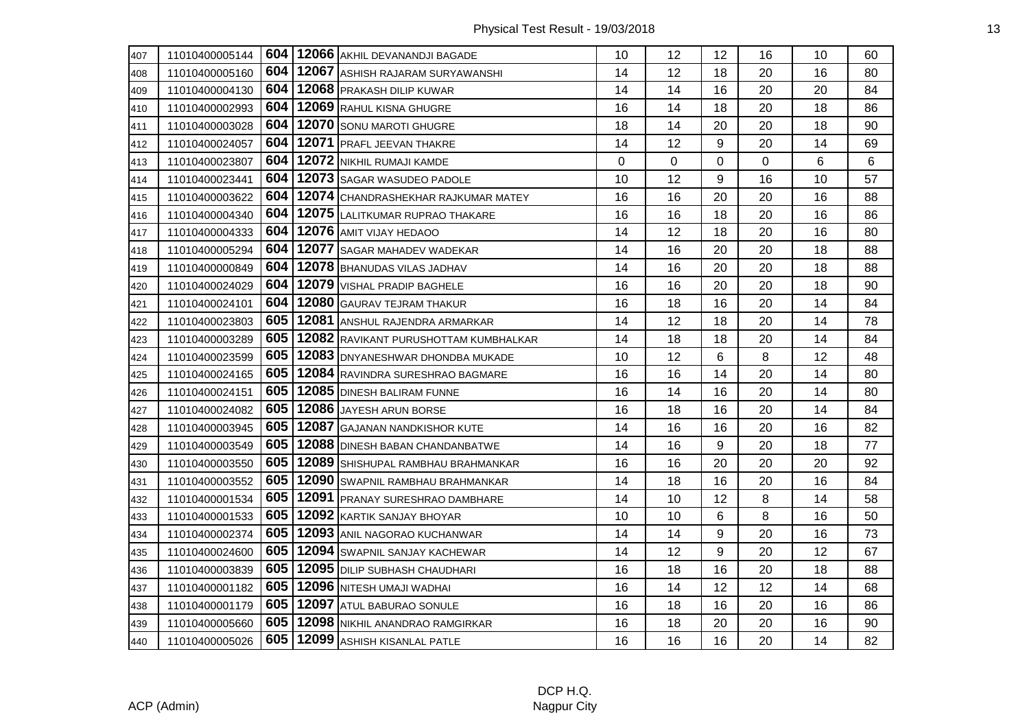| 407 | 11010400005144 |     | 604   12066 AKHIL DEVANANDJI BAGADE   | 10 | 12          | 12             | 16          | 10 | 60 |
|-----|----------------|-----|---------------------------------------|----|-------------|----------------|-------------|----|----|
| 408 | 11010400005160 | 604 | 12067 ASHISH RAJARAM SURYAWANSHI      | 14 | 12          | 18             | 20          | 16 | 80 |
| 409 | 11010400004130 | 604 | 12068 PRAKASH DILIP KUWAR             | 14 | 14          | 16             | 20          | 20 | 84 |
| 410 | 11010400002993 | 604 | 12069 RAHUL KISNA GHUGRE              | 16 | 14          | 18             | 20          | 18 | 86 |
| 411 | 11010400003028 | 604 | 12070 SONU MAROTI GHUGRE              | 18 | 14          | 20             | 20          | 18 | 90 |
| 412 | 11010400024057 | 604 | 12071 PRAFL JEEVAN THAKRE             | 14 | 12          | 9              | 20          | 14 | 69 |
| 413 | 11010400023807 | 604 | 12072 NIKHIL RUMAJI KAMDE             | 0  | $\mathbf 0$ | $\overline{0}$ | $\mathbf 0$ | 6  | 6  |
| 414 | 11010400023441 | 604 | 12073 SAGAR WASUDEO PADOLE            | 10 | 12          | 9              | 16          | 10 | 57 |
| 415 | 11010400003622 | 604 | 12074 CHANDRASHEKHAR RAJKUMAR MATEY   | 16 | 16          | 20             | 20          | 16 | 88 |
| 416 | 11010400004340 | 604 | 12075 LALITKUMAR RUPRAO THAKARE       | 16 | 16          | 18             | 20          | 16 | 86 |
| 417 | 11010400004333 | 604 | 12076 AMIT VIJAY HEDAOO               | 14 | 12          | 18             | 20          | 16 | 80 |
| 418 | 11010400005294 | 604 | 12077 SAGAR MAHADEV WADEKAR           | 14 | 16          | 20             | 20          | 18 | 88 |
| 419 | 11010400000849 | 604 | 12078 BHANUDAS VILAS JADHAV           | 14 | 16          | 20             | 20          | 18 | 88 |
| 420 | 11010400024029 | 604 | 12079 VISHAL PRADIP BAGHELE           | 16 | 16          | 20             | 20          | 18 | 90 |
| 421 | 11010400024101 | 604 | 12080 GAURAV TEJRAM THAKUR            | 16 | 18          | 16             | 20          | 14 | 84 |
| 422 | 11010400023803 | 605 | 12081 ANSHUL RAJENDRA ARMARKAR        | 14 | 12          | 18             | 20          | 14 | 78 |
| 423 | 11010400003289 | 605 | 12082 RAVIKANT PURUSHOTTAM KUMBHALKAR | 14 | 18          | 18             | 20          | 14 | 84 |
| 424 | 11010400023599 | 605 | 12083 DNYANESHWAR DHONDBA MUKADE      | 10 | 12          | 6              | 8           | 12 | 48 |
| 425 | 11010400024165 | 605 | 12084 RAVINDRA SURESHRAO BAGMARE      | 16 | 16          | 14             | 20          | 14 | 80 |
| 426 | 11010400024151 | 605 | 12085 DINESH BALIRAM FUNNE            | 16 | 14          | 16             | 20          | 14 | 80 |
| 427 | 11010400024082 | 605 | 12086 JAYESH ARUN BORSE               | 16 | 18          | 16             | 20          | 14 | 84 |
| 428 | 11010400003945 | 605 | 12087 GAJANAN NANDKISHOR KUTE         | 14 | 16          | 16             | 20          | 16 | 82 |
| 429 | 11010400003549 | 605 | 12088 DINESH BABAN CHANDANBATWE       | 14 | 16          | 9              | 20          | 18 | 77 |
| 430 | 11010400003550 | 605 | 12089 SHISHUPAL RAMBHAU BRAHMANKAR    | 16 | 16          | 20             | 20          | 20 | 92 |
| 431 | 11010400003552 | 605 | 12090 SWAPNIL RAMBHAU BRAHMANKAR      | 14 | 18          | 16             | 20          | 16 | 84 |
| 432 | 11010400001534 | 605 | 12091 PRANAY SURESHRAO DAMBHARE       | 14 | 10          | 12             | 8           | 14 | 58 |
| 433 | 11010400001533 | 605 | 12092 KARTIK SANJAY BHOYAR            | 10 | 10          | 6              | 8           | 16 | 50 |
| 434 | 11010400002374 | 605 | 12093 ANIL NAGORAO KUCHANWAR          | 14 | 14          | 9              | 20          | 16 | 73 |
| 435 | 11010400024600 | 605 | 12094 SWAPNIL SANJAY KACHEWAR         | 14 | 12          | 9              | 20          | 12 | 67 |
| 436 | 11010400003839 | 605 | 12095 DILIP SUBHASH CHAUDHARI         | 16 | 18          | 16             | 20          | 18 | 88 |
| 437 | 11010400001182 | 605 | 12096 NITESH UMAJI WADHAI             | 16 | 14          | 12             | 12          | 14 | 68 |
| 438 | 11010400001179 | 605 | 12097 ATUL BABURAO SONULE             | 16 | 18          | 16             | 20          | 16 | 86 |
| 439 | 11010400005660 | 605 | 12098 NIKHIL ANANDRAO RAMGIRKAR       | 16 | 18          | 20             | 20          | 16 | 90 |
| 440 | 11010400005026 | 605 | 12099 ASHISH KISANLAL PATLE           | 16 | 16          | 16             | 20          | 14 | 82 |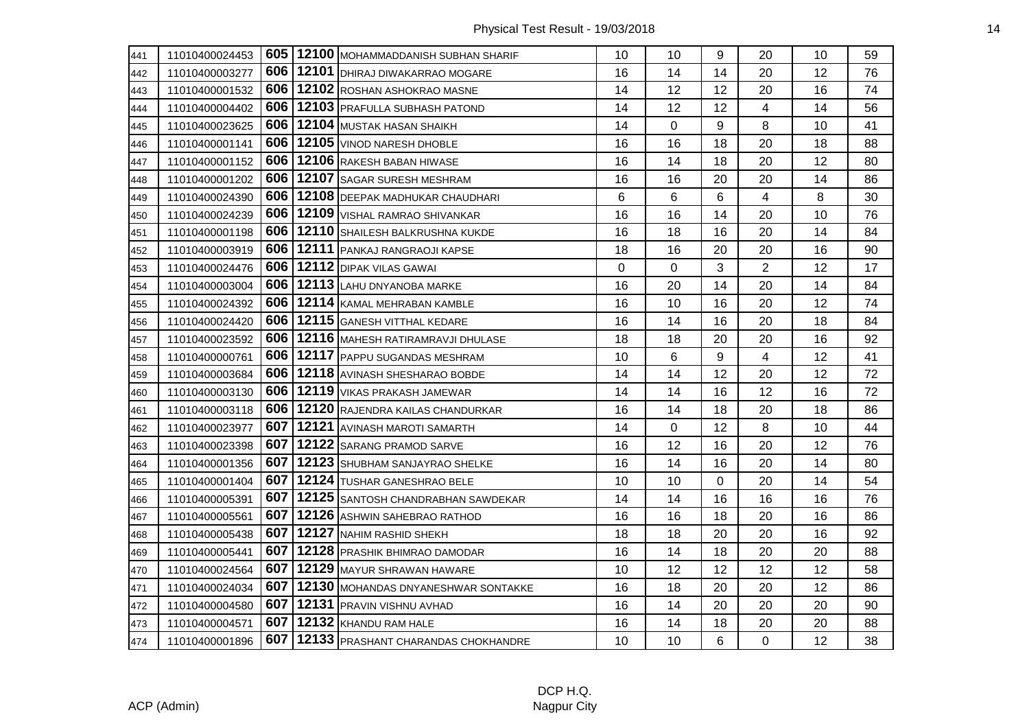| 441 | 11010400024453 |     | 605   12100   MOHAMMADDANISH SUBHAN SHARIF  | 10 | 10 | 9        | 20             | 10 <sup>1</sup> | 59 |
|-----|----------------|-----|---------------------------------------------|----|----|----------|----------------|-----------------|----|
| 442 | 11010400003277 |     | 606   12101   DHIRAJ DIWAKARRAO MOGARE      | 16 | 14 | 14       | 20             | 12              | 76 |
| 443 | 11010400001532 |     | 606   12102 ROSHAN ASHOKRAO MASNE           | 14 | 12 | 12       | 20             | 16              | 74 |
| 444 | 11010400004402 |     | 606   12103   PRAFULLA SUBHASH PATOND       | 14 | 12 | 12       | $\overline{4}$ | 14              | 56 |
| 445 | 11010400023625 |     | 606   12104 MUSTAK HASAN SHAIKH             | 14 | 0  | 9        | 8              | 10              | 41 |
| 446 | 11010400001141 |     | 606   12105   VINOD NARESH DHOBLE           | 16 | 16 | 18       | 20             | 18              | 88 |
| 447 | 11010400001152 |     | 606   12106 RAKESH BABAN HIWASE             | 16 | 14 | 18       | 20             | 12              | 80 |
| 448 | 11010400001202 |     | 606   12107   SAGAR SURESH MESHRAM          | 16 | 16 | 20       | 20             | 14              | 86 |
| 449 | 11010400024390 |     | 606   12108   DEEPAK MADHUKAR CHAUDHARI     | 6  | 6  | 6        | 4              | 8               | 30 |
| 450 | 11010400024239 |     | 606   12109   VISHAL RAMRAO SHIVANKAR       | 16 | 16 | 14       | 20             | 10              | 76 |
| 451 | 11010400001198 |     | 606   12110   SHAILESH BALKRUSHNA KUKDE     | 16 | 18 | 16       | 20             | 14              | 84 |
| 452 | 11010400003919 |     | 606   12111   PANKAJ RANGRAOJI KAPSE        | 18 | 16 | 20       | 20             | 16              | 90 |
| 453 | 11010400024476 |     | <b>606   12112   DIPAK VILAS GAWAI</b>      | 0  | 0  | 3        | $\overline{2}$ | 12              | 17 |
| 454 | 11010400003004 |     | 606   12113   LAHU DNYANOBA MARKE           | 16 | 20 | 14       | 20             | 14              | 84 |
| 455 | 11010400024392 |     | 606   12114   KAMAL MEHRABAN KAMBLE         | 16 | 10 | 16       | 20             | 12              | 74 |
| 456 | 11010400024420 |     | 606   12115   GANESH VITTHAL KEDARE         | 16 | 14 | 16       | 20             | 18              | 84 |
| 457 | 11010400023592 | 606 | 12116 MAHESH RATIRAMRAVJI DHULASE           | 18 | 18 | 20       | 20             | 16              | 92 |
| 458 | 11010400000761 |     | 606   12117   PAPPU SUGANDAS MESHRAM        | 10 | 6  | 9        | 4              | 12              | 41 |
| 459 | 11010400003684 |     | 606   12118   AVINASH SHESHARAO BOBDE       | 14 | 14 | 12       | 20             | 12              | 72 |
| 460 | 11010400003130 |     | 606   12119   VIKAS PRAKASH JAMEWAR         | 14 | 14 | 16       | 12             | 16              | 72 |
| 461 | 11010400003118 |     | 606   12120 RAJENDRA KAILAS CHANDURKAR      | 16 | 14 | 18       | 20             | 18              | 86 |
| 462 | 11010400023977 | 607 | 12121 AVINASH MAROTI SAMARTH                | 14 | 0  | 12       | 8              | 10              | 44 |
| 463 | 11010400023398 |     | 607   12122   SARANG PRAMOD SARVE           | 16 | 12 | 16       | 20             | 12              | 76 |
| 464 | 11010400001356 |     | 607   12123   SHUBHAM SANJAYRAO SHELKE      | 16 | 14 | 16       | 20             | 14              | 80 |
| 465 | 11010400001404 |     | 607   12124   TUSHAR GANESHRAO BELE         | 10 | 10 | $\Omega$ | 20             | 14              | 54 |
| 466 | 11010400005391 |     | 607   12125   SANTOSH CHANDRABHAN SAWDEKAR  | 14 | 14 | 16       | 16             | 16              | 76 |
| 467 | 11010400005561 | 607 | 12126 ASHWIN SAHEBRAO RATHOD                | 16 | 16 | 18       | 20             | 16              | 86 |
| 468 | 11010400005438 |     | 607   12127 NAHIM RASHID SHEKH              | 18 | 18 | 20       | 20             | 16              | 92 |
| 469 | 11010400005441 |     | 607   12128   PRASHIK BHIMRAO DAMODAR       | 16 | 14 | 18       | 20             | 20              | 88 |
| 470 | 11010400024564 | 607 | 12129 MAYUR SHRAWAN HAWARE                  | 10 | 12 | 12       | 12             | 12              | 58 |
| 471 | 11010400024034 |     | 607   12130   MOHANDAS DNYANESHWAR SONTAKKE | 16 | 18 | 20       | 20             | 12              | 86 |
| 472 | 11010400004580 | 607 | 12131 PRAVIN VISHNU AVHAD                   | 16 | 14 | 20       | 20             | 20              | 90 |
| 473 | 11010400004571 |     | 607   12132   KHANDU RAM HALE               | 16 | 14 | 18       | 20             | 20              | 88 |
| 474 | 11010400001896 |     | 607   12133   PRASHANT CHARANDAS CHOKHANDRE | 10 | 10 | 6        | 0              | 12              | 38 |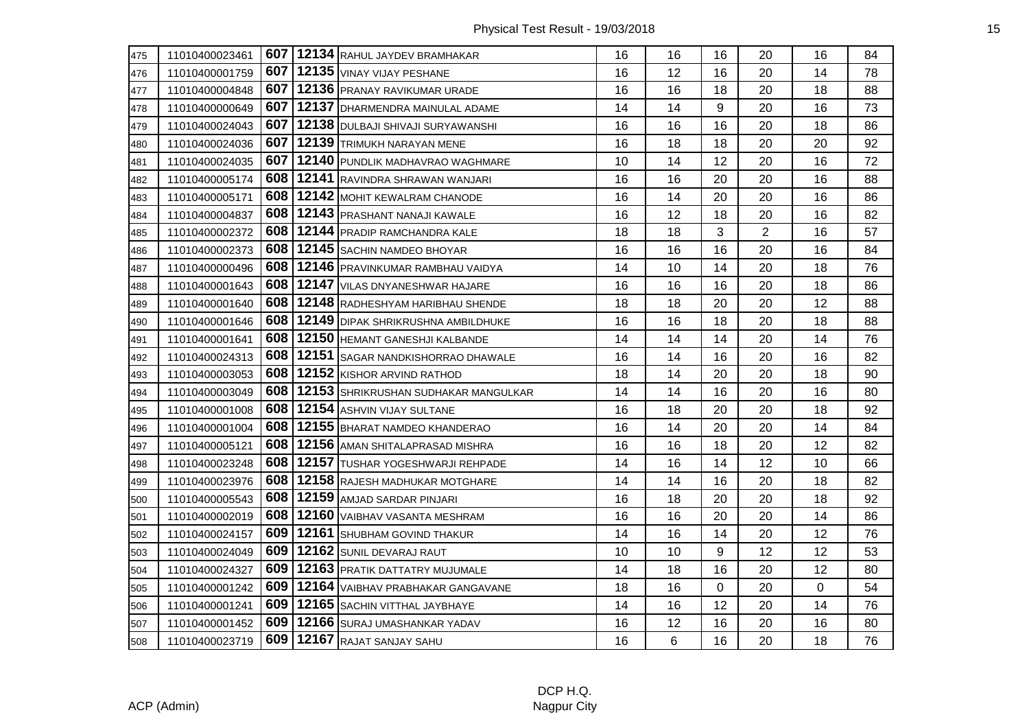| 475 | 11010400023461 |     | 607   12134 RAHUL JAYDEV BRAMHAKAR   | 16 | 16 | 16       | 20             | 16       | 84 |
|-----|----------------|-----|--------------------------------------|----|----|----------|----------------|----------|----|
| 476 | 11010400001759 | 607 | 12135 VINAY VIJAY PESHANE            | 16 | 12 | 16       | 20             | 14       | 78 |
| 477 | 11010400004848 | 607 | 12136 PRANAY RAVIKUMAR URADE         | 16 | 16 | 18       | 20             | 18       | 88 |
| 478 | 11010400000649 | 607 | 12137 DHARMENDRA MAINULAL ADAME      | 14 | 14 | 9        | 20             | 16       | 73 |
| 479 | 11010400024043 | 607 | 12138 DULBAJI SHIVAJI SURYAWANSHI    | 16 | 16 | 16       | 20             | 18       | 86 |
| 480 | 11010400024036 | 607 | 12139 TRIMUKH NARAYAN MENE           | 16 | 18 | 18       | 20             | 20       | 92 |
| 481 | 11010400024035 | 607 | 12140 PUNDLIK MADHAVRAO WAGHMARE     | 10 | 14 | 12       | 20             | 16       | 72 |
| 482 | 11010400005174 | 608 | 12141 RAVINDRA SHRAWAN WANJARI       | 16 | 16 | 20       | 20             | 16       | 88 |
| 483 | 11010400005171 | 608 | 12142 MOHIT KEWALRAM CHANODE         | 16 | 14 | 20       | 20             | 16       | 86 |
| 484 | 11010400004837 | 608 | 12143 PRASHANT NANAJI KAWALE         | 16 | 12 | 18       | 20             | 16       | 82 |
| 485 | 11010400002372 | 608 | 12144 PRADIP RAMCHANDRA KALE         | 18 | 18 | 3        | $\overline{2}$ | 16       | 57 |
| 486 | 11010400002373 | 608 | 12145 SACHIN NAMDEO BHOYAR           | 16 | 16 | 16       | 20             | 16       | 84 |
| 487 | 11010400000496 | 608 | 12146 PRAVINKUMAR RAMBHAU VAIDYA     | 14 | 10 | 14       | 20             | 18       | 76 |
| 488 | 11010400001643 | 608 | 12147 VILAS DNYANESHWAR HAJARE       | 16 | 16 | 16       | 20             | 18       | 86 |
| 489 | 11010400001640 | 608 | 12148 RADHESHYAM HARIBHAU SHENDE     | 18 | 18 | 20       | 20             | 12       | 88 |
| 490 | 11010400001646 | 608 | 12149 DIPAK SHRIKRUSHNA AMBILDHUKE   | 16 | 16 | 18       | 20             | 18       | 88 |
| 491 | 11010400001641 | 608 | 12150 HEMANT GANESHJI KALBANDE       | 14 | 14 | 14       | 20             | 14       | 76 |
| 492 | 11010400024313 | 608 | 12151 SAGAR NANDKISHORRAO DHAWALE    | 16 | 14 | 16       | 20             | 16       | 82 |
| 493 | 11010400003053 | 608 | 12152 KISHOR ARVIND RATHOD           | 18 | 14 | 20       | 20             | 18       | 90 |
| 494 | 11010400003049 | 608 | 12153 SHRIKRUSHAN SUDHAKAR MANGULKAR | 14 | 14 | 16       | 20             | 16       | 80 |
| 495 | 11010400001008 | 608 | 12154 ASHVIN VIJAY SULTANE           | 16 | 18 | 20       | 20             | 18       | 92 |
| 496 | 11010400001004 | 608 | 12155 BHARAT NAMDEO KHANDERAO        | 16 | 14 | 20       | 20             | 14       | 84 |
| 497 | 11010400005121 | 608 | 12156 AMAN SHITALAPRASAD MISHRA      | 16 | 16 | 18       | 20             | 12       | 82 |
| 498 | 11010400023248 | 608 | 12157 TUSHAR YOGESHWARJI REHPADE     | 14 | 16 | 14       | 12             | 10       | 66 |
| 499 | 11010400023976 | 608 | 12158 RAJESH MADHUKAR MOTGHARE       | 14 | 14 | 16       | 20             | 18       | 82 |
| 500 | 11010400005543 | 608 | 12159 AMJAD SARDAR PINJARI           | 16 | 18 | 20       | 20             | 18       | 92 |
| 501 | 11010400002019 | 608 | 12160 VAIBHAV VASANTA MESHRAM        | 16 | 16 | 20       | 20             | 14       | 86 |
| 502 | 11010400024157 | 609 | 12161 SHUBHAM GOVIND THAKUR          | 14 | 16 | 14       | 20             | 12       | 76 |
| 503 | 11010400024049 | 609 | 12162 SUNIL DEVARAJ RAUT             | 10 | 10 | 9        | 12             | 12       | 53 |
| 504 | 11010400024327 | 609 | 12163 PRATIK DATTATRY MUJUMALE       | 14 | 18 | 16       | 20             | 12       | 80 |
| 505 | 11010400001242 | 609 | 12164 VAIBHAV PRABHAKAR GANGAVANE    | 18 | 16 | $\Omega$ | 20             | $\Omega$ | 54 |
| 506 | 11010400001241 | 609 | 12165 SACHIN VITTHAL JAYBHAYE        | 14 | 16 | 12       | 20             | 14       | 76 |
| 507 | 11010400001452 | 609 | 12166 SURAJ UMASHANKAR YADAV         | 16 | 12 | 16       | 20             | 16       | 80 |
| 508 | 11010400023719 | 609 | 12167 RAJAT SANJAY SAHU              | 16 | 6  | 16       | 20             | 18       | 76 |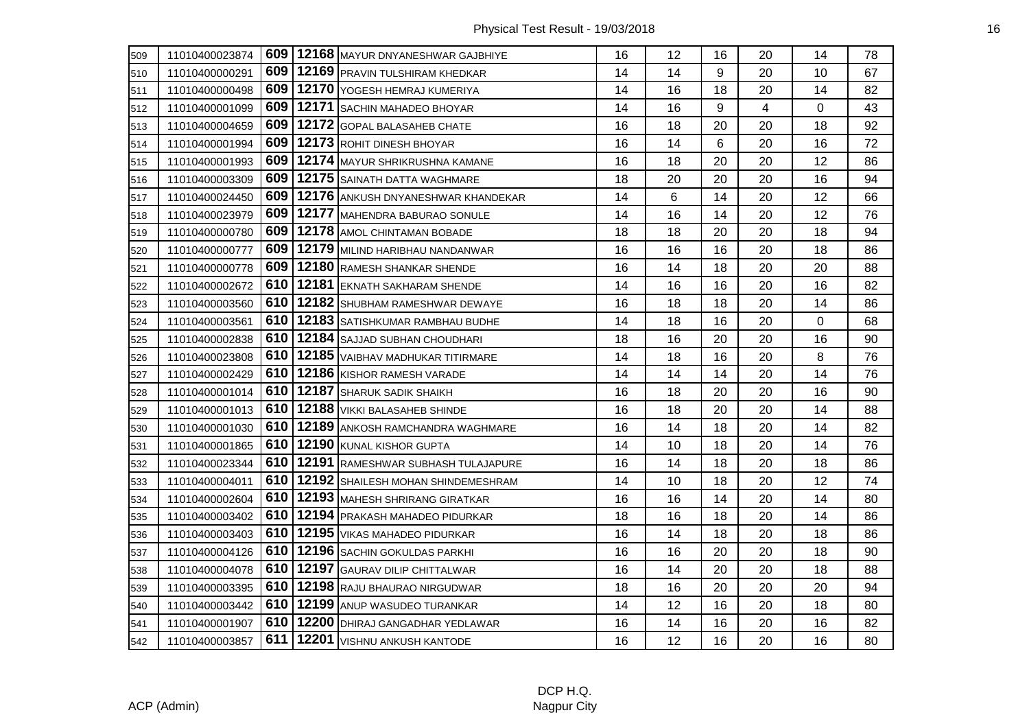| 509 | 11010400023874 |     | 609   12168   MAYUR DNYANESHWAR GAJBHIYE | 16 | 12 | 16 | 20             | 14             | 78 |
|-----|----------------|-----|------------------------------------------|----|----|----|----------------|----------------|----|
| 510 | 11010400000291 | 609 | 12169 PRAVIN TULSHIRAM KHEDKAR           | 14 | 14 | 9  | 20             | 10             | 67 |
| 511 | 11010400000498 | 609 | 12170 YOGESH HEMRAJ KUMERIYA             | 14 | 16 | 18 | 20             | 14             | 82 |
| 512 | 11010400001099 | 609 | 12171 SACHIN MAHADEO BHOYAR              | 14 | 16 | 9  | $\overline{4}$ | $\overline{0}$ | 43 |
| 513 | 11010400004659 | 609 | 12172 GOPAL BALASAHEB CHATE              | 16 | 18 | 20 | 20             | 18             | 92 |
| 514 | 11010400001994 | 609 | 12173 ROHIT DINESH BHOYAR                | 16 | 14 | 6  | 20             | 16             | 72 |
| 515 | 11010400001993 | 609 | 12174 MAYUR SHRIKRUSHNA KAMANE           | 16 | 18 | 20 | 20             | 12             | 86 |
| 516 | 11010400003309 | 609 | 12175 SAINATH DATTA WAGHMARE             | 18 | 20 | 20 | 20             | 16             | 94 |
| 517 | 11010400024450 | 609 | 12176 ANKUSH DNYANESHWAR KHANDEKAR       | 14 | 6  | 14 | 20             | 12             | 66 |
| 518 | 11010400023979 | 609 | 12177 MAHENDRA BABURAO SONULE            | 14 | 16 | 14 | 20             | 12             | 76 |
| 519 | 11010400000780 | 609 | 12178 AMOL CHINTAMAN BOBADE              | 18 | 18 | 20 | 20             | 18             | 94 |
| 520 | 11010400000777 | 609 | 12179 MILIND HARIBHAU NANDANWAR          | 16 | 16 | 16 | 20             | 18             | 86 |
| 521 | 11010400000778 | 609 | 12180 RAMESH SHANKAR SHENDE              | 16 | 14 | 18 | 20             | 20             | 88 |
| 522 | 11010400002672 | 610 | 12181 EKNATH SAKHARAM SHENDE             | 14 | 16 | 16 | 20             | 16             | 82 |
| 523 | 11010400003560 | 610 | 12182 SHUBHAM RAMESHWAR DEWAYE           | 16 | 18 | 18 | 20             | 14             | 86 |
| 524 | 11010400003561 | 610 | 12183 SATISHKUMAR RAMBHAU BUDHE          | 14 | 18 | 16 | 20             | 0              | 68 |
| 525 | 11010400002838 | 610 | 12184 SAJJAD SUBHAN CHOUDHARI            | 18 | 16 | 20 | 20             | 16             | 90 |
| 526 | 11010400023808 | 610 | 12185 VAIBHAV MADHUKAR TITIRMARE         | 14 | 18 | 16 | 20             | 8              | 76 |
| 527 | 11010400002429 | 610 | 12186 KISHOR RAMESH VARADE               | 14 | 14 | 14 | 20             | 14             | 76 |
| 528 | 11010400001014 |     | 610   12187   SHARUK SADIK SHAIKH        | 16 | 18 | 20 | 20             | 16             | 90 |
| 529 | 11010400001013 | 610 | 12188 VIKKI BALASAHEB SHINDE             | 16 | 18 | 20 | 20             | 14             | 88 |
| 530 | 11010400001030 | 610 | 12189 ANKOSH RAMCHANDRA WAGHMARE         | 16 | 14 | 18 | 20             | 14             | 82 |
| 531 | 11010400001865 | 610 | 12190 KUNAL KISHOR GUPTA                 | 14 | 10 | 18 | 20             | 14             | 76 |
| 532 | 11010400023344 | 610 | 12191 RAMESHWAR SUBHASH TULAJAPURE       | 16 | 14 | 18 | 20             | 18             | 86 |
| 533 | 11010400004011 | 610 | 12192 SHAILESH MOHAN SHINDEMESHRAM       | 14 | 10 | 18 | 20             | 12             | 74 |
| 534 | 11010400002604 | 610 | 12193 MAHESH SHRIRANG GIRATKAR           | 16 | 16 | 14 | 20             | 14             | 80 |
| 535 | 11010400003402 | 610 | 12194 PRAKASH MAHADEO PIDURKAR           | 18 | 16 | 18 | 20             | 14             | 86 |
| 536 | 11010400003403 | 610 | 12195 VIKAS MAHADEO PIDURKAR             | 16 | 14 | 18 | 20             | 18             | 86 |
| 537 | 11010400004126 | 610 | 12196 SACHIN GOKULDAS PARKHI             | 16 | 16 | 20 | 20             | 18             | 90 |
| 538 | 11010400004078 | 610 | 12197 GAURAV DILIP CHITTALWAR            | 16 | 14 | 20 | 20             | 18             | 88 |
| 539 | 11010400003395 | 610 | 12198 RAJU BHAURAO NIRGUDWAR             | 18 | 16 | 20 | 20             | 20             | 94 |
| 540 | 11010400003442 | 610 | 12199 ANUP WASUDEO TURANKAR              | 14 | 12 | 16 | 20             | 18             | 80 |
| 541 | 11010400001907 |     | 610   12200   DHIRAJ GANGADHAR YEDLAWAR  | 16 | 14 | 16 | 20             | 16             | 82 |
| 542 | 11010400003857 | 611 | 12201 VISHNU ANKUSH KANTODE              | 16 | 12 | 16 | 20             | 16             | 80 |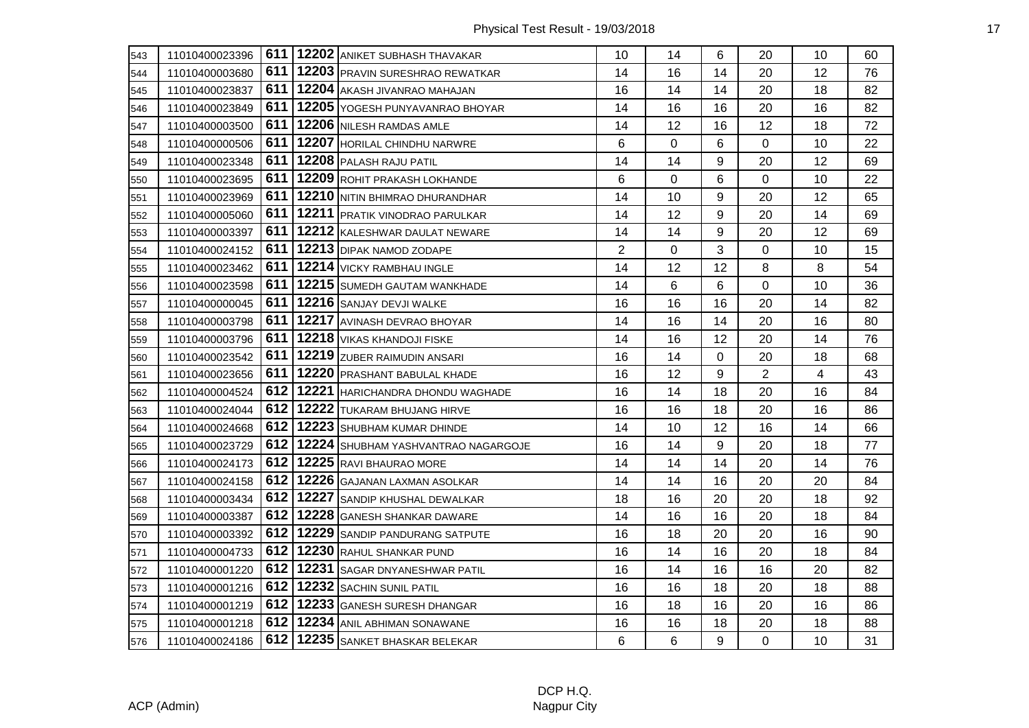| 543 | 11010400023396 |     | 611   12202 ANIKET SUBHASH THAVAKAR         | 10             | 14 | 6         | 20             | 10 | 60 |
|-----|----------------|-----|---------------------------------------------|----------------|----|-----------|----------------|----|----|
| 544 | 11010400003680 |     | 611   12203   PRAVIN SURESHRAO REWATKAR     | 14             | 16 | 14        | 20             | 12 | 76 |
| 545 | 11010400023837 | 611 | 12204 AKASH JIVANRAO MAHAJAN                | 16             | 14 | 14        | 20             | 18 | 82 |
| 546 | 11010400023849 | 611 | 12205 YOGESH PUNYAVANRAO BHOYAR             | 14             | 16 | 16        | 20             | 16 | 82 |
| 547 | 11010400003500 | 611 | 12206 NILESH RAMDAS AMLE                    | 14             | 12 | 16        | 12             | 18 | 72 |
| 548 | 11010400000506 | 611 | 12207 HORILAL CHINDHU NARWRE                | 6              | 0  | 6         | 0              | 10 | 22 |
| 549 | 11010400023348 | 611 | 12208 PALASH RAJU PATIL                     | 14             | 14 | 9         | 20             | 12 | 69 |
| 550 | 11010400023695 | 611 | 12209 ROHIT PRAKASH LOKHANDE                | 6              | 0  | 6         | 0              | 10 | 22 |
| 551 | 11010400023969 | 611 | 12210 NITIN BHIMRAO DHURANDHAR              | 14             | 10 | 9         | 20             | 12 | 65 |
| 552 | 11010400005060 | 611 | 12211 PRATIK VINODRAO PARULKAR              | 14             | 12 | 9         | 20             | 14 | 69 |
| 553 | 11010400003397 | 611 | 12212 KALESHWAR DAULAT NEWARE               | 14             | 14 | 9         | 20             | 12 | 69 |
| 554 | 11010400024152 | 611 | 12213 DIPAK NAMOD ZODAPE                    | $\overline{2}$ | 0  | 3         | 0              | 10 | 15 |
| 555 | 11010400023462 | 611 | 12214 VICKY RAMBHAU INGLE                   | 14             | 12 | 12        | 8              | 8  | 54 |
| 556 | 11010400023598 |     | 611   12215   SUMEDH GAUTAM WANKHADE        | 14             | 6  | 6         | 0              | 10 | 36 |
| 557 | 11010400000045 |     | 611   12216   SANJAY DEVJI WALKE            | 16             | 16 | 16        | 20             | 14 | 82 |
| 558 | 11010400003798 | 611 | 12217 AVINASH DEVRAO BHOYAR                 | 14             | 16 | 14        | 20             | 16 | 80 |
| 559 | 11010400003796 | 611 | 12218 VIKAS KHANDOJI FISKE                  | 14             | 16 | 12        | 20             | 14 | 76 |
| 560 | 11010400023542 | 611 | 12219 ZUBER RAIMUDIN ANSARI                 | 16             | 14 | $\pmb{0}$ | 20             | 18 | 68 |
| 561 | 11010400023656 |     | 611   12220   PRASHANT BABULAL KHADE        | 16             | 12 | 9         | $\overline{2}$ | 4  | 43 |
| 562 | 11010400004524 |     | 612   12221   HARICHANDRA DHONDU WAGHADE    | 16             | 14 | 18        | 20             | 16 | 84 |
| 563 | 11010400024044 |     | 612   12222   TUKARAM BHUJANG HIRVE         | 16             | 16 | 18        | 20             | 16 | 86 |
| 564 | 11010400024668 | 612 | 12223 SHUBHAM KUMAR DHINDE                  | 14             | 10 | 12        | 16             | 14 | 66 |
| 565 | 11010400023729 |     | 612   12224   SHUBHAM YASHVANTRAO NAGARGOJE | 16             | 14 | 9         | 20             | 18 | 77 |
| 566 | 11010400024173 |     | 612   12225   RAVI BHAURAO MORE             | 14             | 14 | 14        | 20             | 14 | 76 |
| 567 | 11010400024158 |     | 612   12226 GAJANAN LAXMAN ASOLKAR          | 14             | 14 | 16        | 20             | 20 | 84 |
| 568 | 11010400003434 |     | 612   12227 SANDIP KHUSHAL DEWALKAR         | 18             | 16 | 20        | 20             | 18 | 92 |
| 569 | 11010400003387 | 612 | 12228 GANESH SHANKAR DAWARE                 | 14             | 16 | 16        | 20             | 18 | 84 |
| 570 | 11010400003392 |     | 612   12229 SANDIP PANDURANG SATPUTE        | 16             | 18 | 20        | 20             | 16 | 90 |
| 571 | 11010400004733 |     | 612   12230 RAHUL SHANKAR PUND              | 16             | 14 | 16        | 20             | 18 | 84 |
| 572 | 11010400001220 |     | 612   12231   SAGAR DNYANESHWAR PATIL       | 16             | 14 | 16        | 16             | 20 | 82 |
| 573 | 11010400001216 | 612 | 12232 SACHIN SUNIL PATIL                    | 16             | 16 | 18        | 20             | 18 | 88 |
| 574 | 11010400001219 | 612 | 12233 GANESH SURESH DHANGAR                 | 16             | 18 | 16        | 20             | 16 | 86 |
| 575 | 11010400001218 |     | 612   12234 ANIL ABHIMAN SONAWANE           | 16             | 16 | 18        | 20             | 18 | 88 |
| 576 | 11010400024186 | 612 | 12235 SANKET BHASKAR BELEKAR                | 6              | 6  | 9         | 0              | 10 | 31 |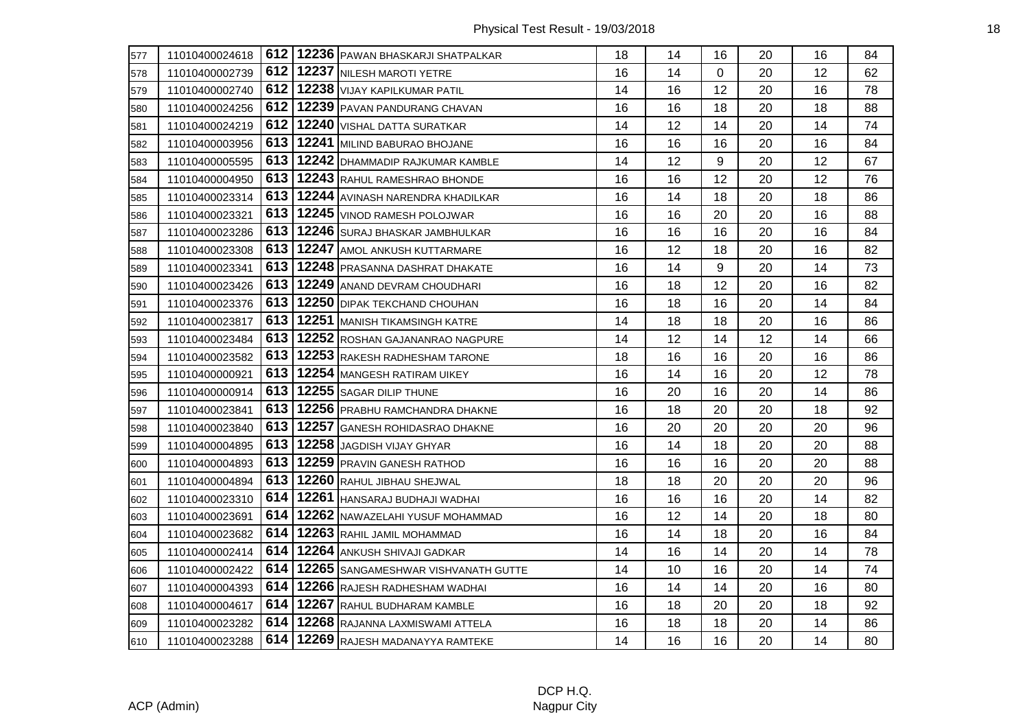| 577 | 11010400024618 |       | 612   12236   PAWAN BHASKARJI SHATPALKAR    | 18 | 14 | 16       | 20 | 16 | 84 |
|-----|----------------|-------|---------------------------------------------|----|----|----------|----|----|----|
| 578 | 11010400002739 |       | 612   12237 NILESH MAROTI YETRE             | 16 | 14 | $\Omega$ | 20 | 12 | 62 |
| 579 | 11010400002740 |       | 612   12238 VIJAY KAPILKUMAR PATIL          | 14 | 16 | 12       | 20 | 16 | 78 |
| 580 | 11010400024256 |       | 612   12239   PAVAN PANDURANG CHAVAN        | 16 | 16 | 18       | 20 | 18 | 88 |
| 581 | 11010400024219 |       | 612   12240   VISHAL DATTA SURATKAR         | 14 | 12 | 14       | 20 | 14 | 74 |
| 582 | 11010400003956 |       | 613   12241 MILIND BABURAO BHOJANE          | 16 | 16 | 16       | 20 | 16 | 84 |
| 583 | 11010400005595 |       | 613   12242   DHAMMADIP RAJKUMAR KAMBLE     | 14 | 12 | 9        | 20 | 12 | 67 |
| 584 | 11010400004950 | 613 I | 12243 RAHUL RAMESHRAO BHONDE                | 16 | 16 | 12       | 20 | 12 | 76 |
| 585 | 11010400023314 |       | 613   12244 AVINASH NARENDRA KHADILKAR      | 16 | 14 | 18       | 20 | 18 | 86 |
| 586 | 11010400023321 |       | 613   12245   VINOD RAMESH POLOJWAR         | 16 | 16 | 20       | 20 | 16 | 88 |
| 587 | 11010400023286 |       | 613   12246   SURAJ BHASKAR JAMBHULKAR      | 16 | 16 | 16       | 20 | 16 | 84 |
| 588 | 11010400023308 |       | 613   12247 AMOL ANKUSH KUTTARMARE          | 16 | 12 | 18       | 20 | 16 | 82 |
| 589 | 11010400023341 | 613 I | 12248 PRASANNA DASHRAT DHAKATE              | 16 | 14 | 9        | 20 | 14 | 73 |
| 590 | 11010400023426 |       | 613   12249 ANAND DEVRAM CHOUDHARI          | 16 | 18 | 12       | 20 | 16 | 82 |
| 591 | 11010400023376 |       | 613   12250   DIPAK TEKCHAND CHOUHAN        | 16 | 18 | 16       | 20 | 14 | 84 |
| 592 | 11010400023817 |       | 613   12251   MANISH TIKAMSINGH KATRE       | 14 | 18 | 18       | 20 | 16 | 86 |
| 593 | 11010400023484 |       | 613   12252 ROSHAN GAJANANRAO NAGPURE       | 14 | 12 | 14       | 12 | 14 | 66 |
| 594 | 11010400023582 |       | 613   12253 RAKESH RADHESHAM TARONE         | 18 | 16 | 16       | 20 | 16 | 86 |
| 595 | 11010400000921 |       | 613   12254   MANGESH RATIRAM UIKEY         | 16 | 14 | 16       | 20 | 12 | 78 |
| 596 | 11010400000914 |       | 613   12255   SAGAR DILIP THUNE             | 16 | 20 | 16       | 20 | 14 | 86 |
| 597 | 11010400023841 |       | 613   12256   PRABHU RAMCHANDRA DHAKNE      | 16 | 18 | 20       | 20 | 18 | 92 |
| 598 | 11010400023840 | 613   | 12257 GANESH ROHIDASRAO DHAKNE              | 16 | 20 | 20       | 20 | 20 | 96 |
| 599 | 11010400004895 |       | 613   12258 JAGDISH VIJAY GHYAR             | 16 | 14 | 18       | 20 | 20 | 88 |
| 600 | 11010400004893 |       | 613   12259   PRAVIN GANESH RATHOD          | 16 | 16 | 16       | 20 | 20 | 88 |
| 601 | 11010400004894 |       | 613   12260 RAHUL JIBHAU SHEJWAL            | 18 | 18 | 20       | 20 | 20 | 96 |
| 602 | 11010400023310 |       | 614   12261   HANSARAJ BUDHAJI WADHAI       | 16 | 16 | 16       | 20 | 14 | 82 |
| 603 | 11010400023691 | 614   | 12262 NAWAZELAHI YUSUF MOHAMMAD             | 16 | 12 | 14       | 20 | 18 | 80 |
| 604 | 11010400023682 | 614 I | 12263 RAHIL JAMIL MOHAMMAD                  | 16 | 14 | 18       | 20 | 16 | 84 |
| 605 | 11010400002414 |       | 614   12264 ANKUSH SHIVAJI GADKAR           | 14 | 16 | 14       | 20 | 14 | 78 |
| 606 | 11010400002422 |       | 614   12265   SANGAMESHWAR VISHVANATH GUTTE | 14 | 10 | 16       | 20 | 14 | 74 |
| 607 | 11010400004393 |       | 614   12266 RAJESH RADHESHAM WADHAI         | 16 | 14 | 14       | 20 | 16 | 80 |
| 608 | 11010400004617 |       | 614   12267 RAHUL BUDHARAM KAMBLE           | 16 | 18 | 20       | 20 | 18 | 92 |
| 609 | 11010400023282 |       | 614   12268 RAJANNA LAXMISWAMI ATTELA       | 16 | 18 | 18       | 20 | 14 | 86 |
| 610 | 11010400023288 |       | 614   12269 RAJESH MADANAYYA RAMTEKE        | 14 | 16 | 16       | 20 | 14 | 80 |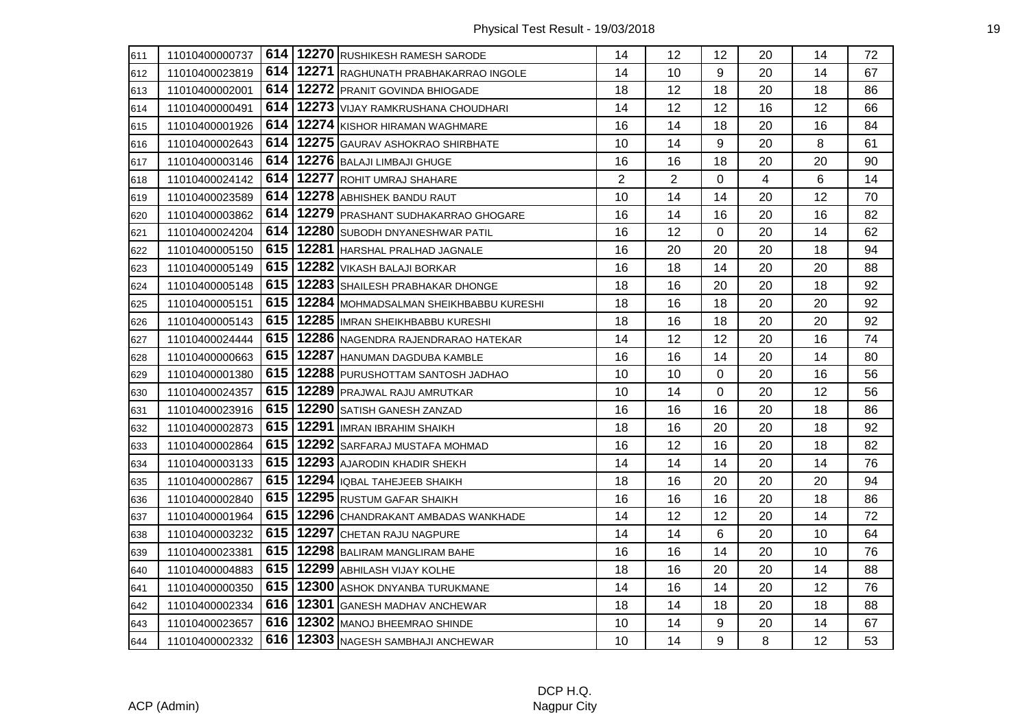| 611 | 11010400000737 |  | 614   12270 RUSHIKESH RAMESH SARODE            | 14             | 12 <sup>2</sup> | 12 <sup>°</sup> | 20 | 14 | 72 |
|-----|----------------|--|------------------------------------------------|----------------|-----------------|-----------------|----|----|----|
| 612 | 11010400023819 |  | 614   12271 RAGHUNATH PRABHAKARRAO INGOLE      | 14             | 10              | 9               | 20 | 14 | 67 |
| 613 | 11010400002001 |  | 614   12272 PRANIT GOVINDA BHIOGADE            | 18             | 12              | 18              | 20 | 18 | 86 |
| 614 | 11010400000491 |  | 614   12273   VIJAY RAMKRUSHANA CHOUDHARI      | 14             | 12              | 12              | 16 | 12 | 66 |
| 615 | 11010400001926 |  | 614   12274 KISHOR HIRAMAN WAGHMARE            | 16             | 14              | 18              | 20 | 16 | 84 |
| 616 | 11010400002643 |  | 614   12275   GAURAV ASHOKRAO SHIRBHATE        | 10             | 14              | 9               | 20 | 8  | 61 |
| 617 | 11010400003146 |  | 614   12276   BALAJI LIMBAJI GHUGE             | 16             | 16              | 18              | 20 | 20 | 90 |
| 618 | 11010400024142 |  | 614   12277 ROHIT UMRAJ SHAHARE                | $\overline{2}$ | $\overline{2}$  | 0               | 4  | 6  | 14 |
| 619 | 11010400023589 |  | 614   12278 ABHISHEK BANDU RAUT                | 10             | 14              | 14              | 20 | 12 | 70 |
| 620 | 11010400003862 |  | 614   12279   PRASHANT SUDHAKARRAO GHOGARE     | 16             | 14              | 16              | 20 | 16 | 82 |
| 621 | 11010400024204 |  | 614   12280 SUBODH DNYANESHWAR PATIL           | 16             | 12              | $\mathbf 0$     | 20 | 14 | 62 |
| 622 | 11010400005150 |  | 615   12281   HARSHAL PRALHAD JAGNALE          | 16             | 20              | 20              | 20 | 18 | 94 |
| 623 | 11010400005149 |  | 615   12282   VIKASH BALAJI BORKAR             | 16             | 18              | 14              | 20 | 20 | 88 |
| 624 | 11010400005148 |  | 615   12283   SHAILESH PRABHAKAR DHONGE        | 18             | 16              | 20              | 20 | 18 | 92 |
| 625 | 11010400005151 |  | 615   12284   MOHMADSALMAN SHEIKHBABBU KURESHI | 18             | 16              | 18              | 20 | 20 | 92 |
| 626 | 11010400005143 |  | 615   12285 IMRAN SHEIKHBABBU KURESHI          | 18             | 16              | 18              | 20 | 20 | 92 |
| 627 | 11010400024444 |  | 615   12286 NAGENDRA RAJENDRARAO HATEKAR       | 14             | 12              | 12              | 20 | 16 | 74 |
| 628 | 11010400000663 |  | 615   12287 HANUMAN DAGDUBA KAMBLE             | 16             | 16              | 14              | 20 | 14 | 80 |
| 629 | 11010400001380 |  | 615   12288 PURUSHOTTAM SANTOSH JADHAO         | 10             | 10              | $\Omega$        | 20 | 16 | 56 |
| 630 | 11010400024357 |  | 615   12289   PRAJWAL RAJU AMRUTKAR            | 10             | 14              | $\Omega$        | 20 | 12 | 56 |
| 631 | 11010400023916 |  | 615   12290   SATISH GANESH ZANZAD             | 16             | 16              | 16              | 20 | 18 | 86 |
| 632 | 11010400002873 |  | 615   12291   IMRAN IBRAHIM SHAIKH             | 18             | 16              | 20              | 20 | 18 | 92 |
| 633 | 11010400002864 |  | 615   12292   SARFARAJ MUSTAFA MOHMAD          | 16             | 12              | 16              | 20 | 18 | 82 |
| 634 | 11010400003133 |  | 615   12293 AJARODIN KHADIR SHEKH              | 14             | 14              | 14              | 20 | 14 | 76 |
| 635 | 11010400002867 |  | 615   12294   IQBAL TAHEJEEB SHAIKH            | 18             | 16              | 20              | 20 | 20 | 94 |
| 636 | 11010400002840 |  | 615   12295 RUSTUM GAFAR SHAIKH                | 16             | 16              | 16              | 20 | 18 | 86 |
| 637 | 11010400001964 |  | 615   12296 CHANDRAKANT AMBADAS WANKHADE       | 14             | 12              | 12              | 20 | 14 | 72 |
| 638 | 11010400003232 |  | 615   12297 CHETAN RAJU NAGPURE                | 14             | 14              | 6               | 20 | 10 | 64 |
| 639 | 11010400023381 |  | 615   12298   BALIRAM MANGLIRAM BAHE           | 16             | 16              | 14              | 20 | 10 | 76 |
| 640 | 11010400004883 |  | 615   12299 ABHILASH VIJAY KOLHE               | 18             | 16              | 20              | 20 | 14 | 88 |
| 641 | 11010400000350 |  | 615   12300 ASHOK DNYANBA TURUKMANE            | 14             | 16              | 14              | 20 | 12 | 76 |
| 642 | 11010400002334 |  | 616   12301 GANESH MADHAV ANCHEWAR             | 18             | 14              | 18              | 20 | 18 | 88 |
| 643 | 11010400023657 |  | 616   12302   MANOJ BHEEMRAO SHINDE            | 10             | 14              | 9               | 20 | 14 | 67 |
| 644 | 11010400002332 |  | 616   12303 NAGESH SAMBHAJI ANCHEWAR           | 10             | 14              | 9               | 8  | 12 | 53 |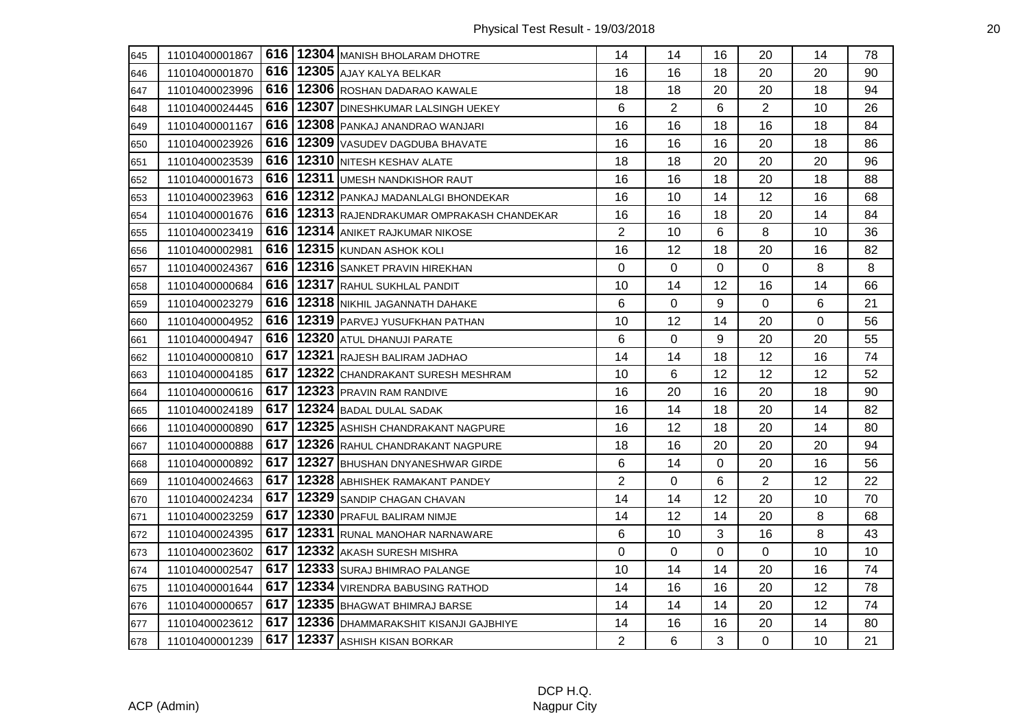| 645 | 11010400001867 |       | 616   12304   MANISH BHOLARAM DHOTRE      | 14             | 14             | 16 | 20             | 14 | 78 |
|-----|----------------|-------|-------------------------------------------|----------------|----------------|----|----------------|----|----|
| 646 | 11010400001870 |       | 616   12305   AJAY KALYA BELKAR           | 16             | 16             | 18 | 20             | 20 | 90 |
| 647 | 11010400023996 | 616   | 12306 ROSHAN DADARAO KAWALE               | 18             | 18             | 20 | 20             | 18 | 94 |
| 648 | 11010400024445 |       | 616   12307   DINESHKUMAR LALSINGH UEKEY  | 6              | $\overline{2}$ | 6  | $\overline{2}$ | 10 | 26 |
| 649 | 11010400001167 | 616   | 12308 PANKAJ ANANDRAO WANJARI             | 16             | 16             | 18 | 16             | 18 | 84 |
| 650 | 11010400023926 | 616   | 12309 VASUDEV DAGDUBA BHAVATE             | 16             | 16             | 16 | 20             | 18 | 86 |
| 651 | 11010400023539 | 616   | 12310 NITESH KESHAV ALATE                 | 18             | 18             | 20 | 20             | 20 | 96 |
| 652 | 11010400001673 | 616   | 12311 UMESH NANDKISHOR RAUT               | 16             | 16             | 18 | 20             | 18 | 88 |
| 653 | 11010400023963 |       | 616   12312   PANKAJ MADANLALGI BHONDEKAR | 16             | 10             | 14 | 12             | 16 | 68 |
| 654 | 11010400001676 | 616   | 12313 RAJENDRAKUMAR OMPRAKASH CHANDEKAR   | 16             | 16             | 18 | 20             | 14 | 84 |
| 655 | 11010400023419 | 616   | 12314 ANIKET RAJKUMAR NIKOSE              | $\overline{2}$ | 10             | 6  | 8              | 10 | 36 |
| 656 | 11010400002981 | 616   | 12315 KUNDAN ASHOK KOLI                   | 16             | 12             | 18 | 20             | 16 | 82 |
| 657 | 11010400024367 | 616   | 12316 SANKET PRAVIN HIREKHAN              | 0              | 0              | 0  | 0              | 8  | 8  |
| 658 | 11010400000684 |       | 616   12317 RAHUL SUKHLAL PANDIT          | 10             | 14             | 12 | 16             | 14 | 66 |
| 659 | 11010400023279 |       | 616   12318 NIKHIL JAGANNATH DAHAKE       | 6              | 0              | 9  | 0              | 6  | 21 |
| 660 | 11010400004952 | 616   | 12319 PARVEJ YUSUFKHAN PATHAN             | 10             | 12             | 14 | 20             | 0  | 56 |
| 661 | 11010400004947 | 616   | 12320 ATUL DHANUJI PARATE                 | 6              | 0              | 9  | 20             | 20 | 55 |
| 662 | 11010400000810 | 617 l | 12321 RAJESH BALIRAM JADHAO               | 14             | 14             | 18 | 12             | 16 | 74 |
| 663 | 11010400004185 |       | 617   12322 CHANDRAKANT SURESH MESHRAM    | 10             | 6              | 12 | 12             | 12 | 52 |
| 664 | 11010400000616 |       | 617   12323   PRAVIN RAM RANDIVE          | 16             | 20             | 16 | 20             | 18 | 90 |
| 665 | 11010400024189 | 617   | 12324 BADAL DULAL SADAK                   | 16             | 14             | 18 | 20             | 14 | 82 |
| 666 | 11010400000890 | 617   | 12325 ASHISH CHANDRAKANT NAGPURE          | 16             | 12             | 18 | 20             | 14 | 80 |
| 667 | 11010400000888 | 617   | 12326 RAHUL CHANDRAKANT NAGPURE           | 18             | 16             | 20 | 20             | 20 | 94 |
| 668 | 11010400000892 | 617   | 12327 BHUSHAN DNYANESHWAR GIRDE           | 6              | 14             | 0  | 20             | 16 | 56 |
| 669 | 11010400024663 | 617 l | 12328 ABHISHEK RAMAKANT PANDEY            | $\overline{2}$ | 0              | 6  | $\overline{2}$ | 12 | 22 |
| 670 | 11010400024234 | 617   | 12329 SANDIP CHAGAN CHAVAN                | 14             | 14             | 12 | 20             | 10 | 70 |
| 671 | 11010400023259 | 617   | 12330 PRAFUL BALIRAM NIMJE                | 14             | 12             | 14 | 20             | 8  | 68 |
| 672 | 11010400024395 | 617   | 12331 RUNAL MANOHAR NARNAWARE             | 6              | 10             | 3  | 16             | 8  | 43 |
| 673 | 11010400023602 | 617   | 12332 AKASH SURESH MISHRA                 | 0              | 0              | 0  | 0              | 10 | 10 |
| 674 | 11010400002547 | 617   | 12333 SURAJ BHIMRAO PALANGE               | 10             | 14             | 14 | 20             | 16 | 74 |
| 675 | 11010400001644 | 617   | 12334 VIRENDRA BABUSING RATHOD            | 14             | 16             | 16 | 20             | 12 | 78 |
| 676 | 11010400000657 | 617   | 12335 BHAGWAT BHIMRAJ BARSE               | 14             | 14             | 14 | 20             | 12 | 74 |
| 677 | 11010400023612 | 617 l | 12336 DHAMMARAKSHIT KISANJI GAJBHIYE      | 14             | 16             | 16 | 20             | 14 | 80 |
| 678 | 11010400001239 | 617   | 12337 ASHISH KISAN BORKAR                 | $\overline{2}$ | 6              | 3  | 0              | 10 | 21 |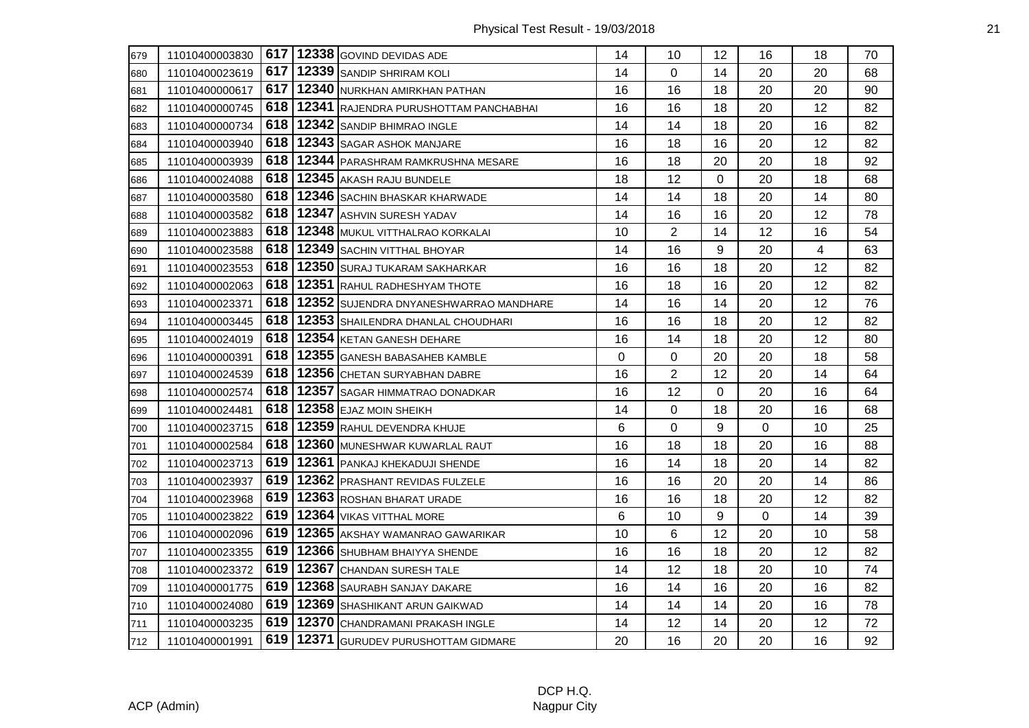| 679 | 11010400003830 |       | 617   12338 GOVIND DEVIDAS ADE                 | 14          | 10             | 12       | 16       | 18 | 70 |
|-----|----------------|-------|------------------------------------------------|-------------|----------------|----------|----------|----|----|
| 680 | 11010400023619 |       | 617   12339   SANDIP SHRIRAM KOLI              | 14          | 0              | 14       | 20       | 20 | 68 |
| 681 | 11010400000617 |       | 617   12340 NURKHAN AMIRKHAN PATHAN            | 16          | 16             | 18       | 20       | 20 | 90 |
| 682 | 11010400000745 |       | 618   12341 RAJENDRA PURUSHOTTAM PANCHABHAI    | 16          | 16             | 18       | 20       | 12 | 82 |
| 683 | 11010400000734 |       | 618   12342 SANDIP BHIMRAO INGLE               | 14          | 14             | 18       | 20       | 16 | 82 |
| 684 | 11010400003940 | 618   | 12343 SAGAR ASHOK MANJARE                      | 16          | 18             | 16       | 20       | 12 | 82 |
| 685 | 11010400003939 | 618   | 12344 PARASHRAM RAMKRUSHNA MESARE              | 16          | 18             | 20       | 20       | 18 | 92 |
| 686 | 11010400024088 | 618   | 12345 AKASH RAJU BUNDELE                       | 18          | 12             | 0        | 20       | 18 | 68 |
| 687 | 11010400003580 |       | 618   12346   SACHIN BHASKAR KHARWADE          | 14          | 14             | 18       | 20       | 14 | 80 |
| 688 | 11010400003582 |       | 618   12347 ASHVIN SURESH YADAV                | 14          | 16             | 16       | 20       | 12 | 78 |
| 689 | 11010400023883 |       | 618   12348 MUKUL VITTHALRAO KORKALAI          | 10          | $\overline{2}$ | 14       | 12       | 16 | 54 |
| 690 | 11010400023588 | 618   | 12349 SACHIN VITTHAL BHOYAR                    | 14          | 16             | 9        | 20       | 4  | 63 |
| 691 | 11010400023553 | 618   | 12350 SURAJ TUKARAM SAKHARKAR                  | 16          | 16             | 18       | 20       | 12 | 82 |
| 692 | 11010400002063 |       | 618   12351 RAHUL RADHESHYAM THOTE             | 16          | 18             | 16       | 20       | 12 | 82 |
| 693 | 11010400023371 |       | 618   12352   SUJENDRA DNYANESHWARRAO MANDHARE | 14          | 16             | 14       | 20       | 12 | 76 |
| 694 | 11010400003445 | 618   | 12353 SHAILENDRA DHANLAL CHOUDHARI             | 16          | 16             | 18       | 20       | 12 | 82 |
| 695 | 11010400024019 | 618   | 12354 KETAN GANESH DEHARE                      | 16          | 14             | 18       | 20       | 12 | 80 |
| 696 | 11010400000391 | 618   | 12355 GANESH BABASAHEB KAMBLE                  | $\mathbf 0$ | 0              | 20       | 20       | 18 | 58 |
| 697 | 11010400024539 | 618   | 12356 CHETAN SURYABHAN DABRE                   | 16          | $\overline{2}$ | 12       | 20       | 14 | 64 |
| 698 | 11010400002574 |       | 618   12357 SAGAR HIMMATRAO DONADKAR           | 16          | 12             | $\Omega$ | 20       | 16 | 64 |
| 699 | 11010400024481 |       | 618   12358 EJAZ MOIN SHEIKH                   | 14          | 0              | 18       | 20       | 16 | 68 |
| 700 | 11010400023715 | 618   | 12359 RAHUL DEVENDRA KHUJE                     | 6           | 0              | 9        | $\Omega$ | 10 | 25 |
| 701 | 11010400002584 |       | 618   12360 MUNESHWAR KUWARLAL RAUT            | 16          | 18             | 18       | 20       | 16 | 88 |
| 702 | 11010400023713 |       | 619   12361   PANKAJ KHEKADUJI SHENDE          | 16          | 14             | 18       | 20       | 14 | 82 |
| 703 | 11010400023937 |       | 619   12362   PRASHANT REVIDAS FULZELE         | 16          | 16             | 20       | 20       | 14 | 86 |
| 704 | 11010400023968 | 619   | 12363 ROSHAN BHARAT URADE                      | 16          | 16             | 18       | 20       | 12 | 82 |
| 705 | 11010400023822 | 619 I | 12364 VIKAS VITTHAL MORE                       | 6           | 10             | 9        | 0        | 14 | 39 |
| 706 | 11010400002096 | 619   | 12365 AKSHAY WAMANRAO GAWARIKAR                | 10          | 6              | 12       | 20       | 10 | 58 |
| 707 | 11010400023355 | 619   | 12366 SHUBHAM BHAIYYA SHENDE                   | 16          | 16             | 18       | 20       | 12 | 82 |
| 708 | 11010400023372 | 619   | 12367 CHANDAN SURESH TALE                      | 14          | 12             | 18       | 20       | 10 | 74 |
| 709 | 11010400001775 | 619   | 12368 SAURABH SANJAY DAKARE                    | 16          | 14             | 16       | 20       | 16 | 82 |
| 710 | 11010400024080 | 619   | 12369 SHASHIKANT ARUN GAIKWAD                  | 14          | 14             | 14       | 20       | 16 | 78 |
| 711 | 11010400003235 |       | 619   12370 CHANDRAMANI PRAKASH INGLE          | 14          | 12             | 14       | 20       | 12 | 72 |
| 712 | 11010400001991 |       | 619   12371   GURUDEV PURUSHOTTAM GIDMARE      | 20          | 16             | 20       | 20       | 16 | 92 |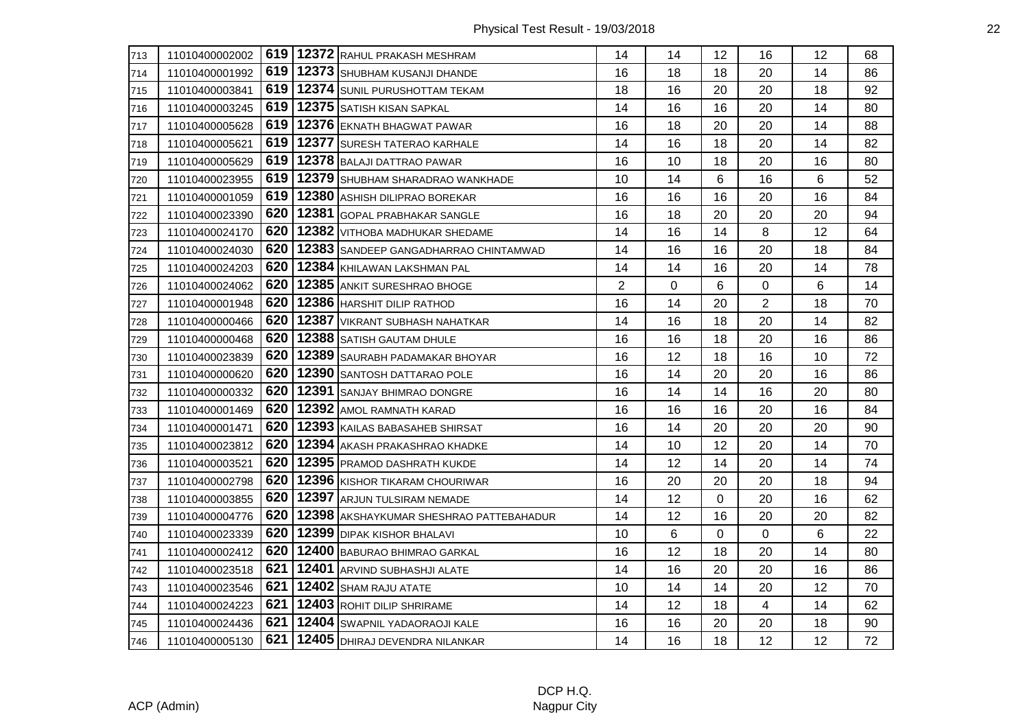| 713 | 11010400002002 |     | 619   12372 RAHUL PRAKASH MESHRAM       | 14             | 14 | 12       | 16          | 12 | 68 |
|-----|----------------|-----|-----------------------------------------|----------------|----|----------|-------------|----|----|
| 714 | 11010400001992 | 619 | 12373 SHUBHAM KUSANJI DHANDE            | 16             | 18 | 18       | 20          | 14 | 86 |
| 715 | 11010400003841 | 619 | 12374 SUNIL PURUSHOTTAM TEKAM           | 18             | 16 | 20       | 20          | 18 | 92 |
| 716 | 11010400003245 | 619 | 12375 SATISH KISAN SAPKAL               | 14             | 16 | 16       | 20          | 14 | 80 |
| 717 | 11010400005628 | 619 | 12376 EKNATH BHAGWAT PAWAR              | 16             | 18 | 20       | 20          | 14 | 88 |
| 718 | 11010400005621 | 619 | 12377 SURESH TATERAO KARHALE            | 14             | 16 | 18       | 20          | 14 | 82 |
| 719 | 11010400005629 | 619 | 12378 BALAJI DATTRAO PAWAR              | 16             | 10 | 18       | 20          | 16 | 80 |
| 720 | 11010400023955 | 619 | 12379 SHUBHAM SHARADRAO WANKHADE        | 10             | 14 | 6        | 16          | 6  | 52 |
| 721 | 11010400001059 | 619 | 12380 ASHISH DILIPRAO BOREKAR           | 16             | 16 | 16       | 20          | 16 | 84 |
| 722 | 11010400023390 | 620 | 12381 GOPAL PRABHAKAR SANGLE            | 16             | 18 | 20       | 20          | 20 | 94 |
| 723 | 11010400024170 | 620 | 12382 VITHOBA MADHUKAR SHEDAME          | 14             | 16 | 14       | 8           | 12 | 64 |
| 724 | 11010400024030 | 620 | 12383 SANDEEP GANGADHARRAO CHINTAMWAD   | 14             | 16 | 16       | 20          | 18 | 84 |
| 725 | 11010400024203 | 620 | 12384 KHILAWAN LAKSHMAN PAL             | 14             | 14 | 16       | 20          | 14 | 78 |
| 726 | 11010400024062 | 620 | 12385 ANKIT SURESHRAO BHOGE             | $\overline{2}$ | 0  | 6        | $\mathbf 0$ | 6  | 14 |
| 727 | 11010400001948 | 620 | 12386 HARSHIT DILIP RATHOD              | 16             | 14 | 20       | 2           | 18 | 70 |
| 728 | 11010400000466 | 620 | 12387 VIKRANT SUBHASH NAHATKAR          | 14             | 16 | 18       | 20          | 14 | 82 |
| 729 | 11010400000468 | 620 | 12388 SATISH GAUTAM DHULE               | 16             | 16 | 18       | 20          | 16 | 86 |
| 730 | 11010400023839 | 620 | 12389 SAURABH PADAMAKAR BHOYAR          | 16             | 12 | 18       | 16          | 10 | 72 |
| 731 | 11010400000620 | 620 | 12390 SANTOSH DATTARAO POLE             | 16             | 14 | 20       | 20          | 16 | 86 |
| 732 | 11010400000332 | 620 | 12391 SANJAY BHIMRAO DONGRE             | 16             | 14 | 14       | 16          | 20 | 80 |
| 733 | 11010400001469 | 620 | 12392 AMOL RAMNATH KARAD                | 16             | 16 | 16       | 20          | 16 | 84 |
| 734 | 11010400001471 | 620 | 12393 KAILAS BABASAHEB SHIRSAT          | 16             | 14 | 20       | 20          | 20 | 90 |
| 735 | 11010400023812 | 620 | 12394 AKASH PRAKASHRAO KHADKE           | 14             | 10 | 12       | 20          | 14 | 70 |
| 736 | 11010400003521 | 620 | 12395 PRAMOD DASHRATH KUKDE             | 14             | 12 | 14       | 20          | 14 | 74 |
| 737 | 11010400002798 | 620 | 12396 KISHOR TIKARAM CHOURIWAR          | 16             | 20 | 20       | 20          | 18 | 94 |
| 738 | 11010400003855 | 620 | 12397 ARJUN TULSIRAM NEMADE             | 14             | 12 | 0        | 20          | 16 | 62 |
| 739 | 11010400004776 | 620 | 12398 AKSHAYKUMAR SHESHRAO PATTEBAHADUR | 14             | 12 | 16       | 20          | 20 | 82 |
| 740 | 11010400023339 | 620 | 12399 DIPAK KISHOR BHALAVI              | 10             | 6  | $\Omega$ | 0           | 6  | 22 |
| 741 | 11010400002412 | 620 | 12400 BABURAO BHIMRAO GARKAL            | 16             | 12 | 18       | 20          | 14 | 80 |
| 742 | 11010400023518 | 621 | 12401 ARVIND SUBHASHJI ALATE            | 14             | 16 | 20       | 20          | 16 | 86 |
| 743 | 11010400023546 | 621 | 12402 SHAM RAJU ATATE                   | 10             | 14 | 14       | 20          | 12 | 70 |
| 744 | 11010400024223 | 621 | 12403 ROHIT DILIP SHRIRAME              | 14             | 12 | 18       | 4           | 14 | 62 |
| 745 | 11010400024436 | 621 | 12404 SWAPNIL YADAORAOJI KALE           | 16             | 16 | 20       | 20          | 18 | 90 |
| 746 | 11010400005130 | 621 | 12405 DHIRAJ DEVENDRA NILANKAR          | 14             | 16 | 18       | 12          | 12 | 72 |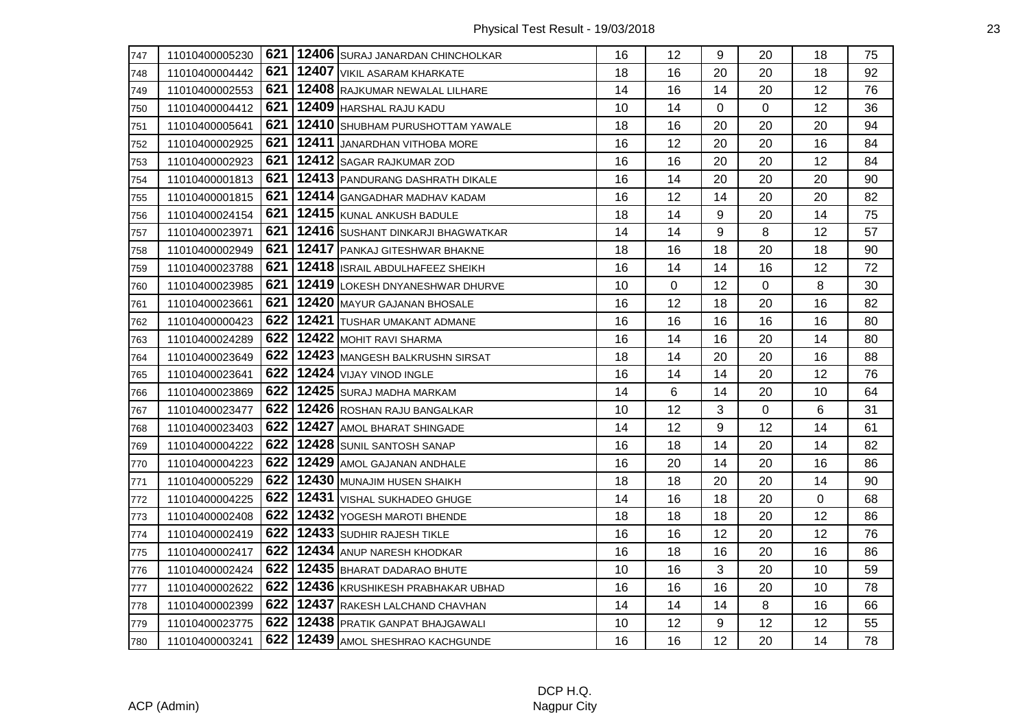| 747 | 11010400005230 |     | 621   12406 SURAJ JANARDAN CHINCHOLKAR | 16 | 12          | 9  | 20          | 18             | 75 |
|-----|----------------|-----|----------------------------------------|----|-------------|----|-------------|----------------|----|
| 748 | 11010400004442 | 621 | 12407 VIKIL ASARAM KHARKATE            | 18 | 16          | 20 | 20          | 18             | 92 |
| 749 | 11010400002553 | 621 | 12408 RAJKUMAR NEWALAL LILHARE         | 14 | 16          | 14 | 20          | 12             | 76 |
| 750 | 11010400004412 | 621 | 12409 HARSHAL RAJU KADU                | 10 | 14          | 0  | $\mathbf 0$ | 12             | 36 |
| 751 | 11010400005641 | 621 | 12410 SHUBHAM PURUSHOTTAM YAWALE       | 18 | 16          | 20 | 20          | 20             | 94 |
| 752 | 11010400002925 | 621 | 12411 JANARDHAN VITHOBA MORE           | 16 | 12          | 20 | 20          | 16             | 84 |
| 753 | 11010400002923 | 621 | 12412 SAGAR RAJKUMAR ZOD               | 16 | 16          | 20 | 20          | 12             | 84 |
| 754 | 11010400001813 | 621 | 12413 PANDURANG DASHRATH DIKALE        | 16 | 14          | 20 | 20          | 20             | 90 |
| 755 | 11010400001815 | 621 | 12414 GANGADHAR MADHAV KADAM           | 16 | 12          | 14 | 20          | 20             | 82 |
| 756 | 11010400024154 | 621 | 12415 KUNAL ANKUSH BADULE              | 18 | 14          | 9  | 20          | 14             | 75 |
| 757 | 11010400023971 | 621 | 12416 SUSHANT DINKARJI BHAGWATKAR      | 14 | 14          | 9  | 8           | 12             | 57 |
| 758 | 11010400002949 | 621 | 12417 PANKAJ GITESHWAR BHAKNE          | 18 | 16          | 18 | 20          | 18             | 90 |
| 759 | 11010400023788 | 621 | 12418 ISRAIL ABDULHAFEEZ SHEIKH        | 16 | 14          | 14 | 16          | 12             | 72 |
| 760 | 11010400023985 | 621 | 12419 LOKESH DNYANESHWAR DHURVE        | 10 | $\mathbf 0$ | 12 | $\mathbf 0$ | 8              | 30 |
| 761 | 11010400023661 | 621 | 12420 MAYUR GAJANAN BHOSALE            | 16 | 12          | 18 | 20          | 16             | 82 |
| 762 | 11010400000423 | 622 | 12421 TUSHAR UMAKANT ADMANE            | 16 | 16          | 16 | 16          | 16             | 80 |
| 763 | 11010400024289 | 622 | 12422 MOHIT RAVI SHARMA                | 16 | 14          | 16 | 20          | 14             | 80 |
| 764 | 11010400023649 | 622 | 12423 MANGESH BALKRUSHN SIRSAT         | 18 | 14          | 20 | 20          | 16             | 88 |
| 765 | 11010400023641 | 622 | 12424 VIJAY VINOD INGLE                | 16 | 14          | 14 | 20          | 12             | 76 |
| 766 | 11010400023869 | 622 | 12425 SURAJ MADHA MARKAM               | 14 | 6           | 14 | 20          | 10             | 64 |
| 767 | 11010400023477 | 622 | 12426 ROSHAN RAJU BANGALKAR            | 10 | 12          | 3  | $\mathbf 0$ | $6\phantom{1}$ | 31 |
| 768 | 11010400023403 | 622 | 12427 AMOL BHARAT SHINGADE             | 14 | 12          | 9  | 12          | 14             | 61 |
| 769 | 11010400004222 | 622 | 12428 SUNIL SANTOSH SANAP              | 16 | 18          | 14 | 20          | 14             | 82 |
| 770 | 11010400004223 | 622 | 12429 AMOL GAJANAN ANDHALE             | 16 | 20          | 14 | 20          | 16             | 86 |
| 771 | 11010400005229 | 622 | 12430 MUNAJIM HUSEN SHAIKH             | 18 | 18          | 20 | 20          | 14             | 90 |
| 772 | 11010400004225 | 622 | 12431 VISHAL SUKHADEO GHUGE            | 14 | 16          | 18 | 20          | 0              | 68 |
| 773 | 11010400002408 | 622 | 12432 YOGESH MAROTI BHENDE             | 18 | 18          | 18 | 20          | 12             | 86 |
| 774 | 11010400002419 | 622 | 12433 SUDHIR RAJESH TIKLE              | 16 | 16          | 12 | 20          | 12             | 76 |
| 775 | 11010400002417 | 622 | 12434 ANUP NARESH KHODKAR              | 16 | 18          | 16 | 20          | 16             | 86 |
| 776 | 11010400002424 | 622 | 12435 BHARAT DADARAO BHUTE             | 10 | 16          | 3  | 20          | 10             | 59 |
| 777 | 11010400002622 | 622 | 12436 KRUSHIKESH PRABHAKAR UBHAD       | 16 | 16          | 16 | 20          | 10             | 78 |
| 778 | 11010400002399 | 622 | 12437 RAKESH LALCHAND CHAVHAN          | 14 | 14          | 14 | 8           | 16             | 66 |
| 779 | 11010400023775 |     | 622   12438   PRATIK GANPAT BHAJGAWALI | 10 | 12          | 9  | 12          | 12             | 55 |
| 780 | 11010400003241 | 622 | 12439 AMOL SHESHRAO KACHGUNDE          | 16 | 16          | 12 | 20          | 14             | 78 |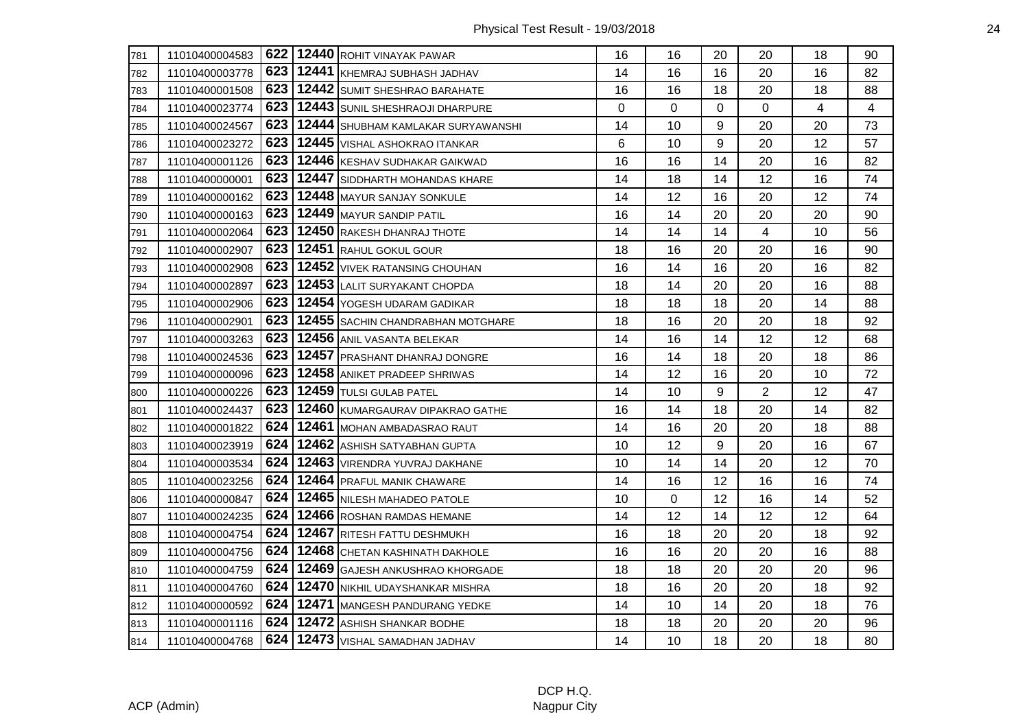| 781 | 11010400004583 |     | 622   12440 ROHIT VINAYAK PAWAR      | 16       | 16             | 20       | 20             | 18 | 90 |
|-----|----------------|-----|--------------------------------------|----------|----------------|----------|----------------|----|----|
| 782 | 11010400003778 | 623 | 12441 KHEMRAJ SUBHASH JADHAV         | 14       | 16             | 16       | 20             | 16 | 82 |
| 783 | 11010400001508 | 623 | 12442 SUMIT SHESHRAO BARAHATE        | 16       | 16             | 18       | 20             | 18 | 88 |
| 784 | 11010400023774 | 623 | 12443 SUNIL SHESHRAOJI DHARPURE      | $\Omega$ | $\overline{0}$ | $\Omega$ | $\Omega$       | 4  | 4  |
| 785 | 11010400024567 | 623 | 12444 SHUBHAM KAMLAKAR SURYAWANSHI   | 14       | 10             | 9        | 20             | 20 | 73 |
| 786 | 11010400023272 | 623 | 12445 VISHAL ASHOKRAO ITANKAR        | 6        | 10             | 9        | 20             | 12 | 57 |
| 787 | 11010400001126 | 623 | 12446 KESHAV SUDHAKAR GAIKWAD        | 16       | 16             | 14       | 20             | 16 | 82 |
| 788 | 11010400000001 | 623 | 12447 SIDDHARTH MOHANDAS KHARE       | 14       | 18             | 14       | 12             | 16 | 74 |
| 789 | 11010400000162 | 623 | 12448 MAYUR SANJAY SONKULE           | 14       | 12             | 16       | 20             | 12 | 74 |
| 790 | 11010400000163 | 623 | 12449 MAYUR SANDIP PATIL             | 16       | 14             | 20       | 20             | 20 | 90 |
| 791 | 11010400002064 | 623 | 12450 RAKESH DHANRAJ THOTE           | 14       | 14             | 14       | 4              | 10 | 56 |
| 792 | 11010400002907 | 623 | 12451 RAHUL GOKUL GOUR               | 18       | 16             | 20       | 20             | 16 | 90 |
| 793 | 11010400002908 | 623 | 12452 VIVEK RATANSING CHOUHAN        | 16       | 14             | 16       | 20             | 16 | 82 |
| 794 | 11010400002897 | 623 | 12453 LALIT SURYAKANT CHOPDA         | 18       | 14             | 20       | 20             | 16 | 88 |
| 795 | 11010400002906 | 623 | 12454 YOGESH UDARAM GADIKAR          | 18       | 18             | 18       | 20             | 14 | 88 |
| 796 | 11010400002901 | 623 | 12455 SACHIN CHANDRABHAN MOTGHARE    | 18       | 16             | 20       | 20             | 18 | 92 |
| 797 | 11010400003263 | 623 | 12456 ANIL VASANTA BELEKAR           | 14       | 16             | 14       | 12             | 12 | 68 |
| 798 | 11010400024536 | 623 | 12457 PRASHANT DHANRAJ DONGRE        | 16       | 14             | 18       | 20             | 18 | 86 |
| 799 | 11010400000096 | 623 | 12458 ANIKET PRADEEP SHRIWAS         | 14       | 12             | 16       | 20             | 10 | 72 |
| 800 | 11010400000226 | 623 | 12459 TULSI GULAB PATEL              | 14       | 10             | 9        | $\overline{2}$ | 12 | 47 |
| 801 | 11010400024437 | 623 | 12460 KUMARGAURAV DIPAKRAO GATHE     | 16       | 14             | 18       | 20             | 14 | 82 |
| 802 | 11010400001822 | 624 | 12461 MOHAN AMBADASRAO RAUT          | 14       | 16             | 20       | 20             | 18 | 88 |
| 803 | 11010400023919 | 624 | 12462 ASHISH SATYABHAN GUPTA         | 10       | 12             | 9        | 20             | 16 | 67 |
| 804 | 11010400003534 | 624 | 12463 VIRENDRA YUVRAJ DAKHANE        | 10       | 14             | 14       | 20             | 12 | 70 |
| 805 | 11010400023256 | 624 | 12464 PRAFUL MANIK CHAWARE           | 14       | 16             | 12       | 16             | 16 | 74 |
| 806 | 11010400000847 | 624 | 12465 NILESH MAHADEO PATOLE          | 10       | 0              | 12       | 16             | 14 | 52 |
| 807 | 11010400024235 | 624 | 12466 ROSHAN RAMDAS HEMANE           | 14       | 12             | 14       | 12             | 12 | 64 |
| 808 | 11010400004754 | 624 | 12467 RITESH FATTU DESHMUKH          | 16       | 18             | 20       | 20             | 18 | 92 |
| 809 | 11010400004756 | 624 | 12468 CHETAN KASHINATH DAKHOLE       | 16       | 16             | 20       | 20             | 16 | 88 |
| 810 | 11010400004759 | 624 | 12469 GAJESH ANKUSHRAO KHORGADE      | 18       | 18             | 20       | 20             | 20 | 96 |
| 811 | 11010400004760 | 624 | 12470 NIKHIL UDAYSHANKAR MISHRA      | 18       | 16             | 20       | 20             | 18 | 92 |
| 812 | 11010400000592 | 624 | 12471 MANGESH PANDURANG YEDKE        | 14       | 10             | 14       | 20             | 18 | 76 |
| 813 | 11010400001116 | 624 | 12472 ASHISH SHANKAR BODHE           | 18       | 18             | 20       | 20             | 20 | 96 |
| 814 | 11010400004768 |     | 624   12473   VISHAL SAMADHAN JADHAV | 14       | 10             | 18       | 20             | 18 | 80 |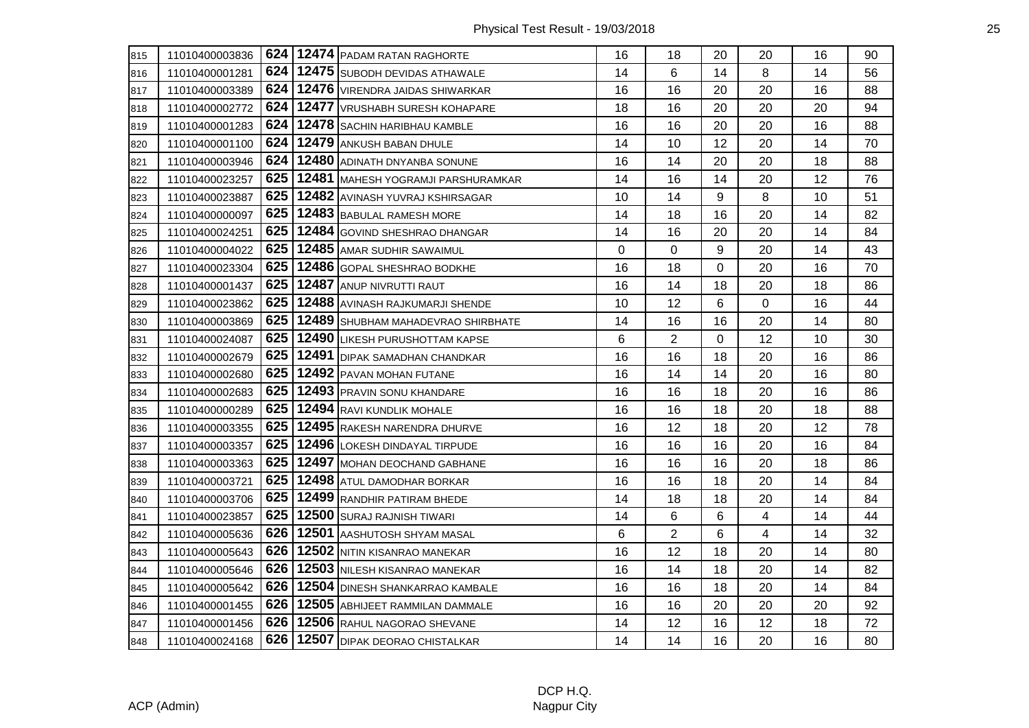| 815 | 11010400003836 |     | 624   12474   PADAM RATAN RAGHORTE    | 16 | 18             | 20       | 20 | 16 | 90 |
|-----|----------------|-----|---------------------------------------|----|----------------|----------|----|----|----|
| 816 | 11010400001281 | 624 | 12475 SUBODH DEVIDAS ATHAWALE         | 14 | 6              | 14       | 8  | 14 | 56 |
| 817 | 11010400003389 | 624 | 12476 VIRENDRA JAIDAS SHIWARKAR       | 16 | 16             | 20       | 20 | 16 | 88 |
| 818 | 11010400002772 | 624 | 12477 VRUSHABH SURESH KOHAPARE        | 18 | 16             | 20       | 20 | 20 | 94 |
| 819 | 11010400001283 | 624 | 12478 SACHIN HARIBHAU KAMBLE          | 16 | 16             | 20       | 20 | 16 | 88 |
| 820 | 11010400001100 | 624 | 12479 ANKUSH BABAN DHULE              | 14 | 10             | 12       | 20 | 14 | 70 |
| 821 | 11010400003946 | 624 | 12480 ADINATH DNYANBA SONUNE          | 16 | 14             | 20       | 20 | 18 | 88 |
| 822 | 11010400023257 | 625 | 12481 MAHESH YOGRAMJI PARSHURAMKAR    | 14 | 16             | 14       | 20 | 12 | 76 |
| 823 | 11010400023887 | 625 | 12482 AVINASH YUVRAJ KSHIRSAGAR       | 10 | 14             | 9        | 8  | 10 | 51 |
| 824 | 11010400000097 | 625 | 12483 BABULAL RAMESH MORE             | 14 | 18             | 16       | 20 | 14 | 82 |
| 825 | 11010400024251 | 625 | 12484 GOVIND SHESHRAO DHANGAR         | 14 | 16             | 20       | 20 | 14 | 84 |
| 826 | 11010400004022 | 625 | 12485 AMAR SUDHIR SAWAIMUL            | 0  | 0              | 9        | 20 | 14 | 43 |
| 827 | 11010400023304 | 625 | 12486 GOPAL SHESHRAO BODKHE           | 16 | 18             | 0        | 20 | 16 | 70 |
| 828 | 11010400001437 | 625 | 12487 ANUP NIVRUTTI RAUT              | 16 | 14             | 18       | 20 | 18 | 86 |
| 829 | 11010400023862 | 625 | 12488 AVINASH RAJKUMARJI SHENDE       | 10 | 12             | 6        | 0  | 16 | 44 |
| 830 | 11010400003869 | 625 | 12489 SHUBHAM MAHADEVRAO SHIRBHATE    | 14 | 16             | 16       | 20 | 14 | 80 |
| 831 | 11010400024087 | 625 | 12490 LIKESH PURUSHOTTAM KAPSE        | 6  | $\overline{2}$ | $\Omega$ | 12 | 10 | 30 |
| 832 | 11010400002679 | 625 | 12491 DIPAK SAMADHAN CHANDKAR         | 16 | 16             | 18       | 20 | 16 | 86 |
| 833 | 11010400002680 | 625 | 12492 PAVAN MOHAN FUTANE              | 16 | 14             | 14       | 20 | 16 | 80 |
| 834 | 11010400002683 | 625 | 12493 PRAVIN SONU KHANDARE            | 16 | 16             | 18       | 20 | 16 | 86 |
| 835 | 11010400000289 | 625 | 12494 RAVI KUNDLIK MOHALE             | 16 | 16             | 18       | 20 | 18 | 88 |
| 836 | 11010400003355 | 625 | 12495 RAKESH NARENDRA DHURVE          | 16 | 12             | 18       | 20 | 12 | 78 |
| 837 | 11010400003357 | 625 | 12496 LOKESH DINDAYAL TIRPUDE         | 16 | 16             | 16       | 20 | 16 | 84 |
| 838 | 11010400003363 | 625 | 12497 MOHAN DEOCHAND GABHANE          | 16 | 16             | 16       | 20 | 18 | 86 |
| 839 | 11010400003721 | 625 | 12498 ATUL DAMODHAR BORKAR            | 16 | 16             | 18       | 20 | 14 | 84 |
| 840 | 11010400003706 | 625 | 12499 RANDHIR PATIRAM BHEDE           | 14 | 18             | 18       | 20 | 14 | 84 |
| 841 | 11010400023857 | 625 | 12500 SURAJ RAJNISH TIWARI            | 14 | 6              | 6        | 4  | 14 | 44 |
| 842 | 11010400005636 | 626 | 12501 AASHUTOSH SHYAM MASAL           | 6  | $\overline{2}$ | 6        | 4  | 14 | 32 |
| 843 | 11010400005643 | 626 | 12502 NITIN KISANRAO MANEKAR          | 16 | 12             | 18       | 20 | 14 | 80 |
| 844 | 11010400005646 | 626 | 12503 NILESH KISANRAO MANEKAR         | 16 | 14             | 18       | 20 | 14 | 82 |
| 845 | 11010400005642 | 626 | 12504 DINESH SHANKARRAO KAMBALE       | 16 | 16             | 18       | 20 | 14 | 84 |
| 846 | 11010400001455 | 626 | 12505 ABHIJEET RAMMILAN DAMMALE       | 16 | 16             | 20       | 20 | 20 | 92 |
| 847 | 11010400001456 |     | 626   12506 RAHUL NAGORAO SHEVANE     | 14 | 12             | 16       | 12 | 18 | 72 |
| 848 | 11010400024168 |     | 626   12507   DIPAK DEORAO CHISTALKAR | 14 | 14             | 16       | 20 | 16 | 80 |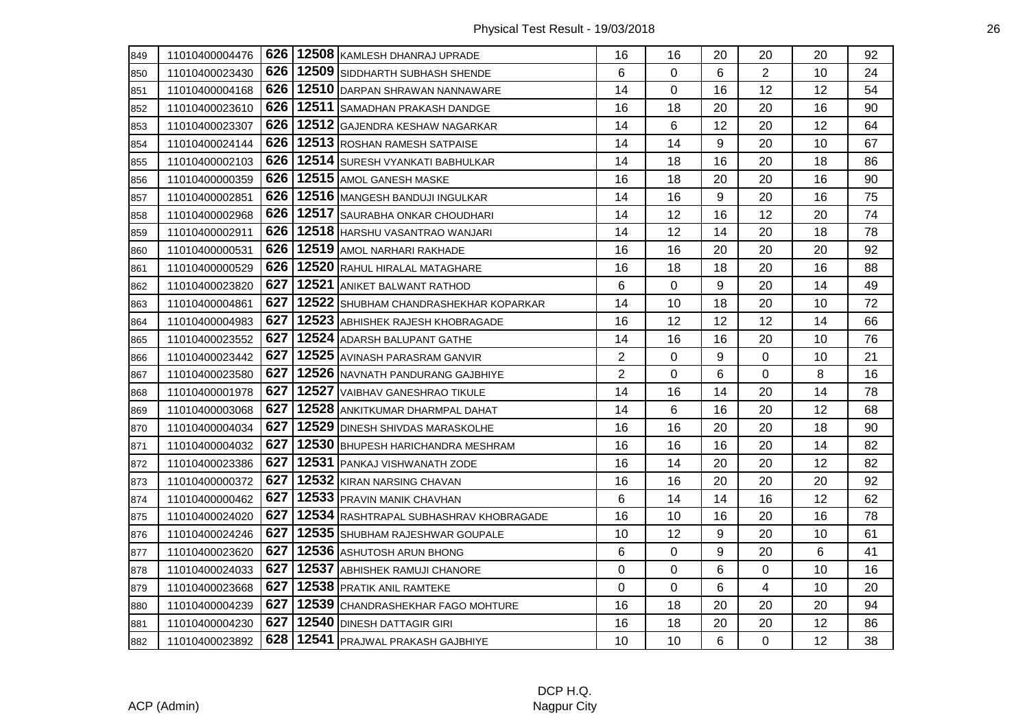| 849 | 11010400004476 |     | 626   12508   KAMLESH DHANRAJ UPRADE   | 16             | 16          | 20 | 20             | 20 | 92 |
|-----|----------------|-----|----------------------------------------|----------------|-------------|----|----------------|----|----|
| 850 | 11010400023430 |     | 626   12509   SIDDHARTH SUBHASH SHENDE | 6              | 0           | 6  | $\overline{2}$ | 10 | 24 |
| 851 | 11010400004168 | 626 | 12510 DARPAN SHRAWAN NANNAWARE         | 14             | 0           | 16 | 12             | 12 | 54 |
| 852 | 11010400023610 | 626 | 12511 SAMADHAN PRAKASH DANDGE          | 16             | 18          | 20 | 20             | 16 | 90 |
| 853 | 11010400023307 | 626 | 12512 GAJENDRA KESHAW NAGARKAR         | 14             | 6           | 12 | 20             | 12 | 64 |
| 854 | 11010400024144 | 626 | 12513 ROSHAN RAMESH SATPAISE           | 14             | 14          | 9  | 20             | 10 | 67 |
| 855 | 11010400002103 | 626 | 12514 SURESH VYANKATI BABHULKAR        | 14             | 18          | 16 | 20             | 18 | 86 |
| 856 | 11010400000359 | 626 | 12515 AMOL GANESH MASKE                | 16             | 18          | 20 | 20             | 16 | 90 |
| 857 | 11010400002851 | 626 | 12516 MANGESH BANDUJI INGULKAR         | 14             | 16          | 9  | 20             | 16 | 75 |
| 858 | 11010400002968 | 626 | 12517 SAURABHA ONKAR CHOUDHARI         | 14             | 12          | 16 | 12             | 20 | 74 |
| 859 | 11010400002911 | 626 | 12518 HARSHU VASANTRAO WANJARI         | 14             | 12          | 14 | 20             | 18 | 78 |
| 860 | 11010400000531 | 626 | 12519 AMOL NARHARI RAKHADE             | 16             | 16          | 20 | 20             | 20 | 92 |
| 861 | 11010400000529 | 626 | 12520 RAHUL HIRALAL MATAGHARE          | 16             | 18          | 18 | 20             | 16 | 88 |
| 862 | 11010400023820 | 627 | 12521 ANIKET BALWANT RATHOD            | 6              | 0           | 9  | 20             | 14 | 49 |
| 863 | 11010400004861 | 627 | 12522 SHUBHAM CHANDRASHEKHAR KOPARKAR  | 14             | 10          | 18 | 20             | 10 | 72 |
| 864 | 11010400004983 | 627 | 12523 ABHISHEK RAJESH KHOBRAGADE       | 16             | 12          | 12 | 12             | 14 | 66 |
| 865 | 11010400023552 | 627 | 12524 ADARSH BALUPANT GATHE            | 14             | 16          | 16 | 20             | 10 | 76 |
| 866 | 11010400023442 | 627 | 12525 AVINASH PARASRAM GANVIR          | $\overline{c}$ | 0           | 9  | 0              | 10 | 21 |
| 867 | 11010400023580 | 627 | 12526 NAVNATH PANDURANG GAJBHIYE       | $\overline{2}$ | 0           | 6  | 0              | 8  | 16 |
| 868 | 11010400001978 | 627 | 12527 VAIBHAV GANESHRAO TIKULE         | 14             | 16          | 14 | 20             | 14 | 78 |
| 869 | 11010400003068 | 627 | 12528 ANKITKUMAR DHARMPAL DAHAT        | 14             | 6           | 16 | 20             | 12 | 68 |
| 870 | 11010400004034 | 627 | 12529 DINESH SHIVDAS MARASKOLHE        | 16             | 16          | 20 | 20             | 18 | 90 |
| 871 | 11010400004032 | 627 | 12530 BHUPESH HARICHANDRA MESHRAM      | 16             | 16          | 16 | 20             | 14 | 82 |
| 872 | 11010400023386 | 627 | 12531 PANKAJ VISHWANATH ZODE           | 16             | 14          | 20 | 20             | 12 | 82 |
| 873 | 11010400000372 | 627 | 12532 KIRAN NARSING CHAVAN             | 16             | 16          | 20 | 20             | 20 | 92 |
| 874 | 11010400000462 | 627 | 12533 PRAVIN MANIK CHAVHAN             | 6              | 14          | 14 | 16             | 12 | 62 |
| 875 | 11010400024020 | 627 | 12534 RASHTRAPAL SUBHASHRAV KHOBRAGADE | 16             | 10          | 16 | 20             | 16 | 78 |
| 876 | 11010400024246 | 627 | 12535 SHUBHAM RAJESHWAR GOUPALE        | 10             | 12          | 9  | 20             | 10 | 61 |
| 877 | 11010400023620 | 627 | 12536 ASHUTOSH ARUN BHONG              | 6              | 0           | 9  | 20             | 6  | 41 |
| 878 | 11010400024033 | 627 | 12537 ABHISHEK RAMUJI CHANORE          | 0              | 0           | 6  | 0              | 10 | 16 |
| 879 | 11010400023668 | 627 | 12538 PRATIK ANIL RAMTEKE              | $\mathbf 0$    | $\mathbf 0$ | 6  | 4              | 10 | 20 |
| 880 | 11010400004239 | 627 | 12539 CHANDRASHEKHAR FAGO MOHTURE      | 16             | 18          | 20 | 20             | 20 | 94 |
| 881 | 11010400004230 | 627 | 12540 DINESH DATTAGIR GIRI             | 16             | 18          | 20 | 20             | 12 | 86 |
| 882 | 11010400023892 | 628 | 12541 PRAJWAL PRAKASH GAJBHIYE         | 10             | 10          | 6  | $\mathbf 0$    | 12 | 38 |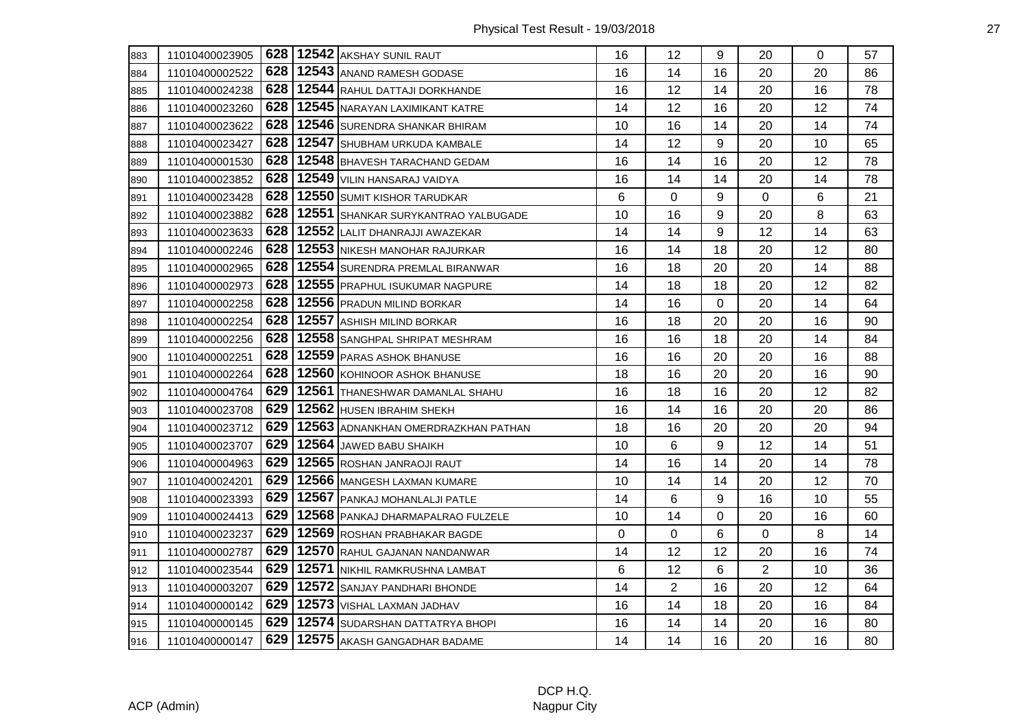| 883 | 11010400023905 |     | 628   12542 AKSHAY SUNIL RAUT       | 16          | 12             | 9  | 20             | $\Omega$ | 57 |
|-----|----------------|-----|-------------------------------------|-------------|----------------|----|----------------|----------|----|
| 884 | 11010400002522 | 628 | 12543 ANAND RAMESH GODASE           | 16          | 14             | 16 | 20             | 20       | 86 |
| 885 | 11010400024238 | 628 | 12544 RAHUL DATTAJI DORKHANDE       | 16          | 12             | 14 | 20             | 16       | 78 |
| 886 | 11010400023260 | 628 | 12545 NARAYAN LAXIMIKANT KATRE      | 14          | 12             | 16 | 20             | 12       | 74 |
| 887 | 11010400023622 | 628 | 12546 SURENDRA SHANKAR BHIRAM       | 10          | 16             | 14 | 20             | 14       | 74 |
| 888 | 11010400023427 | 628 | 12547 SHUBHAM URKUDA KAMBALE        | 14          | 12             | 9  | 20             | 10       | 65 |
| 889 | 11010400001530 | 628 | 12548 BHAVESH TARACHAND GEDAM       | 16          | 14             | 16 | 20             | 12       | 78 |
| 890 | 11010400023852 | 628 | 12549 VILIN HANSARAJ VAIDYA         | 16          | 14             | 14 | 20             | 14       | 78 |
| 891 | 11010400023428 | 628 | 12550 SUMIT KISHOR TARUDKAR         | 6           | 0              | 9  | 0              | 6        | 21 |
| 892 | 11010400023882 | 628 | 12551 SHANKAR SURYKANTRAO YALBUGADE | 10          | 16             | 9  | 20             | 8        | 63 |
| 893 | 11010400023633 | 628 | 12552 LALIT DHANRAJJI AWAZEKAR      | 14          | 14             | 9  | 12             | 14       | 63 |
| 894 | 11010400002246 | 628 | 12553 NIKESH MANOHAR RAJURKAR       | 16          | 14             | 18 | 20             | 12       | 80 |
| 895 | 11010400002965 | 628 | 12554 SURENDRA PREMLAL BIRANWAR     | 16          | 18             | 20 | 20             | 14       | 88 |
| 896 | 11010400002973 | 628 | 12555 PRAPHUL ISUKUMAR NAGPURE      | 14          | 18             | 18 | 20             | 12       | 82 |
| 897 | 11010400002258 | 628 | 12556 PRADUN MILIND BORKAR          | 14          | 16             | 0  | 20             | 14       | 64 |
| 898 | 11010400002254 | 628 | 12557 ASHISH MILIND BORKAR          | 16          | 18             | 20 | 20             | 16       | 90 |
| 899 | 11010400002256 | 628 | 12558 SANGHPAL SHRIPAT MESHRAM      | 16          | 16             | 18 | 20             | 14       | 84 |
| 900 | 11010400002251 | 628 | 12559 PARAS ASHOK BHANUSE           | 16          | 16             | 20 | 20             | 16       | 88 |
| 901 | 11010400002264 | 628 | 12560 KOHINOOR ASHOK BHANUSE        | 18          | 16             | 20 | 20             | 16       | 90 |
| 902 | 11010400004764 | 629 | 12561 THANESHWAR DAMANLAL SHAHU     | 16          | 18             | 16 | 20             | 12       | 82 |
| 903 | 11010400023708 | 629 | 12562 HUSEN IBRAHIM SHEKH           | 16          | 14             | 16 | 20             | 20       | 86 |
| 904 | 11010400023712 | 629 | 12563 ADNANKHAN OMERDRAZKHAN PATHAN | 18          | 16             | 20 | 20             | 20       | 94 |
| 905 | 11010400023707 | 629 | 12564 JAWED BABU SHAIKH             | 10          | 6              | 9  | 12             | 14       | 51 |
| 906 | 11010400004963 | 629 | 12565 ROSHAN JANRAOJI RAUT          | 14          | 16             | 14 | 20             | 14       | 78 |
| 907 | 11010400024201 | 629 | 12566 MANGESH LAXMAN KUMARE         | 10          | 14             | 14 | 20             | 12       | 70 |
| 908 | 11010400023393 | 629 | 12567 PANKAJ MOHANLALJI PATLE       | 14          | 6              | 9  | 16             | 10       | 55 |
| 909 | 11010400024413 | 629 | 12568 PANKAJ DHARMAPALRAO FULZELE   | 10          | 14             | 0  | 20             | 16       | 60 |
| 910 | 11010400023237 | 629 | 12569 ROSHAN PRABHAKAR BAGDE        | $\mathbf 0$ | 0              | 6  | 0              | 8        | 14 |
| 911 | 11010400002787 | 629 | 12570 RAHUL GAJANAN NANDANWAR       | 14          | 12             | 12 | 20             | 16       | 74 |
| 912 | 11010400023544 | 629 | 12571 NIKHIL RAMKRUSHNA LAMBAT      | 6           | 12             | 6  | $\overline{2}$ | 10       | 36 |
| 913 | 11010400003207 | 629 | 12572 SANJAY PANDHARI BHONDE        | 14          | $\overline{2}$ | 16 | 20             | 12       | 64 |
| 914 | 11010400000142 | 629 | 12573   VISHAL LAXMAN JADHAV        | 16          | 14             | 18 | 20             | 16       | 84 |
| 915 | 11010400000145 | 629 | 12574 SUDARSHAN DATTATRYA BHOPI     | 16          | 14             | 14 | 20             | 16       | 80 |
| 916 | 11010400000147 | 629 | 12575 AKASH GANGADHAR BADAME        | 14          | 14             | 16 | 20             | 16       | 80 |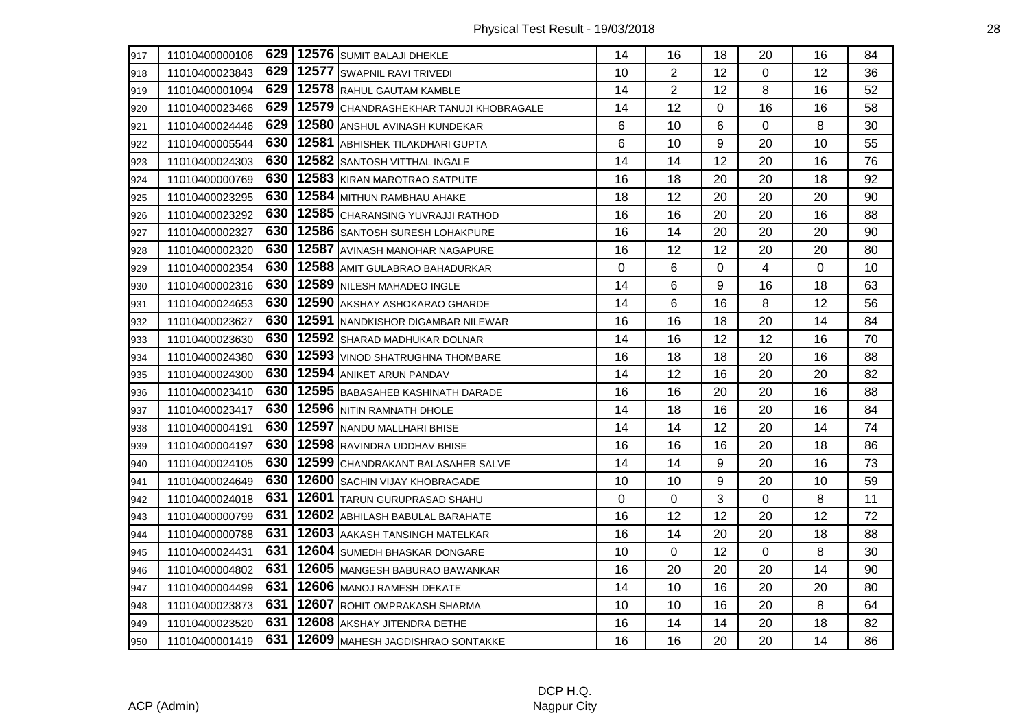| 917 | 11010400000106 |     | 629   12576   SUMIT BALAJI DHEKLE      | 14 | 16             | 18       | 20             | 16 | 84 |
|-----|----------------|-----|----------------------------------------|----|----------------|----------|----------------|----|----|
| 918 | 11010400023843 | 629 | 12577 SWAPNIL RAVI TRIVEDI             | 10 | $\overline{2}$ | 12       | 0              | 12 | 36 |
| 919 | 11010400001094 | 629 | 12578 RAHUL GAUTAM KAMBLE              | 14 | $\overline{2}$ | 12       | 8              | 16 | 52 |
| 920 | 11010400023466 | 629 | 12579 CHANDRASHEKHAR TANUJI KHOBRAGALE | 14 | 12             | $\Omega$ | 16             | 16 | 58 |
| 921 | 11010400024446 | 629 | 12580 ANSHUL AVINASH KUNDEKAR          | 6  | 10             | 6        | 0              | 8  | 30 |
| 922 | 11010400005544 | 630 | 12581 ABHISHEK TILAKDHARI GUPTA        | 6  | 10             | 9        | 20             | 10 | 55 |
| 923 | 11010400024303 | 630 | 12582 SANTOSH VITTHAL INGALE           | 14 | 14             | 12       | 20             | 16 | 76 |
| 924 | 11010400000769 | 630 | 12583 KIRAN MAROTRAO SATPUTE           | 16 | 18             | 20       | 20             | 18 | 92 |
| 925 | 11010400023295 | 630 | 12584 MITHUN RAMBHAU AHAKE             | 18 | 12             | 20       | 20             | 20 | 90 |
| 926 | 11010400023292 | 630 | 12585 CHARANSING YUVRAJJI RATHOD       | 16 | 16             | 20       | 20             | 16 | 88 |
| 927 | 11010400002327 | 630 | 12586 SANTOSH SURESH LOHAKPURE         | 16 | 14             | 20       | 20             | 20 | 90 |
| 928 | 11010400002320 | 630 | 12587 AVINASH MANOHAR NAGAPURE         | 16 | 12             | 12       | 20             | 20 | 80 |
| 929 | 11010400002354 | 630 | 12588 AMIT GULABRAO BAHADURKAR         | 0  | 6              | 0        | 4              | 0  | 10 |
| 930 | 11010400002316 | 630 | 12589 NILESH MAHADEO INGLE             | 14 | 6              | 9        | 16             | 18 | 63 |
| 931 | 11010400024653 | 630 | 12590 AKSHAY ASHOKARAO GHARDE          | 14 | 6              | 16       | 8              | 12 | 56 |
| 932 | 11010400023627 | 630 | 12591 NANDKISHOR DIGAMBAR NILEWAR      | 16 | 16             | 18       | 20             | 14 | 84 |
| 933 | 11010400023630 | 630 | 12592 SHARAD MADHUKAR DOLNAR           | 14 | 16             | 12       | 12             | 16 | 70 |
| 934 | 11010400024380 | 630 | 12593 VINOD SHATRUGHNA THOMBARE        | 16 | 18             | 18       | 20             | 16 | 88 |
| 935 | 11010400024300 | 630 | 12594 ANIKET ARUN PANDAV               | 14 | 12             | 16       | 20             | 20 | 82 |
| 936 | 11010400023410 | 630 | 12595 BABASAHEB KASHINATH DARADE       | 16 | 16             | 20       | 20             | 16 | 88 |
| 937 | 11010400023417 | 630 | 12596 NITIN RAMNATH DHOLE              | 14 | 18             | 16       | 20             | 16 | 84 |
| 938 | 11010400004191 | 630 | 12597 NANDU MALLHARI BHISE             | 14 | 14             | 12       | 20             | 14 | 74 |
| 939 | 11010400004197 | 630 | 12598 RAVINDRA UDDHAV BHISE            | 16 | 16             | 16       | 20             | 18 | 86 |
| 940 | 11010400024105 | 630 | 12599 CHANDRAKANT BALASAHEB SALVE      | 14 | 14             | 9        | 20             | 16 | 73 |
| 941 | 11010400024649 | 630 | 12600 SACHIN VIJAY KHOBRAGADE          | 10 | 10             | 9        | 20             | 10 | 59 |
| 942 | 11010400024018 | 631 | 12601 TARUN GURUPRASAD SHAHU           | 0  | 0              | 3        | 0              | 8  | 11 |
| 943 | 11010400000799 | 631 | 12602 ABHILASH BABULAL BARAHATE        | 16 | 12             | 12       | 20             | 12 | 72 |
| 944 | 11010400000788 | 631 | 12603 AAKASH TANSINGH MATELKAR         | 16 | 14             | 20       | 20             | 18 | 88 |
| 945 | 11010400024431 | 631 | 12604 SUMEDH BHASKAR DONGARE           | 10 | 0              | 12       | $\overline{0}$ | 8  | 30 |
| 946 | 11010400004802 | 631 | 12605 MANGESH BABURAO BAWANKAR         | 16 | 20             | 20       | 20             | 14 | 90 |
| 947 | 11010400004499 | 631 | 12606 MANOJ RAMESH DEKATE              | 14 | 10             | 16       | 20             | 20 | 80 |
| 948 | 11010400023873 | 631 | 12607 ROHIT OMPRAKASH SHARMA           | 10 | 10             | 16       | 20             | 8  | 64 |
| 949 | 11010400023520 | 631 | 12608 AKSHAY JITENDRA DETHE            | 16 | 14             | 14       | 20             | 18 | 82 |
| 950 | 11010400001419 | 631 | 12609 MAHESH JAGDISHRAO SONTAKKE       | 16 | 16             | 20       | 20             | 14 | 86 |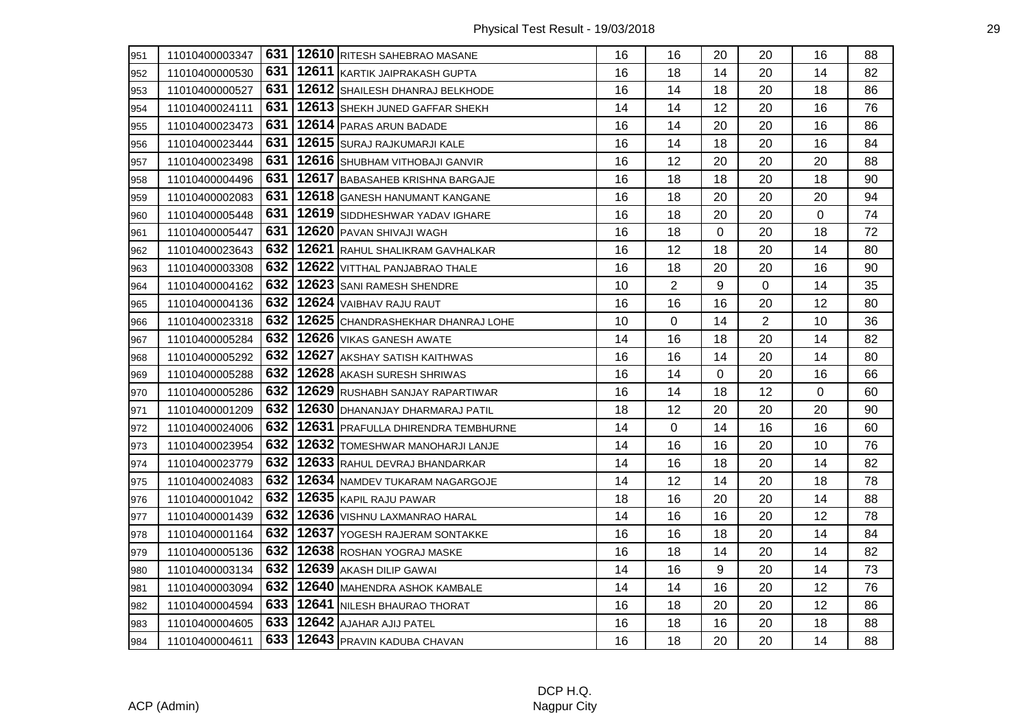| 951 | 11010400003347 |     | 631   12610   RITESH SAHEBRAO MASANE | 16 | 16             | 20          | 20             | 16          | 88 |
|-----|----------------|-----|--------------------------------------|----|----------------|-------------|----------------|-------------|----|
| 952 | 11010400000530 | 631 | 12611 KARTIK JAIPRAKASH GUPTA        | 16 | 18             | 14          | 20             | 14          | 82 |
| 953 | 11010400000527 | 631 | 12612 SHAILESH DHANRAJ BELKHODE      | 16 | 14             | 18          | 20             | 18          | 86 |
| 954 | 11010400024111 | 631 | 12613 SHEKH JUNED GAFFAR SHEKH       | 14 | 14             | 12          | 20             | 16          | 76 |
| 955 | 11010400023473 | 631 | 12614 PARAS ARUN BADADE              | 16 | 14             | 20          | 20             | 16          | 86 |
| 956 | 11010400023444 | 631 | 12615 SURAJ RAJKUMARJI KALE          | 16 | 14             | 18          | 20             | 16          | 84 |
| 957 | 11010400023498 | 631 | 12616 SHUBHAM VITHOBAJI GANVIR       | 16 | 12             | 20          | 20             | 20          | 88 |
| 958 | 11010400004496 | 631 | 12617 BABASAHEB KRISHNA BARGAJE      | 16 | 18             | 18          | 20             | 18          | 90 |
| 959 | 11010400002083 | 631 | 12618 GANESH HANUMANT KANGANE        | 16 | 18             | 20          | 20             | 20          | 94 |
| 960 | 11010400005448 | 631 | 12619 SIDDHESHWAR YADAV IGHARE       | 16 | 18             | 20          | 20             | $\mathbf 0$ | 74 |
| 961 | 11010400005447 | 631 | 12620 PAVAN SHIVAJI WAGH             | 16 | 18             | $\mathbf 0$ | 20             | 18          | 72 |
| 962 | 11010400023643 | 632 | 12621 RAHUL SHALIKRAM GAVHALKAR      | 16 | 12             | 18          | 20             | 14          | 80 |
| 963 | 11010400003308 | 632 | 12622 VITTHAL PANJABRAO THALE        | 16 | 18             | 20          | 20             | 16          | 90 |
| 964 | 11010400004162 | 632 | 12623 SANI RAMESH SHENDRE            | 10 | $\overline{2}$ | 9           | 0              | 14          | 35 |
| 965 | 11010400004136 | 632 | 12624 VAIBHAV RAJU RAUT              | 16 | 16             | 16          | 20             | 12          | 80 |
| 966 | 11010400023318 | 632 | 12625 CHANDRASHEKHAR DHANRAJ LOHE    | 10 | 0              | 14          | $\overline{2}$ | 10          | 36 |
| 967 | 11010400005284 | 632 | 12626 VIKAS GANESH AWATE             | 14 | 16             | 18          | 20             | 14          | 82 |
| 968 | 11010400005292 | 632 | 12627 AKSHAY SATISH KAITHWAS         | 16 | 16             | 14          | 20             | 14          | 80 |
| 969 | 11010400005288 | 632 | 12628 AKASH SURESH SHRIWAS           | 16 | 14             | $\Omega$    | 20             | 16          | 66 |
| 970 | 11010400005286 | 632 | 12629 RUSHABH SANJAY RAPARTIWAR      | 16 | 14             | 18          | 12             | $\mathbf 0$ | 60 |
| 971 | 11010400001209 | 632 | 12630 DHANANJAY DHARMARAJ PATIL      | 18 | 12             | 20          | 20             | 20          | 90 |
| 972 | 11010400024006 | 632 | 12631 PRAFULLA DHIRENDRA TEMBHURNE   | 14 | 0              | 14          | 16             | 16          | 60 |
| 973 | 11010400023954 | 632 | 12632 TOMESHWAR MANOHARJI LANJE      | 14 | 16             | 16          | 20             | 10          | 76 |
| 974 | 11010400023779 | 632 | 12633 RAHUL DEVRAJ BHANDARKAR        | 14 | 16             | 18          | 20             | 14          | 82 |
| 975 | 11010400024083 | 632 | 12634 NAMDEV TUKARAM NAGARGOJE       | 14 | 12             | 14          | 20             | 18          | 78 |
| 976 | 11010400001042 | 632 | 12635 KAPIL RAJU PAWAR               | 18 | 16             | 20          | 20             | 14          | 88 |
| 977 | 11010400001439 | 632 | 12636 VISHNU LAXMANRAO HARAL         | 14 | 16             | 16          | 20             | 12          | 78 |
| 978 | 11010400001164 | 632 | 12637 YOGESH RAJERAM SONTAKKE        | 16 | 16             | 18          | 20             | 14          | 84 |
| 979 | 11010400005136 | 632 | 12638 ROSHAN YOGRAJ MASKE            | 16 | 18             | 14          | 20             | 14          | 82 |
| 980 | 11010400003134 | 632 | 12639 AKASH DILIP GAWAI              | 14 | 16             | 9           | 20             | 14          | 73 |
| 981 | 11010400003094 | 632 | 12640 MAHENDRA ASHOK KAMBALE         | 14 | 14             | 16          | 20             | 12          | 76 |
| 982 | 11010400004594 | 633 | 12641 NILESH BHAURAO THORAT          | 16 | 18             | 20          | 20             | 12          | 86 |
| 983 | 11010400004605 |     | 633   12642   AJAHAR AJIJ PATEL      | 16 | 18             | 16          | 20             | 18          | 88 |
| 984 | 11010400004611 |     | 633   12643   PRAVIN KADUBA CHAVAN   | 16 | 18             | 20          | 20             | 14          | 88 |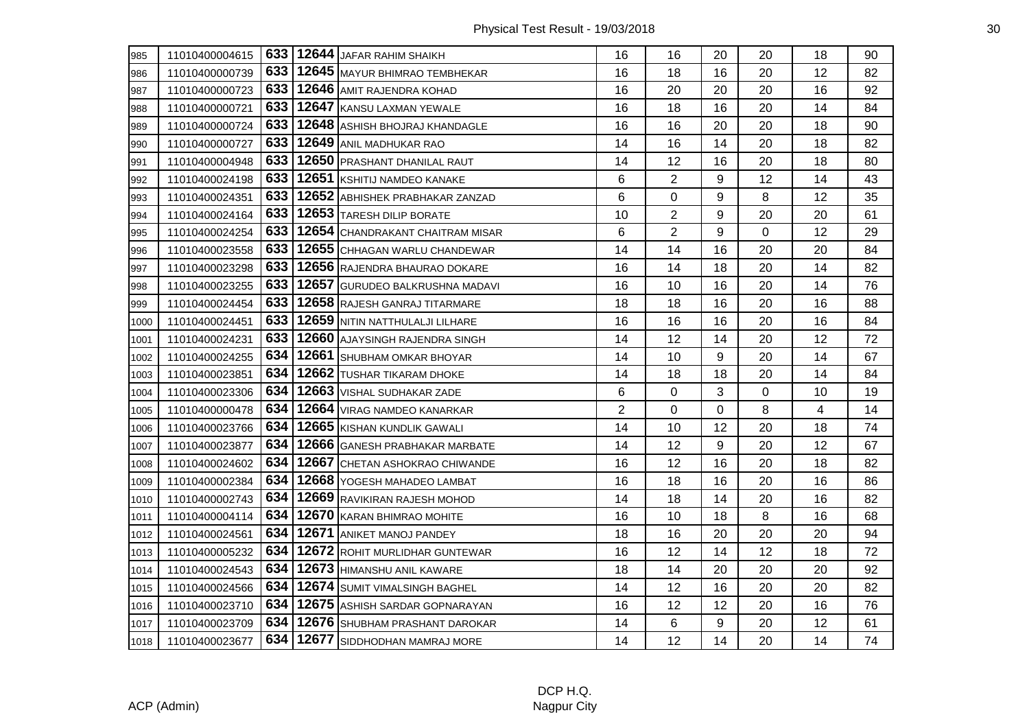| 985  | 11010400004615 | 633 | 12644 JAFAR RAHIM SHAIKH             | 16             | 16             | 20 | 20       | 18 | 90 |
|------|----------------|-----|--------------------------------------|----------------|----------------|----|----------|----|----|
| 986  | 11010400000739 | 633 | 12645 MAYUR BHIMRAO TEMBHEKAR        | 16             | 18             | 16 | 20       | 12 | 82 |
| 987  | 11010400000723 | 633 | 12646 AMIT RAJENDRA KOHAD            | 16             | 20             | 20 | 20       | 16 | 92 |
| 988  | 11010400000721 | 633 | 12647 KANSU LAXMAN YEWALE            | 16             | 18             | 16 | 20       | 14 | 84 |
| 989  | 11010400000724 | 633 | 12648 ASHISH BHOJRAJ KHANDAGLE       | 16             | 16             | 20 | 20       | 18 | 90 |
| 990  | 11010400000727 | 633 | 12649 ANIL MADHUKAR RAO              | 14             | 16             | 14 | 20       | 18 | 82 |
| 991  | 11010400004948 | 633 | 12650 PRASHANT DHANILAL RAUT         | 14             | 12             | 16 | 20       | 18 | 80 |
| 992  | 11010400024198 | 633 | 12651 KSHITIJ NAMDEO KANAKE          | 6              | $\overline{2}$ | 9  | 12       | 14 | 43 |
| 993  | 11010400024351 | 633 | 12652 ABHISHEK PRABHAKAR ZANZAD      | 6              | 0              | 9  | 8        | 12 | 35 |
| 994  | 11010400024164 | 633 | 12653 TARESH DILIP BORATE            | 10             | $\overline{2}$ | 9  | 20       | 20 | 61 |
| 995  | 11010400024254 | 633 | 12654 CHANDRAKANT CHAITRAM MISAR     | 6              | $\overline{2}$ | 9  | $\Omega$ | 12 | 29 |
| 996  | 11010400023558 | 633 | 12655 CHHAGAN WARLU CHANDEWAR        | 14             | 14             | 16 | 20       | 20 | 84 |
| 997  | 11010400023298 | 633 | 12656 RAJENDRA BHAURAO DOKARE        | 16             | 14             | 18 | 20       | 14 | 82 |
| 998  | 11010400023255 | 633 | 12657 GURUDEO BALKRUSHNA MADAVI      | 16             | 10             | 16 | 20       | 14 | 76 |
| 999  | 11010400024454 | 633 | 12658 RAJESH GANRAJ TITARMARE        | 18             | 18             | 16 | 20       | 16 | 88 |
| 1000 | 11010400024451 | 633 | 12659 NITIN NATTHULALJI LILHARE      | 16             | 16             | 16 | 20       | 16 | 84 |
| 1001 | 11010400024231 | 633 | 12660 AJAYSINGH RAJENDRA SINGH       | 14             | 12             | 14 | 20       | 12 | 72 |
| 1002 | 11010400024255 | 634 | 12661 SHUBHAM OMKAR BHOYAR           | 14             | 10             | 9  | 20       | 14 | 67 |
| 1003 | 11010400023851 | 634 | 12662 TUSHAR TIKARAM DHOKE           | 14             | 18             | 18 | 20       | 14 | 84 |
| 1004 | 11010400023306 | 634 | 12663   VISHAL SUDHAKAR ZADE         | 6              | $\Omega$       | 3  | 0        | 10 | 19 |
| 1005 | 11010400000478 | 634 | 12664 VIRAG NAMDEO KANARKAR          | $\overline{2}$ | 0              | 0  | 8        | 4  | 14 |
| 1006 | 11010400023766 | 634 | 12665 KISHAN KUNDLIK GAWALI          | 14             | 10             | 12 | 20       | 18 | 74 |
| 1007 | 11010400023877 | 634 | 12666 GANESH PRABHAKAR MARBATE       | 14             | 12             | 9  | 20       | 12 | 67 |
| 1008 | 11010400024602 | 634 | 12667 CHETAN ASHOKRAO CHIWANDE       | 16             | 12             | 16 | 20       | 18 | 82 |
| 1009 | 11010400002384 | 634 | 12668 YOGESH MAHADEO LAMBAT          | 16             | 18             | 16 | 20       | 16 | 86 |
| 1010 | 11010400002743 | 634 | 12669 RAVIKIRAN RAJESH MOHOD         | 14             | 18             | 14 | 20       | 16 | 82 |
| 1011 | 11010400004114 | 634 | 12670 KARAN BHIMRAO MOHITE           | 16             | 10             | 18 | 8        | 16 | 68 |
| 1012 | 11010400024561 | 634 | 12671 ANIKET MANOJ PANDEY            | 18             | 16             | 20 | 20       | 20 | 94 |
| 1013 | 11010400005232 | 634 | 12672 ROHIT MURLIDHAR GUNTEWAR       | 16             | 12             | 14 | 12       | 18 | 72 |
| 1014 | 11010400024543 | 634 | 12673 HIMANSHU ANIL KAWARE           | 18             | 14             | 20 | 20       | 20 | 92 |
| 1015 | 11010400024566 | 634 | 12674 SUMIT VIMALSINGH BAGHEL        | 14             | 12             | 16 | 20       | 20 | 82 |
| 1016 | 11010400023710 | 634 | 12675 ASHISH SARDAR GOPNARAYAN       | 16             | 12             | 12 | 20       | 16 | 76 |
| 1017 | 11010400023709 | 634 | 12676 SHUBHAM PRASHANT DAROKAR       | 14             | 6              | 9  | 20       | 12 | 61 |
| 1018 | 11010400023677 |     | 634   12677   SIDDHODHAN MAMRAJ MORE | 14             | 12             | 14 | 20       | 14 | 74 |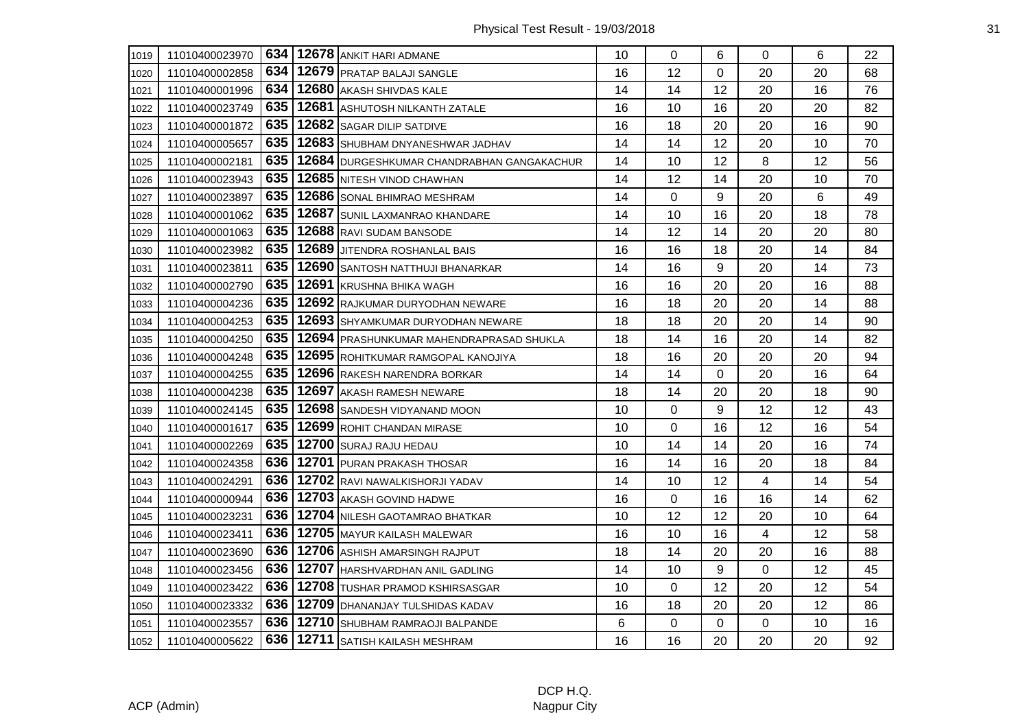| 1019 | 11010400023970 | 634 | 12678 ANKIT HARI ADMANE                    | 10 | 0  | 6           | 0  | 6  | 22 |
|------|----------------|-----|--------------------------------------------|----|----|-------------|----|----|----|
| 1020 | 11010400002858 | 634 | 12679 PRATAP BALAJI SANGLE                 | 16 | 12 | $\Omega$    | 20 | 20 | 68 |
| 1021 | 11010400001996 | 634 | 12680 AKASH SHIVDAS KALE                   | 14 | 14 | 12          | 20 | 16 | 76 |
| 1022 | 11010400023749 | 635 | 12681 ASHUTOSH NILKANTH ZATALE             | 16 | 10 | 16          | 20 | 20 | 82 |
| 1023 | 11010400001872 | 635 | 12682 SAGAR DILIP SATDIVE                  | 16 | 18 | 20          | 20 | 16 | 90 |
| 1024 | 11010400005657 | 635 | 12683 SHUBHAM DNYANESHWAR JADHAV           | 14 | 14 | 12          | 20 | 10 | 70 |
| 1025 | 11010400002181 | 635 | 12684 DURGESHKUMAR CHANDRABHAN GANGAKACHUR | 14 | 10 | 12          | 8  | 12 | 56 |
| 1026 | 11010400023943 | 635 | 12685 NITESH VINOD CHAWHAN                 | 14 | 12 | 14          | 20 | 10 | 70 |
| 1027 | 11010400023897 | 635 | 12686 SONAL BHIMRAO MESHRAM                | 14 | 0  | 9           | 20 | 6  | 49 |
| 1028 | 11010400001062 | 635 | 12687 SUNIL LAXMANRAO KHANDARE             | 14 | 10 | 16          | 20 | 18 | 78 |
| 1029 | 11010400001063 | 635 | 12688 RAVI SUDAM BANSODE                   | 14 | 12 | 14          | 20 | 20 | 80 |
| 1030 | 11010400023982 | 635 | 12689 JJITENDRA ROSHANLAL BAIS             | 16 | 16 | 18          | 20 | 14 | 84 |
| 1031 | 11010400023811 | 635 | 12690 SANTOSH NATTHUJI BHANARKAR           | 14 | 16 | 9           | 20 | 14 | 73 |
| 1032 | 11010400002790 | 635 | 12691 KRUSHNA BHIKA WAGH                   | 16 | 16 | 20          | 20 | 16 | 88 |
| 1033 | 11010400004236 | 635 | 12692 RAJKUMAR DURYODHAN NEWARE            | 16 | 18 | 20          | 20 | 14 | 88 |
| 1034 | 11010400004253 | 635 | 12693 SHYAMKUMAR DURYODHAN NEWARE          | 18 | 18 | 20          | 20 | 14 | 90 |
| 1035 | 11010400004250 | 635 | 12694 PRASHUNKUMAR MAHENDRAPRASAD SHUKLA   | 18 | 14 | 16          | 20 | 14 | 82 |
| 1036 | 11010400004248 | 635 | 12695 ROHITKUMAR RAMGOPAL KANOJIYA         | 18 | 16 | 20          | 20 | 20 | 94 |
| 1037 | 11010400004255 | 635 | 12696 RAKESH NARENDRA BORKAR               | 14 | 14 | $\Omega$    | 20 | 16 | 64 |
| 1038 | 11010400004238 | 635 | 12697 AKASH RAMESH NEWARE                  | 18 | 14 | 20          | 20 | 18 | 90 |
| 1039 | 11010400024145 | 635 | 12698 SANDESH VIDYANAND MOON               | 10 | 0  | 9           | 12 | 12 | 43 |
| 1040 | 11010400001617 | 635 | 12699 ROHIT CHANDAN MIRASE                 | 10 | 0  | 16          | 12 | 16 | 54 |
| 1041 | 11010400002269 | 635 | 12700 SURAJ RAJU HEDAU                     | 10 | 14 | 14          | 20 | 16 | 74 |
| 1042 | 11010400024358 |     | 636   12701   PURAN PRAKASH THOSAR         | 16 | 14 | 16          | 20 | 18 | 84 |
| 1043 | 11010400024291 | 636 | 12702 RAVI NAWALKISHORJI YADAV             | 14 | 10 | 12          | 4  | 14 | 54 |
| 1044 | 11010400000944 | 636 | 12703 AKASH GOVIND HADWE                   | 16 | 0  | 16          | 16 | 14 | 62 |
| 1045 | 11010400023231 | 636 | 12704 NILESH GAOTAMRAO BHATKAR             | 10 | 12 | 12          | 20 | 10 | 64 |
| 1046 | 11010400023411 |     | 636   12705   MAYUR KAILASH MALEWAR        | 16 | 10 | 16          | 4  | 12 | 58 |
| 1047 | 11010400023690 | 636 | 12706 ASHISH AMARSINGH RAJPUT              | 18 | 14 | 20          | 20 | 16 | 88 |
| 1048 | 11010400023456 | 636 | 12707 HARSHVARDHAN ANIL GADLING            | 14 | 10 | 9           | 0  | 12 | 45 |
| 1049 | 11010400023422 |     | 636   12708   TUSHAR PRAMOD KSHIRSASGAR    | 10 | 0  | 12          | 20 | 12 | 54 |
| 1050 | 11010400023332 | 636 | 12709 DHANANJAY TULSHIDAS KADAV            | 16 | 18 | 20          | 20 | 12 | 86 |
| 1051 | 11010400023557 |     | 636   12710   SHUBHAM RAMRAOJI BALPANDE    | 6  | 0  | $\mathbf 0$ | 0  | 10 | 16 |
| 1052 | 11010400005622 |     | 636   12711   SATISH KAILASH MESHRAM       | 16 | 16 | 20          | 20 | 20 | 92 |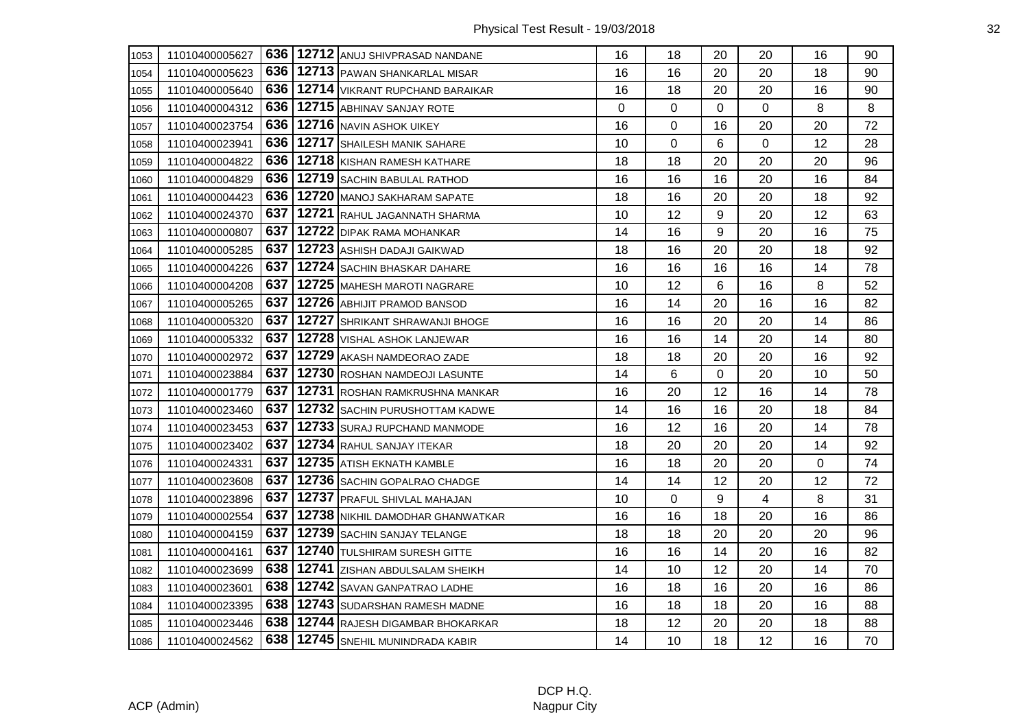| 1053 | 11010400005627 |       | 636   12712 ANUJ SHIVPRASAD NANDANE     | 16 | 18 | 20 | 20          | 16 | 90 |
|------|----------------|-------|-----------------------------------------|----|----|----|-------------|----|----|
| 1054 | 11010400005623 |       | 636   12713   PAWAN SHANKARLAL MISAR    | 16 | 16 | 20 | 20          | 18 | 90 |
| 1055 | 11010400005640 |       | 636   12714   VIKRANT RUPCHAND BARAIKAR | 16 | 18 | 20 | 20          | 16 | 90 |
| 1056 | 11010400004312 |       | 636   12715   ABHINAV SANJAY ROTE       | 0  | 0  | 0  | $\mathbf 0$ | 8  | 8  |
| 1057 | 11010400023754 |       | 636   12716   NAVIN ASHOK UIKEY         | 16 | 0  | 16 | 20          | 20 | 72 |
| 1058 | 11010400023941 |       | 636   12717   SHAILESH MANIK SAHARE     | 10 | 0  | 6  | 0           | 12 | 28 |
| 1059 | 11010400004822 |       | 636   12718 KISHAN RAMESH KATHARE       | 18 | 18 | 20 | 20          | 20 | 96 |
| 1060 | 11010400004829 | 636 I | 12719 SACHIN BABULAL RATHOD             | 16 | 16 | 16 | 20          | 16 | 84 |
| 1061 | 11010400004423 |       | 636   12720   MANOJ SAKHARAM SAPATE     | 18 | 16 | 20 | 20          | 18 | 92 |
| 1062 | 11010400024370 |       | 637   12721 RAHUL JAGANNATH SHARMA      | 10 | 12 | 9  | 20          | 12 | 63 |
| 1063 | 11010400000807 |       | 637   12722   DIPAK RAMA MOHANKAR       | 14 | 16 | 9  | 20          | 16 | 75 |
| 1064 | 11010400005285 |       | 637   12723   ASHISH DADAJI GAIKWAD     | 18 | 16 | 20 | 20          | 18 | 92 |
| 1065 | 11010400004226 | 637   | 12724 SACHIN BHASKAR DAHARE             | 16 | 16 | 16 | 16          | 14 | 78 |
| 1066 | 11010400004208 |       | 637   12725   MAHESH MAROTI NAGRARE     | 10 | 12 | 6  | 16          | 8  | 52 |
| 1067 | 11010400005265 |       | 637   12726   ABHIJIT PRAMOD BANSOD     | 16 | 14 | 20 | 16          | 16 | 82 |
| 1068 | 11010400005320 | 637   | 12727 SHRIKANT SHRAWANJI BHOGE          | 16 | 16 | 20 | 20          | 14 | 86 |
| 1069 | 11010400005332 | 637   | 12728 VISHAL ASHOK LANJEWAR             | 16 | 16 | 14 | 20          | 14 | 80 |
| 1070 | 11010400002972 | 637   | 12729 AKASH NAMDEORAO ZADE              | 18 | 18 | 20 | 20          | 16 | 92 |
| 1071 | 11010400023884 |       | 637   12730 ROSHAN NAMDEOJI LASUNTE     | 14 | 6  | 0  | 20          | 10 | 50 |
| 1072 | 11010400001779 |       | 637   12731 ROSHAN RAMKRUSHNA MANKAR    | 16 | 20 | 12 | 16          | 14 | 78 |
| 1073 | 11010400023460 |       | 637   12732   SACHIN PURUSHOTTAM KADWE  | 14 | 16 | 16 | 20          | 18 | 84 |
| 1074 | 11010400023453 | 637   | 12733 SURAJ RUPCHAND MANMODE            | 16 | 12 | 16 | 20          | 14 | 78 |
| 1075 | 11010400023402 | 637   | 12734 RAHUL SANJAY ITEKAR               | 18 | 20 | 20 | 20          | 14 | 92 |
| 1076 | 11010400024331 |       | 637   12735   ATISH EKNATH KAMBLE       | 16 | 18 | 20 | 20          | 0  | 74 |
| 1077 | 11010400023608 |       | 637   12736   SACHIN GOPALRAO CHADGE    | 14 | 14 | 12 | 20          | 12 | 72 |
| 1078 | 11010400023896 |       | 637   12737   PRAFUL SHIVLAL MAHAJAN    | 10 | 0  | 9  | 4           | 8  | 31 |
| 1079 | 11010400002554 | 637   | 12738 NIKHIL DAMODHAR GHANWATKAR        | 16 | 16 | 18 | 20          | 16 | 86 |
| 1080 | 11010400004159 | 637   | 12739 SACHIN SANJAY TELANGE             | 18 | 18 | 20 | 20          | 20 | 96 |
| 1081 | 11010400004161 |       | 637   12740   TULSHIRAM SURESH GITTE    | 16 | 16 | 14 | 20          | 16 | 82 |
| 1082 | 11010400023699 |       | 638   12741   ZISHAN ABDULSALAM SHEIKH  | 14 | 10 | 12 | 20          | 14 | 70 |
| 1083 | 11010400023601 |       | 638   12742   SAVAN GANPATRAO LADHE     | 16 | 18 | 16 | 20          | 16 | 86 |
| 1084 | 11010400023395 |       | 638   12743   SUDARSHAN RAMESH MADNE    | 16 | 18 | 18 | 20          | 16 | 88 |
| 1085 | 11010400023446 |       | 638   12744 RAJESH DIGAMBAR BHOKARKAR   | 18 | 12 | 20 | 20          | 18 | 88 |
| 1086 | 11010400024562 |       | 638   12745   SNEHIL MUNINDRADA KABIR   | 14 | 10 | 18 | 12          | 16 | 70 |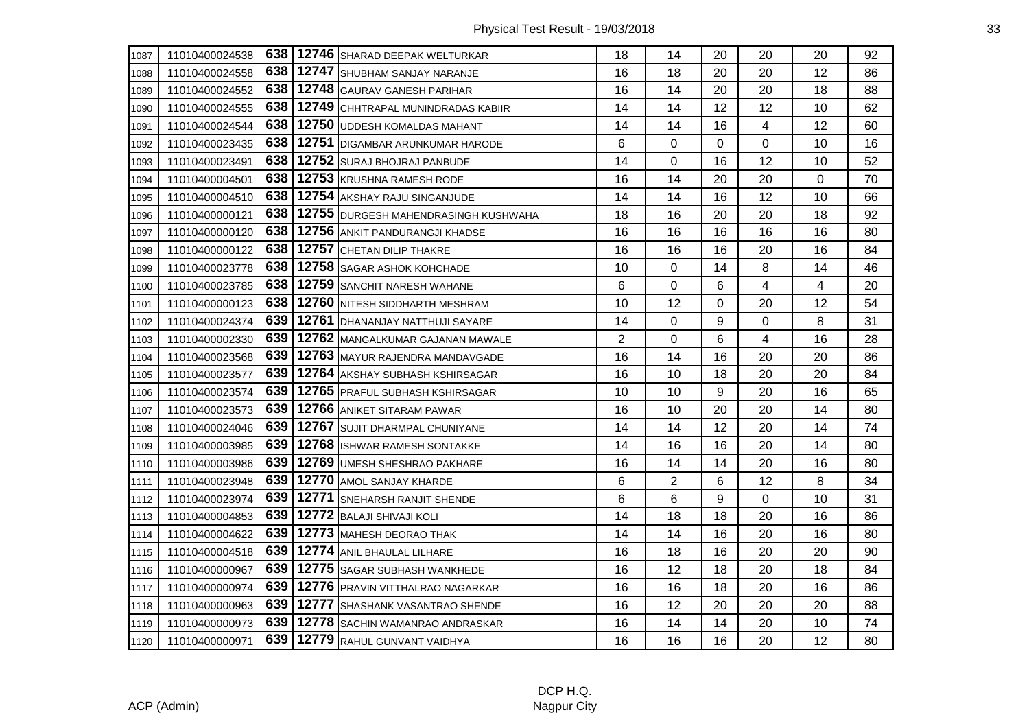| 1087 | 11010400024538 |     | 638   12746   SHARAD DEEPAK WELTURKAR   | 18             | 14             | 20 | 20 | 20 | 92 |
|------|----------------|-----|-----------------------------------------|----------------|----------------|----|----|----|----|
| 1088 | 11010400024558 |     | 638   12747   SHUBHAM SANJAY NARANJE    | 16             | 18             | 20 | 20 | 12 | 86 |
| 1089 | 11010400024552 | 638 | 12748 GAURAV GANESH PARIHAR             | 16             | 14             | 20 | 20 | 18 | 88 |
| 1090 | 11010400024555 | 638 | 12749 CHHTRAPAL MUNINDRADAS KABIIR      | 14             | 14             | 12 | 12 | 10 | 62 |
| 1091 | 11010400024544 | 638 | 12750 UDDESH KOMALDAS MAHANT            | 14             | 14             | 16 | 4  | 12 | 60 |
| 1092 | 11010400023435 | 638 | 12751 DIGAMBAR ARUNKUMAR HARODE         | 6              | 0              | 0  | 0  | 10 | 16 |
| 1093 | 11010400023491 | 638 | 12752 SURAJ BHOJRAJ PANBUDE             | 14             | 0              | 16 | 12 | 10 | 52 |
| 1094 | 11010400004501 | 638 | 12753 KRUSHNA RAMESH RODE               | 16             | 14             | 20 | 20 | 0  | 70 |
| 1095 | 11010400004510 | 638 | 12754 AKSHAY RAJU SINGANJUDE            | 14             | 14             | 16 | 12 | 10 | 66 |
| 1096 | 11010400000121 | 638 | 12755 DURGESH MAHENDRASINGH KUSHWAHA    | 18             | 16             | 20 | 20 | 18 | 92 |
| 1097 | 11010400000120 | 638 | 12756 ANKIT PANDURANGJI KHADSE          | 16             | 16             | 16 | 16 | 16 | 80 |
| 1098 | 11010400000122 | 638 | 12757 CHETAN DILIP THAKRE               | 16             | 16             | 16 | 20 | 16 | 84 |
| 1099 | 11010400023778 | 638 | 12758 SAGAR ASHOK KOHCHADE              | 10             | 0              | 14 | 8  | 14 | 46 |
| 1100 | 11010400023785 |     | 638   12759 SANCHIT NARESH WAHANE       | 6              | 0              | 6  | 4  | 4  | 20 |
| 1101 | 11010400000123 | 638 | 12760 NITESH SIDDHARTH MESHRAM          | 10             | 12             | 0  | 20 | 12 | 54 |
| 1102 | 11010400024374 | 639 | 12761 DHANANJAY NATTHUJI SAYARE         | 14             | 0              | 9  | 0  | 8  | 31 |
| 1103 | 11010400002330 | 639 | 12762 MANGALKUMAR GAJANAN MAWALE        | $\overline{2}$ | 0              | 6  | 4  | 16 | 28 |
| 1104 | 11010400023568 | 639 | 12763 MAYUR RAJENDRA MANDAVGADE         | 16             | 14             | 16 | 20 | 20 | 86 |
| 1105 | 11010400023577 | 639 | 12764 AKSHAY SUBHASH KSHIRSAGAR         | 16             | 10             | 18 | 20 | 20 | 84 |
| 1106 | 11010400023574 | 639 | 12765 PRAFUL SUBHASH KSHIRSAGAR         | 10             | 10             | 9  | 20 | 16 | 65 |
| 1107 | 11010400023573 | 639 | 12766 ANIKET SITARAM PAWAR              | 16             | 10             | 20 | 20 | 14 | 80 |
| 1108 | 11010400024046 | 639 | 12767 SUJIT DHARMPAL CHUNIYANE          | 14             | 14             | 12 | 20 | 14 | 74 |
| 1109 | 11010400003985 | 639 | 12768 ISHWAR RAMESH SONTAKKE            | 14             | 16             | 16 | 20 | 14 | 80 |
| 1110 | 11010400003986 | 639 | 12769 UMESH SHESHRAO PAKHARE            | 16             | 14             | 14 | 20 | 16 | 80 |
| 1111 | 11010400023948 | 639 | 12770 AMOL SANJAY KHARDE                | 6              | $\overline{2}$ | 6  | 12 | 8  | 34 |
| 1112 | 11010400023974 | 639 | 12771 SNEHARSH RANJIT SHENDE            | 6              | 6              | 9  | 0  | 10 | 31 |
| 1113 | 11010400004853 | 639 | 12772 BALAJI SHIVAJI KOLI               | 14             | 18             | 18 | 20 | 16 | 86 |
| 1114 | 11010400004622 | 639 | 12773 MAHESH DEORAO THAK                | 14             | 14             | 16 | 20 | 16 | 80 |
| 1115 | 11010400004518 | 639 | 12774 ANIL BHAULAL LILHARE              | 16             | 18             | 16 | 20 | 20 | 90 |
| 1116 | 11010400000967 | 639 | 12775 SAGAR SUBHASH WANKHEDE            | 16             | 12             | 18 | 20 | 18 | 84 |
| 1117 | 11010400000974 | 639 | 12776 PRAVIN VITTHALRAO NAGARKAR        | 16             | 16             | 18 | 20 | 16 | 86 |
| 1118 | 11010400000963 | 639 | 12777 SHASHANK VASANTRAO SHENDE         | 16             | 12             | 20 | 20 | 20 | 88 |
| 1119 | 11010400000973 |     | 639   12778   SACHIN WAMANRAO ANDRASKAR | 16             | 14             | 14 | 20 | 10 | 74 |
| 1120 | 11010400000971 |     | 639   12779 RAHUL GUNVANT VAIDHYA       | 16             | 16             | 16 | 20 | 12 | 80 |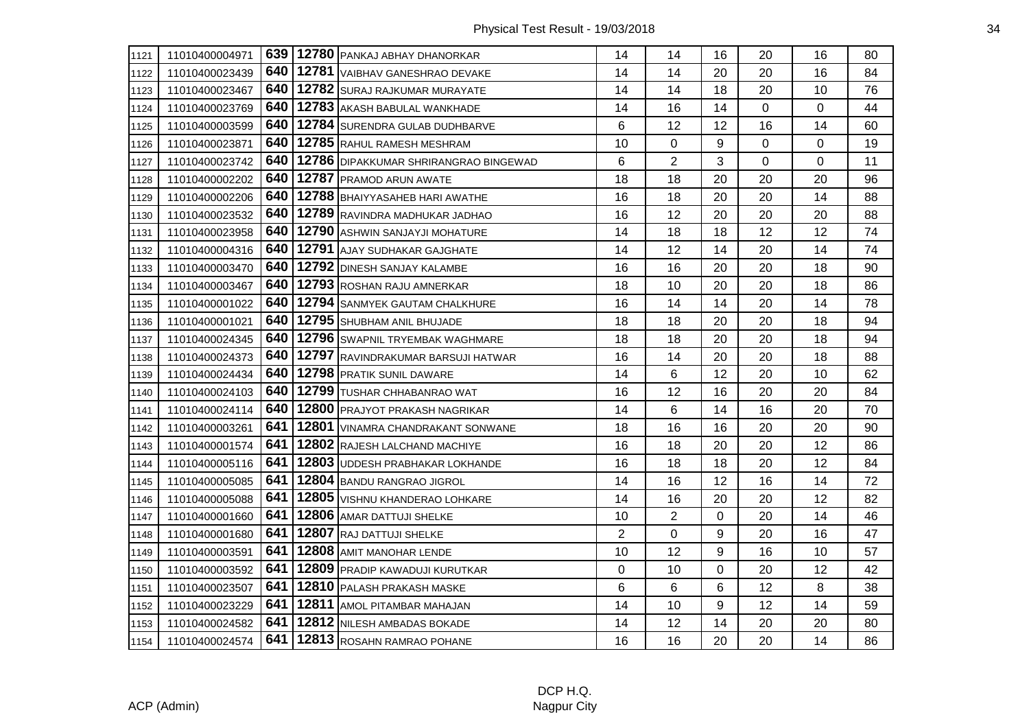| 1121 | 11010400004971 |     | 639   12780   PANKAJ ABHAY DHANORKAR  | 14             | 14             | 16       | 20 | 16          | 80 |
|------|----------------|-----|---------------------------------------|----------------|----------------|----------|----|-------------|----|
| 1122 | 11010400023439 | 640 | 12781 VAIBHAV GANESHRAO DEVAKE        | 14             | 14             | 20       | 20 | 16          | 84 |
| 1123 | 11010400023467 | 640 | 12782 SURAJ RAJKUMAR MURAYATE         | 14             | 14             | 18       | 20 | 10          | 76 |
| 1124 | 11010400023769 | 640 | 12783 AKASH BABULAL WANKHADE          | 14             | 16             | 14       | 0  | $\mathbf 0$ | 44 |
| 1125 | 11010400003599 | 640 | 12784 SURENDRA GULAB DUDHBARVE        | 6              | 12             | 12       | 16 | 14          | 60 |
| 1126 | 11010400023871 | 640 | 12785 RAHUL RAMESH MESHRAM            | 10             | 0              | 9        | 0  | $\mathbf 0$ | 19 |
| 1127 | 11010400023742 | 640 | 12786 DIPAKKUMAR SHRIRANGRAO BINGEWAD | 6              | $\overline{2}$ | 3        | 0  | $\Omega$    | 11 |
| 1128 | 11010400002202 | 640 | 12787 PRAMOD ARUN AWATE               | 18             | 18             | 20       | 20 | 20          | 96 |
| 1129 | 11010400002206 | 640 | 12788 BHAIYYASAHEB HARI AWATHE        | 16             | 18             | 20       | 20 | 14          | 88 |
| 1130 | 11010400023532 | 640 | 12789 RAVINDRA MADHUKAR JADHAO        | 16             | 12             | 20       | 20 | 20          | 88 |
| 1131 | 11010400023958 | 640 | 12790 ASHWIN SANJAYJI MOHATURE        | 14             | 18             | 18       | 12 | 12          | 74 |
| 1132 | 11010400004316 | 640 | 12791 AJAY SUDHAKAR GAJGHATE          | 14             | 12             | 14       | 20 | 14          | 74 |
| 1133 | 11010400003470 | 640 | 12792 DINESH SANJAY KALAMBE           | 16             | 16             | 20       | 20 | 18          | 90 |
| 1134 | 11010400003467 | 640 | 12793 ROSHAN RAJU AMNERKAR            | 18             | 10             | 20       | 20 | 18          | 86 |
| 1135 | 11010400001022 | 640 | 12794 SANMYEK GAUTAM CHALKHURE        | 16             | 14             | 14       | 20 | 14          | 78 |
| 1136 | 11010400001021 | 640 | 12795 SHUBHAM ANIL BHUJADE            | 18             | 18             | 20       | 20 | 18          | 94 |
| 1137 | 11010400024345 | 640 | 12796 SWAPNIL TRYEMBAK WAGHMARE       | 18             | 18             | 20       | 20 | 18          | 94 |
| 1138 | 11010400024373 | 640 | 12797 RAVINDRAKUMAR BARSUJI HATWAR    | 16             | 14             | 20       | 20 | 18          | 88 |
| 1139 | 11010400024434 | 640 | 12798 PRATIK SUNIL DAWARE             | 14             | 6              | 12       | 20 | 10          | 62 |
| 1140 | 11010400024103 | 640 | 12799 TUSHAR CHHABANRAO WAT           | 16             | 12             | 16       | 20 | 20          | 84 |
| 1141 | 11010400024114 | 640 | 12800 PRAJYOT PRAKASH NAGRIKAR        | 14             | 6              | 14       | 16 | 20          | 70 |
| 1142 | 11010400003261 | 641 | 12801 VINAMRA CHANDRAKANT SONWANE     | 18             | 16             | 16       | 20 | 20          | 90 |
| 1143 | 11010400001574 | 641 | 12802 RAJESH LALCHAND MACHIYE         | 16             | 18             | 20       | 20 | 12          | 86 |
| 1144 | 11010400005116 | 641 | 12803 UDDESH PRABHAKAR LOKHANDE       | 16             | 18             | 18       | 20 | 12          | 84 |
| 1145 | 11010400005085 | 641 | 12804 BANDU RANGRAO JIGROL            | 14             | 16             | 12       | 16 | 14          | 72 |
| 1146 | 11010400005088 | 641 | 12805 VISHNU KHANDERAO LOHKARE        | 14             | 16             | 20       | 20 | 12          | 82 |
| 1147 | 11010400001660 | 641 | 12806 AMAR DATTUJI SHELKE             | 10             | $\overline{2}$ | 0        | 20 | 14          | 46 |
| 1148 | 11010400001680 | 641 | 12807 RAJ DATTUJI SHELKE              | $\overline{2}$ | 0              | 9        | 20 | 16          | 47 |
| 1149 | 11010400003591 | 641 | 12808 AMIT MANOHAR LENDE              | 10             | 12             | 9        | 16 | 10          | 57 |
| 1150 | 11010400003592 | 641 | 12809 PRADIP KAWADUJI KURUTKAR        | 0              | 10             | $\Omega$ | 20 | 12          | 42 |
| 1151 | 11010400023507 | 641 | 12810 PALASH PRAKASH MASKE            | 6              | 6              | 6        | 12 | 8           | 38 |
| 1152 | 11010400023229 | 641 | 12811 AMOL PITAMBAR MAHAJAN           | 14             | 10             | 9        | 12 | 14          | 59 |
| 1153 | 11010400024582 | 641 | 12812 NILESH AMBADAS BOKADE           | 14             | 12             | 14       | 20 | 20          | 80 |
| 1154 | 11010400024574 | 641 | 12813 ROSAHN RAMRAO POHANE            | 16             | 16             | 20       | 20 | 14          | 86 |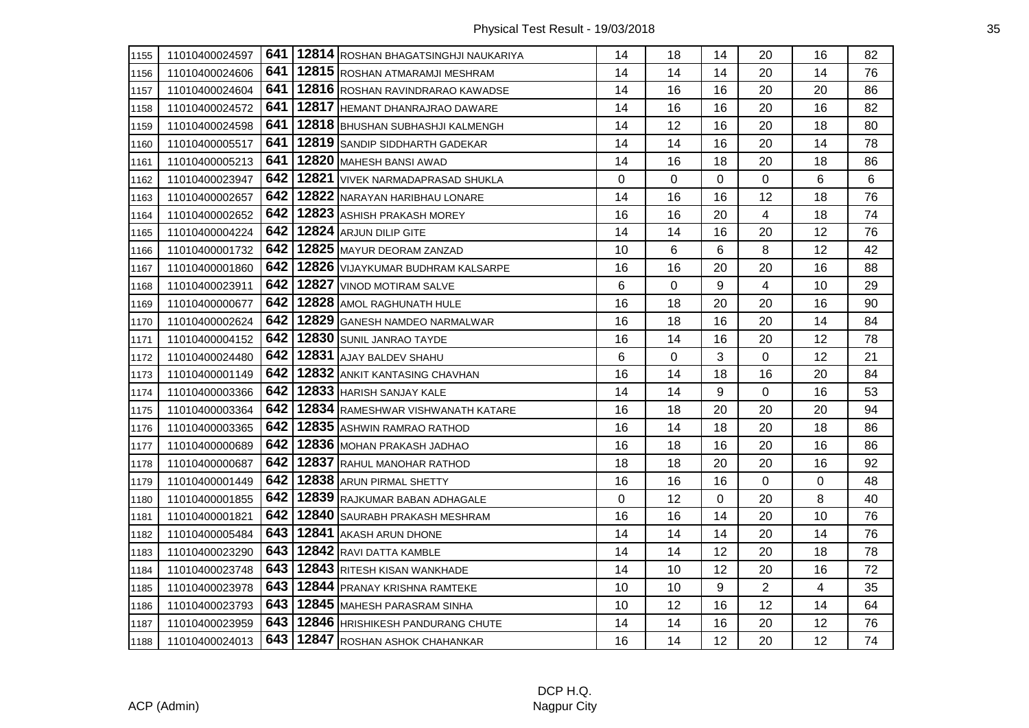| 1155 | 11010400024597 |       | 641   12814   ROSHAN BHAGATSINGHJI NAUKARIYA | 14 | 18 | 14       | 20             | 16 | 82 |
|------|----------------|-------|----------------------------------------------|----|----|----------|----------------|----|----|
| 1156 | 11010400024606 | 641   | 12815 ROSHAN ATMARAMJI MESHRAM               | 14 | 14 | 14       | 20             | 14 | 76 |
| 1157 | 11010400024604 | 641 I | 12816 ROSHAN RAVINDRARAO KAWADSE             | 14 | 16 | 16       | 20             | 20 | 86 |
| 1158 | 11010400024572 | 641   | 12817 HEMANT DHANRAJRAO DAWARE               | 14 | 16 | 16       | 20             | 16 | 82 |
| 1159 | 11010400024598 | 641   | 12818 BHUSHAN SUBHASHJI KALMENGH             | 14 | 12 | 16       | 20             | 18 | 80 |
| 1160 | 11010400005517 | 641   | 12819 SANDIP SIDDHARTH GADEKAR               | 14 | 14 | 16       | 20             | 14 | 78 |
| 1161 | 11010400005213 | 641   | 12820 MAHESH BANSI AWAD                      | 14 | 16 | 18       | 20             | 18 | 86 |
| 1162 | 11010400023947 | 642   | 12821 VIVEK NARMADAPRASAD SHUKLA             | 0  | 0  | 0        | 0              | 6  | 6  |
| 1163 | 11010400002657 | 642 l | 12822 NARAYAN HARIBHAU LONARE                | 14 | 16 | 16       | 12             | 18 | 76 |
| 1164 | 11010400002652 | 642   | 12823 ASHISH PRAKASH MOREY                   | 16 | 16 | 20       | 4              | 18 | 74 |
| 1165 | 11010400004224 | 642   | 12824 ARJUN DILIP GITE                       | 14 | 14 | 16       | 20             | 12 | 76 |
| 1166 | 11010400001732 | 642   | 12825 MAYUR DEORAM ZANZAD                    | 10 | 6  | 6        | 8              | 12 | 42 |
| 1167 | 11010400001860 | 642   | 12826 VIJAYKUMAR BUDHRAM KALSARPE            | 16 | 16 | 20       | 20             | 16 | 88 |
| 1168 | 11010400023911 |       | 642   12827   VINOD MOTIRAM SALVE            | 6  | 0  | 9        | 4              | 10 | 29 |
| 1169 | 11010400000677 |       | 642   12828   AMOL RAGHUNATH HULE            | 16 | 18 | 20       | 20             | 16 | 90 |
| 1170 | 11010400002624 | 642   | 12829 GANESH NAMDEO NARMALWAR                | 16 | 18 | 16       | 20             | 14 | 84 |
| 1171 | 11010400004152 | 642   | 12830 SUNIL JANRAO TAYDE                     | 16 | 14 | 16       | 20             | 12 | 78 |
| 1172 | 11010400024480 | 642   | 12831 AJAY BALDEV SHAHU                      | 6  | 0  | 3        | 0              | 12 | 21 |
| 1173 | 11010400001149 | 642   | 12832 ANKIT KANTASING CHAVHAN                | 16 | 14 | 18       | 16             | 20 | 84 |
| 1174 | 11010400003366 |       | 642   12833   HARISH SANJAY KALE             | 14 | 14 | 9        | 0              | 16 | 53 |
| 1175 | 11010400003364 | 642   | 12834 RAMESHWAR VISHWANATH KATARE            | 16 | 18 | 20       | 20             | 20 | 94 |
| 1176 | 11010400003365 | 642   | 12835 ASHWIN RAMRAO RATHOD                   | 16 | 14 | 18       | 20             | 18 | 86 |
| 1177 | 11010400000689 | 642   | 12836 MOHAN PRAKASH JADHAO                   | 16 | 18 | 16       | 20             | 16 | 86 |
| 1178 | 11010400000687 | 642   | 12837 RAHUL MANOHAR RATHOD                   | 18 | 18 | 20       | 20             | 16 | 92 |
| 1179 | 11010400001449 | 642   | 12838 ARUN PIRMAL SHETTY                     | 16 | 16 | 16       | 0              | 0  | 48 |
| 1180 | 11010400001855 | 642   | 12839 RAJKUMAR BABAN ADHAGALE                | 0  | 12 | $\Omega$ | 20             | 8  | 40 |
| 1181 | 11010400001821 | 642   | 12840 SAURABH PRAKASH MESHRAM                | 16 | 16 | 14       | 20             | 10 | 76 |
| 1182 | 11010400005484 | 643   | 12841 AKASH ARUN DHONE                       | 14 | 14 | 14       | 20             | 14 | 76 |
| 1183 | 11010400023290 | 643   | 12842 RAVI DATTA KAMBLE                      | 14 | 14 | 12       | 20             | 18 | 78 |
| 1184 | 11010400023748 | 643   | 12843 RITESH KISAN WANKHADE                  | 14 | 10 | 12       | 20             | 16 | 72 |
| 1185 | 11010400023978 | 643   | 12844 PRANAY KRISHNA RAMTEKE                 | 10 | 10 | 9        | $\overline{2}$ | 4  | 35 |
| 1186 | 11010400023793 | 643   | 12845 MAHESH PARASRAM SINHA                  | 10 | 12 | 16       | 12             | 14 | 64 |
| 1187 | 11010400023959 |       | 643   12846   HRISHIKESH PANDURANG CHUTE     | 14 | 14 | 16       | 20             | 12 | 76 |
| 1188 | 11010400024013 |       | 643   12847 ROSHAN ASHOK CHAHANKAR           | 16 | 14 | 12       | 20             | 12 | 74 |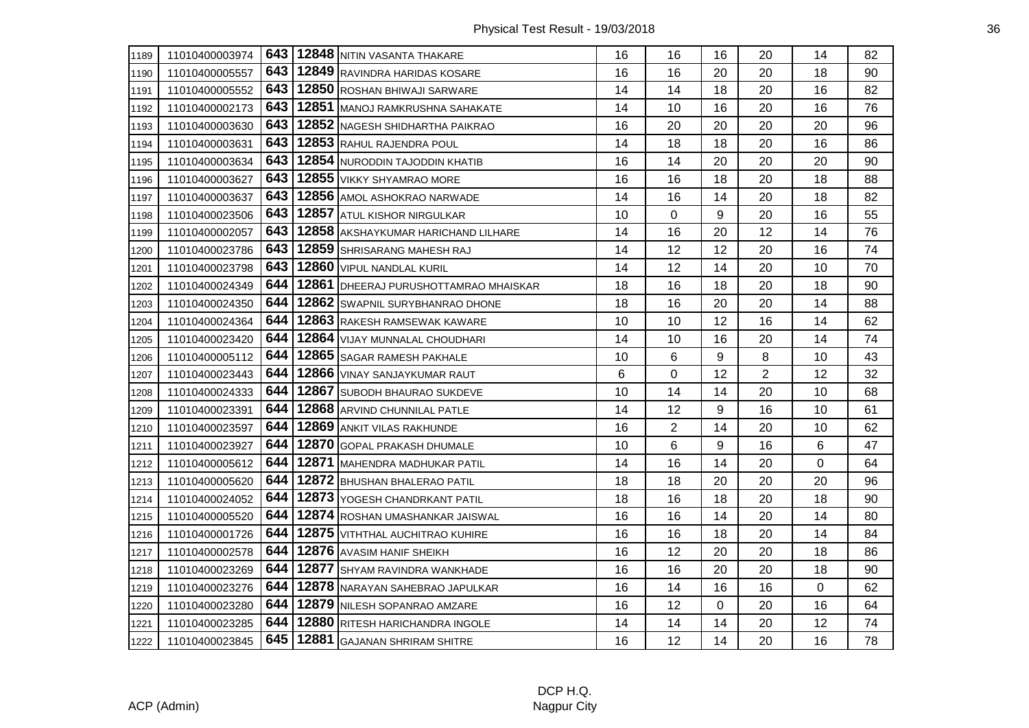| 1189 | 11010400003974 |     | 643   12848 NITIN VASANTA THAKARE         | 16 | 16             | 16 | 20             | 14 | 82 |
|------|----------------|-----|-------------------------------------------|----|----------------|----|----------------|----|----|
| 1190 | 11010400005557 |     | 643   12849 RAVINDRA HARIDAS KOSARE       | 16 | 16             | 20 | 20             | 18 | 90 |
| 1191 | 11010400005552 | 643 | 12850 ROSHAN BHIWAJI SARWARE              | 14 | 14             | 18 | 20             | 16 | 82 |
| 1192 | 11010400002173 |     | 643   12851   MANOJ RAMKRUSHNA SAHAKATE   | 14 | 10             | 16 | 20             | 16 | 76 |
| 1193 | 11010400003630 | 643 | 12852 NAGESH SHIDHARTHA PAIKRAO           | 16 | 20             | 20 | 20             | 20 | 96 |
| 1194 | 11010400003631 | 643 | 12853 RAHUL RAJENDRA POUL                 | 14 | 18             | 18 | 20             | 16 | 86 |
| 1195 | 11010400003634 | 643 | 12854 NURODDIN TAJODDIN KHATIB            | 16 | 14             | 20 | 20             | 20 | 90 |
| 1196 | 11010400003627 | 643 | 12855 VIKKY SHYAMRAO MORE                 | 16 | 16             | 18 | 20             | 18 | 88 |
| 1197 | 11010400003637 |     | 643   12856   AMOL ASHOKRAO NARWADE       | 14 | 16             | 14 | 20             | 18 | 82 |
| 1198 | 11010400023506 | 643 | 12857 ATUL KISHOR NIRGULKAR               | 10 | 0              | 9  | 20             | 16 | 55 |
| 1199 | 11010400002057 |     | 643   12858 AKSHAYKUMAR HARICHAND LILHARE | 14 | 16             | 20 | 12             | 14 | 76 |
| 1200 | 11010400023786 | 643 | 12859 SHRISARANG MAHESH RAJ               | 14 | 12             | 12 | 20             | 16 | 74 |
| 1201 | 11010400023798 | 643 | 12860 VIPUL NANDLAL KURIL                 | 14 | 12             | 14 | 20             | 10 | 70 |
| 1202 | 11010400024349 | 644 | 12861 DHEERAJ PURUSHOTTAMRAO MHAISKAR     | 18 | 16             | 18 | 20             | 18 | 90 |
| 1203 | 11010400024350 | 644 | 12862 SWAPNIL SURYBHANRAO DHONE           | 18 | 16             | 20 | 20             | 14 | 88 |
| 1204 | 11010400024364 | 644 | 12863 RAKESH RAMSEWAK KAWARE              | 10 | 10             | 12 | 16             | 14 | 62 |
| 1205 | 11010400023420 | 644 | 12864 VIJAY MUNNALAL CHOUDHARI            | 14 | 10             | 16 | 20             | 14 | 74 |
| 1206 | 11010400005112 | 644 | 12865 SAGAR RAMESH PAKHALE                | 10 | 6              | 9  | 8              | 10 | 43 |
| 1207 | 11010400023443 | 644 | 12866 VINAY SANJAYKUMAR RAUT              | 6  | 0              | 12 | $\overline{2}$ | 12 | 32 |
| 1208 | 11010400024333 | 644 | 12867 SUBODH BHAURAO SUKDEVE              | 10 | 14             | 14 | 20             | 10 | 68 |
| 1209 | 11010400023391 | 644 | 12868 ARVIND CHUNNILAL PATLE              | 14 | 12             | 9  | 16             | 10 | 61 |
| 1210 | 11010400023597 | 644 | 12869 ANKIT VILAS RAKHUNDE                | 16 | $\overline{2}$ | 14 | 20             | 10 | 62 |
| 1211 | 11010400023927 | 644 | 12870 GOPAL PRAKASH DHUMALE               | 10 | 6              | 9  | 16             | 6  | 47 |
| 1212 | 11010400005612 | 644 | 12871 MAHENDRA MADHUKAR PATIL             | 14 | 16             | 14 | 20             | 0  | 64 |
| 1213 | 11010400005620 | 644 | 12872 BHUSHAN BHALERAO PATIL              | 18 | 18             | 20 | 20             | 20 | 96 |
| 1214 | 11010400024052 | 644 | 12873 YOGESH CHANDRKANT PATIL             | 18 | 16             | 18 | 20             | 18 | 90 |
| 1215 | 11010400005520 | 644 | 12874 ROSHAN UMASHANKAR JAISWAL           | 16 | 16             | 14 | 20             | 14 | 80 |
| 1216 | 11010400001726 | 644 | 12875 VITHTHAL AUCHITRAO KUHIRE           | 16 | 16             | 18 | 20             | 14 | 84 |
| 1217 | 11010400002578 | 644 | 12876 AVASIM HANIF SHEIKH                 | 16 | 12             | 20 | 20             | 18 | 86 |
| 1218 | 11010400023269 | 644 | 12877 SHYAM RAVINDRA WANKHADE             | 16 | 16             | 20 | 20             | 18 | 90 |
| 1219 | 11010400023276 | 644 | 12878 NARAYAN SAHEBRAO JAPULKAR           | 16 | 14             | 16 | 16             | 0  | 62 |
| 1220 | 11010400023280 | 644 | 12879 NILESH SOPANRAO AMZARE              | 16 | 12             | 0  | 20             | 16 | 64 |
| 1221 | 11010400023285 |     | 644   12880 RITESH HARICHANDRA INGOLE     | 14 | 14             | 14 | 20             | 12 | 74 |
| 1222 | 11010400023845 |     | 645   12881 GAJANAN SHRIRAM SHITRE        | 16 | 12             | 14 | 20             | 16 | 78 |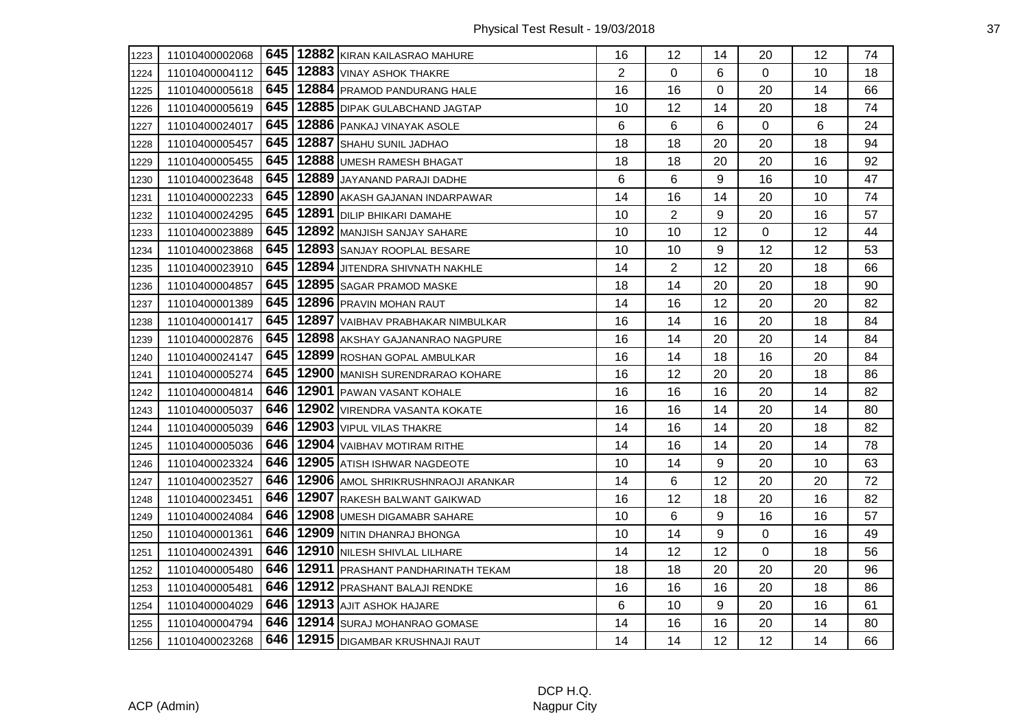| 1223 | 11010400002068 |       | 645   12882 KIRAN KAILASRAO MAHURE    | 16             | 12             | 14       | 20             | 12 | 74 |
|------|----------------|-------|---------------------------------------|----------------|----------------|----------|----------------|----|----|
| 1224 | 11010400004112 | 645   | 12883 VINAY ASHOK THAKRE              | $\overline{2}$ | $\mathbf 0$    | 6        | $\mathbf 0$    | 10 | 18 |
| 1225 | 11010400005618 | 645   | 12884 PRAMOD PANDURANG HALE           | 16             | 16             | $\Omega$ | 20             | 14 | 66 |
| 1226 | 11010400005619 | 645   | 12885 DIPAK GULABCHAND JAGTAP         | 10             | 12             | 14       | 20             | 18 | 74 |
| 1227 | 11010400024017 | 645   | 12886 PANKAJ VINAYAK ASOLE            | 6              | 6              | 6        | $\overline{0}$ | 6  | 24 |
| 1228 | 11010400005457 | 645   | 12887 SHAHU SUNIL JADHAO              | 18             | 18             | 20       | 20             | 18 | 94 |
| 1229 | 11010400005455 | 645   | 12888 UMESH RAMESH BHAGAT             | 18             | 18             | 20       | 20             | 16 | 92 |
| 1230 | 11010400023648 | 645   | 12889 JAYANAND PARAJI DADHE           | 6              | 6              | 9        | 16             | 10 | 47 |
| 1231 | 11010400002233 | 645   | 12890 AKASH GAJANAN INDARPAWAR        | 14             | 16             | 14       | 20             | 10 | 74 |
| 1232 | 11010400024295 | 645   | 12891 DILIP BHIKARI DAMAHE            | 10             | $\overline{2}$ | 9        | 20             | 16 | 57 |
| 1233 | 11010400023889 | 645   | 12892 MANJISH SANJAY SAHARE           | 10             | 10             | 12       | $\mathbf 0$    | 12 | 44 |
| 1234 | 11010400023868 | 645   | 12893 SANJAY ROOPLAL BESARE           | 10             | 10             | 9        | 12             | 12 | 53 |
| 1235 | 11010400023910 | 645   | 12894 JITENDRA SHIVNATH NAKHLE        | 14             | $\overline{2}$ | 12       | 20             | 18 | 66 |
| 1236 | 11010400004857 |       | 645   12895   SAGAR PRAMOD MASKE      | 18             | 14             | 20       | 20             | 18 | 90 |
| 1237 | 11010400001389 | 645   | 12896 PRAVIN MOHAN RAUT               | 14             | 16             | 12       | 20             | 20 | 82 |
| 1238 | 11010400001417 | 645   | 12897 VAIBHAV PRABHAKAR NIMBULKAR     | 16             | 14             | 16       | 20             | 18 | 84 |
| 1239 | 11010400002876 | 645   | 12898 AKSHAY GAJANANRAO NAGPURE       | 16             | 14             | 20       | 20             | 14 | 84 |
| 1240 | 11010400024147 | 645   | 12899 ROSHAN GOPAL AMBULKAR           | 16             | 14             | 18       | 16             | 20 | 84 |
| 1241 | 11010400005274 | 645 l | 12900 MANISH SURENDRARAO KOHARE       | 16             | 12             | 20       | 20             | 18 | 86 |
| 1242 | 11010400004814 | 646   | 12901 PAWAN VASANT KOHALE             | 16             | 16             | 16       | 20             | 14 | 82 |
| 1243 | 11010400005037 | 646   | 12902 VIRENDRA VASANTA KOKATE         | 16             | 16             | 14       | 20             | 14 | 80 |
| 1244 | 11010400005039 | 646   | 12903 VIPUL VILAS THAKRE              | 14             | 16             | 14       | 20             | 18 | 82 |
| 1245 | 11010400005036 | 646   | 12904 VAIBHAV MOTIRAM RITHE           | 14             | 16             | 14       | 20             | 14 | 78 |
| 1246 | 11010400023324 | 646   | 12905 ATISH ISHWAR NAGDEOTE           | 10             | 14             | 9        | 20             | 10 | 63 |
| 1247 | 11010400023527 | 646   | 12906 AMOL SHRIKRUSHNRAOJI ARANKAR    | 14             | 6              | 12       | 20             | 20 | 72 |
| 1248 | 11010400023451 | 646 l | 12907 RAKESH BALWANT GAIKWAD          | 16             | 12             | 18       | 20             | 16 | 82 |
| 1249 | 11010400024084 | 646   | 12908 UMESH DIGAMABR SAHARE           | 10             | 6              | 9        | 16             | 16 | 57 |
| 1250 | 11010400001361 | 646   | 12909 NITIN DHANRAJ BHONGA            | 10             | 14             | 9        | 0              | 16 | 49 |
| 1251 | 11010400024391 | 646   | 12910 NILESH SHIVLAL LILHARE          | 14             | 12             | 12       | $\mathbf 0$    | 18 | 56 |
| 1252 | 11010400005480 | 646   | 12911 PRASHANT PANDHARINATH TEKAM     | 18             | 18             | 20       | 20             | 20 | 96 |
| 1253 | 11010400005481 | 646 I | 12912 PRASHANT BALAJI RENDKE          | 16             | 16             | 16       | 20             | 18 | 86 |
| 1254 | 11010400004029 | 646   | 12913 AJIT ASHOK HAJARE               | 6              | 10             | 9        | 20             | 16 | 61 |
| 1255 | 11010400004794 |       | 646   12914   SURAJ MOHANRAO GOMASE   | 14             | 16             | 16       | 20             | 14 | 80 |
| 1256 | 11010400023268 |       | 646   12915   DIGAMBAR KRUSHNAJI RAUT | 14             | 14             | 12       | 12             | 14 | 66 |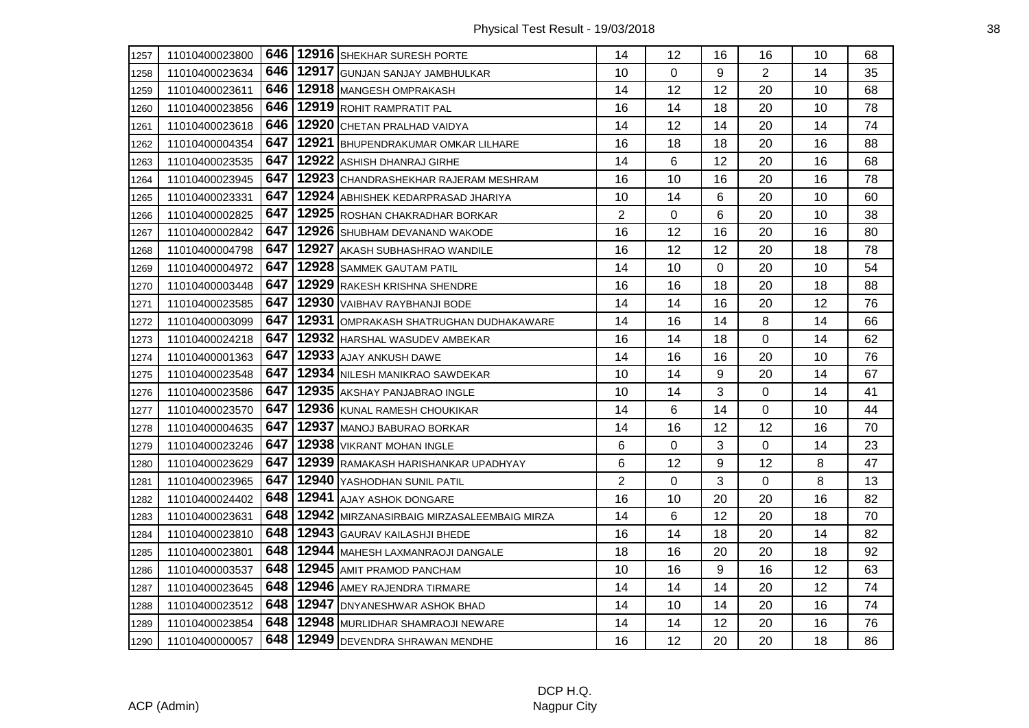| 1257 | 11010400023800 |       | 646   12916   SHEKHAR SURESH PORTE         | 14             | 12          | 16       | 16             | 10 | 68 |
|------|----------------|-------|--------------------------------------------|----------------|-------------|----------|----------------|----|----|
| 1258 | 11010400023634 | 646 l | 12917 GUNJAN SANJAY JAMBHULKAR             | 10             | 0           | 9        | $\overline{2}$ | 14 | 35 |
| 1259 | 11010400023611 | 646 l | 12918 MANGESH OMPRAKASH                    | 14             | 12          | 12       | 20             | 10 | 68 |
| 1260 | 11010400023856 |       | 646   12919 ROHIT RAMPRATIT PAL            | 16             | 14          | 18       | 20             | 10 | 78 |
| 1261 | 11010400023618 | 646 l | 12920 CHETAN PRALHAD VAIDYA                | 14             | 12          | 14       | 20             | 14 | 74 |
| 1262 | 11010400004354 | 647   | 12921 BHUPENDRAKUMAR OMKAR LILHARE         | 16             | 18          | 18       | 20             | 16 | 88 |
| 1263 | 11010400023535 | 647   | 12922 ASHISH DHANRAJ GIRHE                 | 14             | 6           | 12       | 20             | 16 | 68 |
| 1264 | 11010400023945 | 647   | 12923 CHANDRASHEKHAR RAJERAM MESHRAM       | 16             | 10          | 16       | 20             | 16 | 78 |
| 1265 | 11010400023331 | 647 I | 12924 ABHISHEK KEDARPRASAD JHARIYA         | 10             | 14          | 6        | 20             | 10 | 60 |
| 1266 | 11010400002825 | 647   | 12925 ROSHAN CHAKRADHAR BORKAR             | $\overline{2}$ | 0           | 6        | 20             | 10 | 38 |
| 1267 | 11010400002842 | 647   | 12926 SHUBHAM DEVANAND WAKODE              | 16             | 12          | 16       | 20             | 16 | 80 |
| 1268 | 11010400004798 | 647   | 12927 AKASH SUBHASHRAO WANDILE             | 16             | 12          | 12       | 20             | 18 | 78 |
| 1269 | 11010400004972 | 647   | 12928 SAMMEK GAUTAM PATIL                  | 14             | 10          | $\Omega$ | 20             | 10 | 54 |
| 1270 | 11010400003448 | 647   | 12929 RAKESH KRISHNA SHENDRE               | 16             | 16          | 18       | 20             | 18 | 88 |
| 1271 | 11010400023585 | 647   | 12930 VAIBHAV RAYBHANJI BODE               | 14             | 14          | 16       | 20             | 12 | 76 |
| 1272 | 11010400003099 | 647   | 12931 OMPRAKASH SHATRUGHAN DUDHAKAWARE     | 14             | 16          | 14       | 8              | 14 | 66 |
| 1273 | 11010400024218 | 647   | 12932 HARSHAL WASUDEV AMBEKAR              | 16             | 14          | 18       | 0              | 14 | 62 |
| 1274 | 11010400001363 | 647   | 12933 AJAY ANKUSH DAWE                     | 14             | 16          | 16       | 20             | 10 | 76 |
| 1275 | 11010400023548 | 647   | 12934 NILESH MANIKRAO SAWDEKAR             | 10             | 14          | 9        | 20             | 14 | 67 |
| 1276 | 11010400023586 | 647   | 12935 AKSHAY PANJABRAO INGLE               | 10             | 14          | 3        | 0              | 14 | 41 |
| 1277 | 11010400023570 | 647   | 12936 KUNAL RAMESH CHOUKIKAR               | 14             | 6           | 14       | 0              | 10 | 44 |
| 1278 | 11010400004635 | 647   | 12937 MANOJ BABURAO BORKAR                 | 14             | 16          | 12       | 12             | 16 | 70 |
| 1279 | 11010400023246 | 647   | 12938 VIKRANT MOHAN INGLE                  | 6              | $\mathbf 0$ | 3        | 0              | 14 | 23 |
| 1280 | 11010400023629 | 647   | 12939 RAMAKASH HARISHANKAR UPADHYAY        | 6              | 12          | 9        | 12             | 8  | 47 |
| 1281 | 11010400023965 | 647   | 12940 YASHODHAN SUNIL PATIL                | $\overline{2}$ | 0           | 3        | 0              | 8  | 13 |
| 1282 | 11010400024402 | 648   | 12941 AJAY ASHOK DONGARE                   | 16             | 10          | 20       | 20             | 16 | 82 |
| 1283 | 11010400023631 | 648   | 12942 MIRZANASIRBAIG MIRZASALEEMBAIG MIRZA | 14             | 6           | 12       | 20             | 18 | 70 |
| 1284 | 11010400023810 | 648   | 12943 GAURAV KAILASHJI BHEDE               | 16             | 14          | 18       | 20             | 14 | 82 |
| 1285 | 11010400023801 | 648   | 12944 MAHESH LAXMANRAOJI DANGALE           | 18             | 16          | 20       | 20             | 18 | 92 |
| 1286 | 11010400003537 | 648   | 12945 AMIT PRAMOD PANCHAM                  | 10             | 16          | 9        | 16             | 12 | 63 |
| 1287 | 11010400023645 | 648   | 12946 AMEY RAJENDRA TIRMARE                | 14             | 14          | 14       | 20             | 12 | 74 |
| 1288 | 11010400023512 | 648 I | 12947 DNYANESHWAR ASHOK BHAD               | 14             | 10          | 14       | 20             | 16 | 74 |
| 1289 | 11010400023854 |       | 648   12948   MURLIDHAR SHAMRAOJI NEWARE   | 14             | 14          | 12       | 20             | 16 | 76 |
| 1290 | 11010400000057 |       | 648   12949   DEVENDRA SHRAWAN MENDHE      | 16             | 12          | 20       | 20             | 18 | 86 |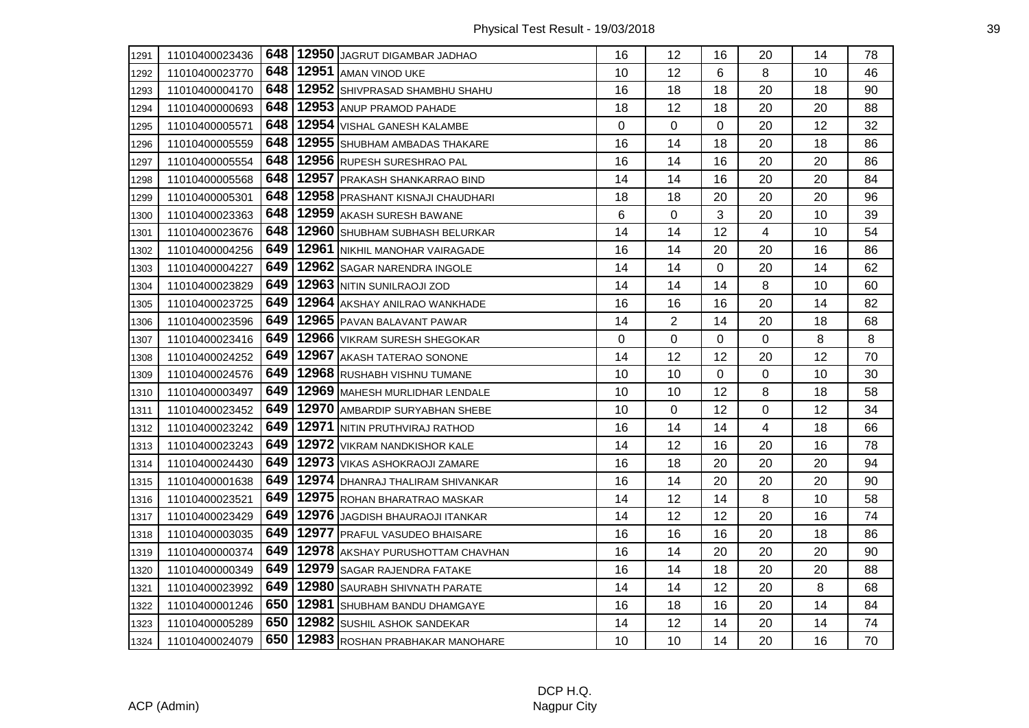| 1291 | 11010400023436 | 648 l | 12950 JAGRUT DIGAMBAR JADHAO     | 16 | 12             | 16 | 20             | 14 | 78 |
|------|----------------|-------|----------------------------------|----|----------------|----|----------------|----|----|
| 1292 | 11010400023770 | 648   | 12951 AMAN VINOD UKE             | 10 | 12             | 6  | 8              | 10 | 46 |
| 1293 | 11010400004170 | 648   | 12952 SHIVPRASAD SHAMBHU SHAHU   | 16 | 18             | 18 | 20             | 18 | 90 |
| 1294 | 11010400000693 | 648   | 12953 ANUP PRAMOD PAHADE         | 18 | 12             | 18 | 20             | 20 | 88 |
| 1295 | 11010400005571 | 648   | 12954 VISHAL GANESH KALAMBE      | 0  | 0              | 0  | 20             | 12 | 32 |
| 1296 | 11010400005559 | 648   | 12955 SHUBHAM AMBADAS THAKARE    | 16 | 14             | 18 | 20             | 18 | 86 |
| 1297 | 11010400005554 | 648   | 12956 RUPESH SURESHRAO PAL       | 16 | 14             | 16 | 20             | 20 | 86 |
| 1298 | 11010400005568 | 648   | 12957 PRAKASH SHANKARRAO BIND    | 14 | 14             | 16 | 20             | 20 | 84 |
| 1299 | 11010400005301 | 648   | 12958 PRASHANT KISNAJI CHAUDHARI | 18 | 18             | 20 | 20             | 20 | 96 |
| 1300 | 11010400023363 | 648   | 12959 AKASH SURESH BAWANE        | 6  | 0              | 3  | 20             | 10 | 39 |
| 1301 | 11010400023676 | 648   | 12960 SHUBHAM SUBHASH BELURKAR   | 14 | 14             | 12 | $\overline{4}$ | 10 | 54 |
| 1302 | 11010400004256 | 649   | 12961 NIKHIL MANOHAR VAIRAGADE   | 16 | 14             | 20 | 20             | 16 | 86 |
| 1303 | 11010400004227 | 649   | 12962 SAGAR NARENDRA INGOLE      | 14 | 14             | 0  | 20             | 14 | 62 |
| 1304 | 11010400023829 | 649   | 12963 NITIN SUNILRAOJI ZOD       | 14 | 14             | 14 | 8              | 10 | 60 |
| 1305 | 11010400023725 | 649   | 12964 AKSHAY ANILRAO WANKHADE    | 16 | 16             | 16 | 20             | 14 | 82 |
| 1306 | 11010400023596 | 649   | 12965 PAVAN BALAVANT PAWAR       | 14 | $\overline{2}$ | 14 | 20             | 18 | 68 |
| 1307 | 11010400023416 | 649   | 12966 VIKRAM SURESH SHEGOKAR     | 0  | 0              | 0  | 0              | 8  | 8  |
| 1308 | 11010400024252 | 649   | 12967 AKASH TATERAO SONONE       | 14 | 12             | 12 | 20             | 12 | 70 |
| 1309 | 11010400024576 | 649   | 12968 RUSHABH VISHNU TUMANE      | 10 | 10             | 0  | 0              | 10 | 30 |
| 1310 | 11010400003497 | 649   | 12969 MAHESH MURLIDHAR LENDALE   | 10 | 10             | 12 | 8              | 18 | 58 |
| 1311 | 11010400023452 | 649   | 12970 AMBARDIP SURYABHAN SHEBE   | 10 | 0              | 12 | 0              | 12 | 34 |
| 1312 | 11010400023242 | 649   | 12971 NITIN PRUTHVIRAJ RATHOD    | 16 | 14             | 14 | 4              | 18 | 66 |
| 1313 | 11010400023243 | 649   | 12972 VIKRAM NANDKISHOR KALE     | 14 | 12             | 16 | 20             | 16 | 78 |
| 1314 | 11010400024430 | 649   | 12973 VIKAS ASHOKRAOJI ZAMARE    | 16 | 18             | 20 | 20             | 20 | 94 |
| 1315 | 11010400001638 | 649   | 12974 DHANRAJ THALIRAM SHIVANKAR | 16 | 14             | 20 | 20             | 20 | 90 |
| 1316 | 11010400023521 | 649   | 12975 ROHAN BHARATRAO MASKAR     | 14 | 12             | 14 | 8              | 10 | 58 |
| 1317 | 11010400023429 | 649   | 12976 JAGDISH BHAURAOJI ITANKAR  | 14 | 12             | 12 | 20             | 16 | 74 |
| 1318 | 11010400003035 | 649   | 12977 PRAFUL VASUDEO BHAISARE    | 16 | 16             | 16 | 20             | 18 | 86 |
| 1319 | 11010400000374 | 649   | 12978 AKSHAY PURUSHOTTAM CHAVHAN | 16 | 14             | 20 | 20             | 20 | 90 |
| 1320 | 11010400000349 | 649   | 12979 SAGAR RAJENDRA FATAKE      | 16 | 14             | 18 | 20             | 20 | 88 |
| 1321 | 11010400023992 | 649   | 12980 SAURABH SHIVNATH PARATE    | 14 | 14             | 12 | 20             | 8  | 68 |
| 1322 | 11010400001246 | 650   | 12981 SHUBHAM BANDU DHAMGAYE     | 16 | 18             | 16 | 20             | 14 | 84 |
| 1323 | 11010400005289 | 650   | 12982 SUSHIL ASHOK SANDEKAR      | 14 | 12             | 14 | 20             | 14 | 74 |
| 1324 | 11010400024079 | 650   | 12983 ROSHAN PRABHAKAR MANOHARE  | 10 | 10             | 14 | 20             | 16 | 70 |